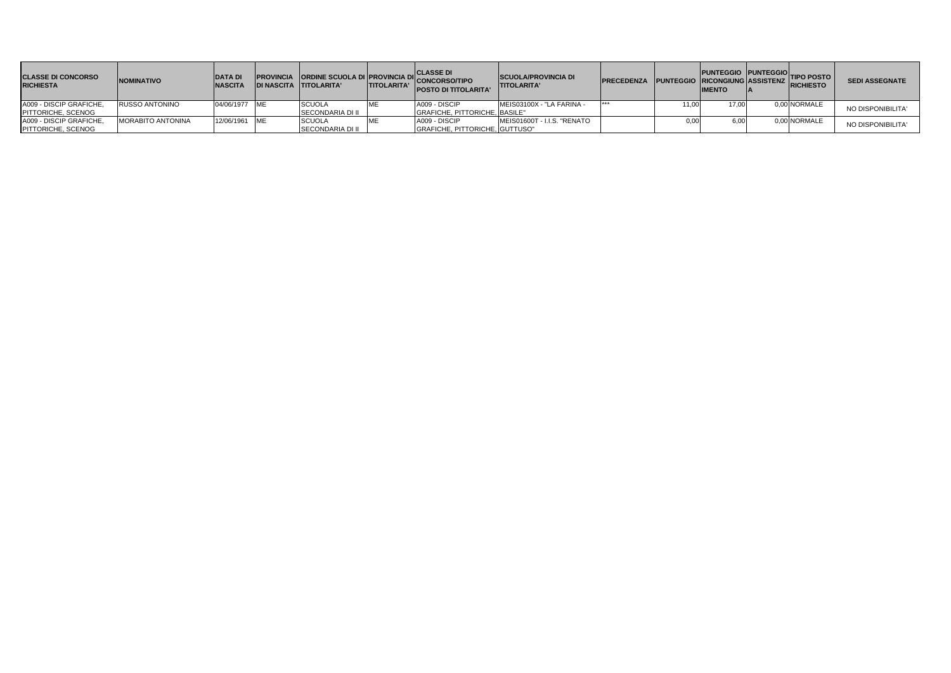| <b>CLASSE DI CONCORSO</b><br><b>RICHIESTA</b> | <b>INOMINATIVO</b>       | <b>DATA DI</b><br><b>NASCITA</b> | IDI NASCITA TITOLARITA' | <b>TITOLARITA'</b> | <b>PROVINCIA ORDINE SCUOLA DI PROVINCIA DI CLASSE DI<br/>WASCITA TITOI ARITA' TITOI APITA' CONCORSO/TIPO</b><br><b>POSTO DI TITOLARITA'</b> | <b>ISCUOLA/PROVINCIA DI</b><br><b>ITITOLARITA'</b> | <b>PRECEDENZA</b> |       | PUNTEGGIO PUNTEGGIO TIPO POSTO<br><b>IMENTO</b> |              | <b>SEDI ASSEGNATE</b> |
|-----------------------------------------------|--------------------------|----------------------------------|-------------------------|--------------------|---------------------------------------------------------------------------------------------------------------------------------------------|----------------------------------------------------|-------------------|-------|-------------------------------------------------|--------------|-----------------------|
| A009 - DISCIP GRAFICHE,                       | <b>RUSSO ANTONINO</b>    | 04/06/1977 ME                    | SCUOLA                  |                    | A009 - DISCIP                                                                                                                               | MEIS03100X - "LA FARINA -                          |                   | 11.00 | 17.00                                           | 0.00 NORMALE | NO DISPONIBILITA'     |
| <b>PITTORICHE, SCENOG</b>                     |                          |                                  | SECONDARIA DI II        |                    | GRAFICHE, PITTORICHE, BASILE"                                                                                                               |                                                    |                   |       |                                                 |              |                       |
| A009 - DISCIP GRAFICHE,                       | <b>MORABITO ANTONINA</b> | 12/06/1961 ME                    | <b>SCUOLA</b>           |                    | A009 - DISCIP                                                                                                                               | MEIS01600T - I.I.S. "RENATO                        |                   | 0.00  |                                                 | 0,00 NORMALE | NO DISPONIBILITA      |
| PITTORICHE, SCENOG                            |                          |                                  | SECONDARIA DI II        |                    | GRAFICHE, PITTORICHE, GUTTUSO"                                                                                                              |                                                    |                   |       |                                                 |              |                       |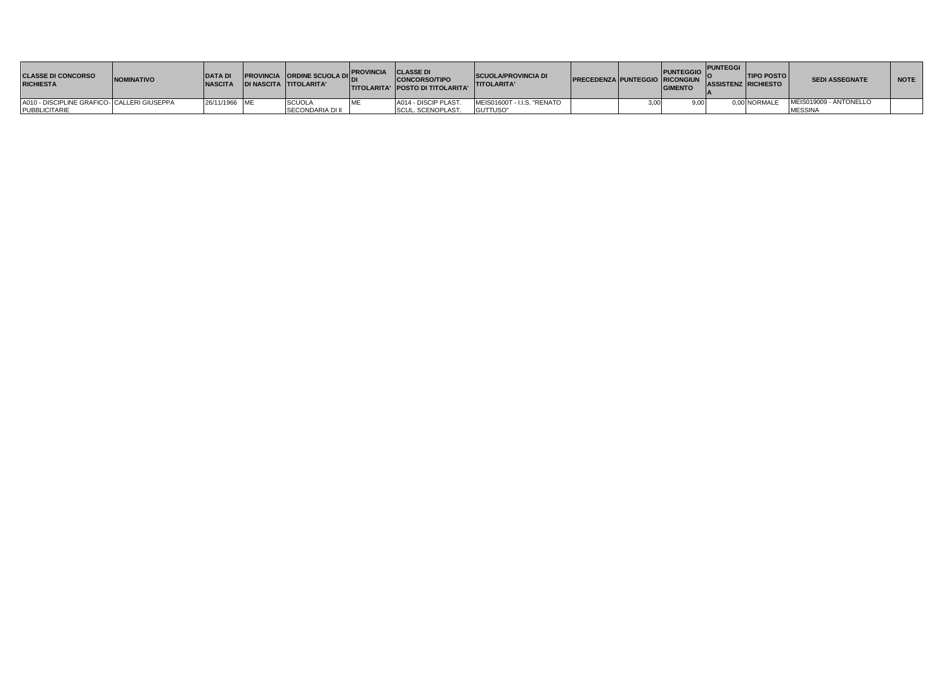| <b>CLASSE DI CONCORSO</b><br><b>RICHIESTA</b> | <b>INOMINATIVO</b> | <b>DATA DI</b><br><b>NASCITA</b> | <b>PROVINCIA</b> ORDINE SCUOLA DICAVINCIA CLASSE DI<br><b>IDI NASCITA TITOLARITA'</b> |            | <b>CONCORSO/TIPO</b><br><b>ITITOLARITA' IPOSTO DI TITOLARITA'</b> | <b>SCUOLA/PROVINCIA DI</b><br><b>TITOLARITA'</b> | <b>PRECEDENZA PUNTEGGIO RICONGIUN</b> |      | PUNTEGGIO I'.<br><b>GIMENTO</b> | <b>PUNTEGGI</b> | <b>TIPO POSTO</b><br><b>ASSISTENZ RICHIESTO</b> | <b>SEDI ASSEGNATE</b>  | <b>NOTE</b> |
|-----------------------------------------------|--------------------|----------------------------------|---------------------------------------------------------------------------------------|------------|-------------------------------------------------------------------|--------------------------------------------------|---------------------------------------|------|---------------------------------|-----------------|-------------------------------------------------|------------------------|-------------|
| A010 - DISCIPLINE GRAFICO- CALLERI GIUSEPPA   |                    | 26/11/1966 ME                    | <b>SCUOL</b>                                                                          | <b>IMF</b> | A014 - DISCIP PLAST.                                              | MEIS01600T - I.I.S. "RENATO                      |                                       | 3.00 | 9.00                            |                 | 0.00 NORMALE                                    | MEIS019009 - ANTONELLO |             |
| PUBBLICITARIE                                 |                    |                                  | <b>SECONDARIA DI II</b>                                                               |            | SCUL. SCENOPLAST.                                                 | GUTTUSO"                                         |                                       |      |                                 |                 |                                                 | <b>MESSINA</b>         |             |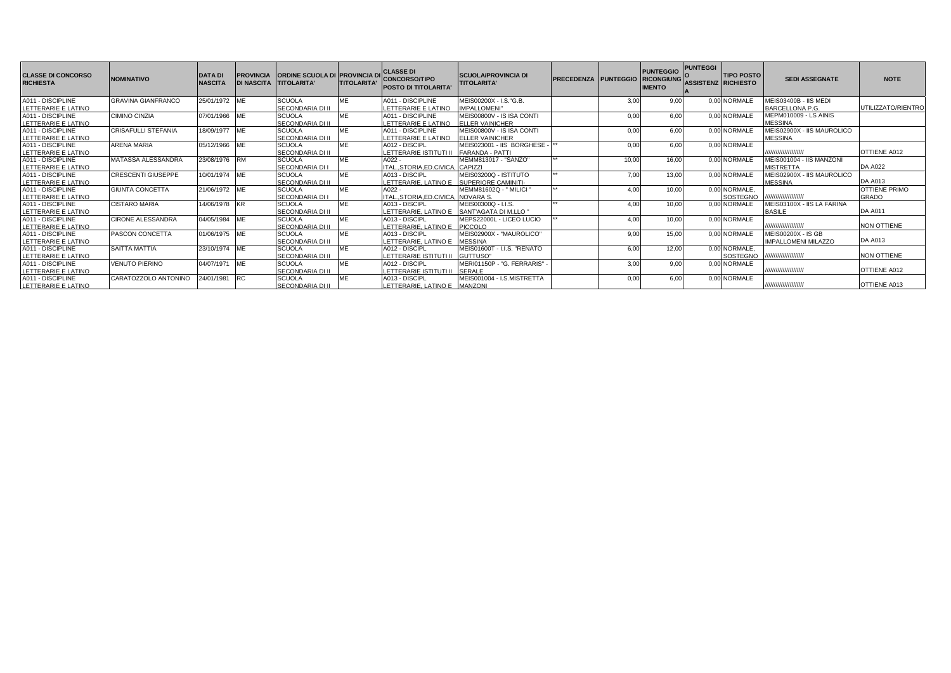| <b>CLASSE DI CONCORSO</b><br><b>RICHIESTA</b> | <b>NOMINATIVO</b>          | <b>DATA DI</b><br><b>NASCITA</b> | <b>IPROVINCIA</b><br><b>DI NASCITA TITOLARITA'</b> | <b>ORDINE SCUOLA DI PROVINCIA DI</b> | <b>TITOLARITA'</b> | <b>CLASSE DI</b><br><b>CONCORSO/TIPO</b><br><b>POSTO DI TITOLARITA'</b> | <b>SCUOLA/PROVINCIA DI</b><br><b>TITOLARITA'</b> | <b>PRECEDENZA PUNTEGGIO</b> |       | <b>PUNTEGGIO</b><br><b>RICONGIUNG</b><br><b>IMENTO</b> | <b>PUNTEGGI</b><br><b>ASSISTENZ RICHIESTO</b> | <b>TIPO POSTO</b> | <b>SEDI ASSEGNATE</b>             | <b>NOTE</b>               |
|-----------------------------------------------|----------------------------|----------------------------------|----------------------------------------------------|--------------------------------------|--------------------|-------------------------------------------------------------------------|--------------------------------------------------|-----------------------------|-------|--------------------------------------------------------|-----------------------------------------------|-------------------|-----------------------------------|---------------------------|
| A011 - DISCIPLINE                             | <b>GRAVINA GIANFRANCO</b>  | 25/01/1972 ME                    |                                                    | <b>SCUOLA</b>                        | ME                 | A011 - DISCIPLINE                                                       | MEIS00200X - I.S."G.B.                           |                             | 3.00  | 9.00                                                   |                                               | 0.00 NORMALE      | MEIS03400B - IIS MEDI             |                           |
| LETTERARIE E LATINO                           |                            |                                  |                                                    | SECONDARIA DI II                     |                    | LETTERARIE E LATINO                                                     | <b>IMPALLOMENI"</b>                              |                             |       |                                                        |                                               |                   | BARCELLONA P.G                    | <b>JTILIZZATO/RIENTRO</b> |
| A011 - DISCIPLINE                             | <b>CIMINO CINZIA</b>       | 07/01/1966 ME                    |                                                    | <b>SCUOLA</b>                        | ME                 | A011 - DISCIPLINE                                                       | MEIS00800V - IS ISA CONTI                        |                             | 0,00  | 6.00                                                   |                                               | 0.00 NORMALE      | MEPM010009 - LS AINIS             |                           |
| LETTERARIE E LATINO                           |                            |                                  |                                                    | SECONDARIA DI II                     |                    | LETTERARIE E LATINO                                                     | <b>ELLER VAINICHER</b>                           |                             |       |                                                        |                                               |                   | <b>MESSINA</b>                    |                           |
| A011 - DISCIPLINE                             | <b>CRISAFULLI STEFANIA</b> | 18/09/1977 ME                    |                                                    | <b>SCUOLA</b>                        | ME                 | A011 - DISCIPLINE                                                       | MEIS00800V - IS ISA CONTI                        |                             | 0,00  | 6.00                                                   |                                               | 0,00 NORMALE      | MEIS02900X - IIS MAUROLICO        |                           |
| LETTERARIE E LATINO                           |                            |                                  |                                                    | SECONDARIA DI II                     |                    | LETTERARIE E LATINO                                                     | <b>ELLER VAINICHER</b>                           |                             |       |                                                        |                                               |                   | <b>MESSINA</b>                    |                           |
| A011 - DISCIPLINE                             | <b>ARENA MARIA</b>         | 05/12/1966 ME                    |                                                    | <b>SCUOLA</b>                        | MF                 | A012 - DISCIPL                                                          | MEIS023001 - IIS BORGHESE -  **                  |                             | 0,00  | 6.00                                                   |                                               | 0.00 NORMALE      |                                   |                           |
| LETTERARIE E LATINO                           |                            |                                  |                                                    | SECONDARIA DI II                     |                    | LETTERARIE ISTITUTI II                                                  | <b>FARANDA - PATTI</b>                           |                             |       |                                                        |                                               |                   | ,,,,,,,,,,,,,,,,,,,,,             | OTTIENE A012              |
| A011 - DISCIPLINE                             | MATASSA ALESSANDRA         | 23/08/1976 RM                    |                                                    | <b>SCUOLA</b>                        | ME                 | A022 -                                                                  | MEMM813017 - "SANZO"                             |                             | 10,00 | 16.00                                                  |                                               | 0,00 NORMALE      | MEIS001004 - IIS MANZONI          |                           |
| LETTERARIE E LATINO                           |                            |                                  |                                                    | SECONDARIA DI I                      |                    | ITALSTORIA.ED.CIVICA. CAPIZZI                                           |                                                  |                             |       |                                                        |                                               |                   | <b>MISTRETTA</b>                  | <b>DA A022</b>            |
| A011 - DISCIPLINE                             | <b>CRESCENTI GIUSEPPE</b>  | 10/01/1974 ME                    |                                                    | <b>SCUOLA</b>                        | ME                 | A013 - DISCIPI                                                          | MEIS03200Q - ISTITUTO                            | $++$                        | 7.00  | 13.00                                                  |                                               | 0.00 NORMALE      | <b>JEIS02900X - IIS MAUROLICO</b> |                           |
| LETTERARIE E LATINO                           |                            |                                  |                                                    | SECONDARIA DI II                     |                    | LETTERARIE, LATINO E                                                    | SUPERIORE CAMINITI-                              |                             |       |                                                        |                                               |                   | MESSINA                           | <b>DA A013</b>            |
| A011 - DISCIPLINE                             | <b>GIUNTA CONCETTA</b>     | 21/06/1972 ME                    |                                                    | <b>SCUOLA</b>                        | ME                 | A022                                                                    | MEMM81602Q - " MILICI '                          | $++$                        | 4.00  | 10.00                                                  |                                               | 0,00 NORMALE,     |                                   | <b>OTTIENE PRIMO</b>      |
| LETTERARIE E LATINO                           |                            |                                  |                                                    | SECONDARIA DI I                      |                    | ITALSTORIA.ED.CIVICA.                                                   | NOVARA S.                                        |                             |       |                                                        |                                               | <b>SOSTEGNO</b>   | ,,,,,,,,,,,,,,,,,,,,              | <b>GRADO</b>              |
| A011 - DISCIPLINE                             | <b>CISTARO MARIA</b>       | 14/06/1978 KR                    |                                                    | <b>SCUOLA</b>                        | ME                 | A013 - DISCIPL                                                          | MEIS00300Q - I.I.S.                              | $+ +$                       | 4.00  | 10.00                                                  |                                               | 0.00 NORMALE      | MEIS03100X - IIS LA FARINA        |                           |
| LETTERARIE E LATINO                           |                            |                                  |                                                    | SECONDARIA DI II                     |                    | LETTERARIE. LATINO E                                                    | SANT'AGATA DI M.LLO '                            |                             |       |                                                        |                                               |                   | <b>BASILE</b>                     | <b>DA A011</b>            |
| A011 - DISCIPLINE                             | <b>CIRONE ALESSANDRA</b>   | 04/05/1984 ME                    |                                                    | <b>SCUOLA</b>                        | MF                 | A013 - DISCIPL                                                          | MEPS22000L - LICEO LUCIO                         |                             | 4.00  | 10.00                                                  |                                               | 0.00 NORMALE      |                                   |                           |
| LETTERARIE E LATINO                           |                            |                                  |                                                    | SECONDARIA DI II                     |                    | LETTERARIE. LATINO E                                                    | <b>PICCOLO</b>                                   |                             |       |                                                        |                                               |                   | ,,,,,,,,,,,,,,,,,,,,,             | <b>NON OTTIENE</b>        |
| A011 - DISCIPLINE                             | <b>PASCON CONCETTA</b>     | 01/06/1975 ME                    |                                                    | <b>SCUOLA</b>                        | ME                 | A013 - DISCIPL                                                          | MEIS02900X - "MAUROLICO"                         |                             | 9,00  | 15.00                                                  |                                               | 0.00 NORMALE      | MEIS00200X - IS GB                |                           |
| LETTERARIE E LATINO                           |                            |                                  |                                                    | SECONDARIA DI II                     |                    | LETTERARIE, LATINO E                                                    | <b>MESSINA</b>                                   |                             |       |                                                        |                                               |                   | <b>IMPALLOMENI MILAZZO</b>        | <b>DA A013</b>            |
| A011 - DISCIPLINE                             | <b>SAITTA MATTIA</b>       | 23/10/1974 ME                    |                                                    | <b>SCUOLA</b>                        | MF                 | A012 - DISCIPL                                                          | MEIS01600T - I.I.S. "RENATO                      |                             | 6,00  | 12.00                                                  |                                               | 0.00 NORMALE.     |                                   |                           |
| LETTERARIE E LATINO                           |                            |                                  |                                                    | SECONDARIA DI II                     |                    | LETTERARIE ISTITUTI II                                                  | GUTTUSO"                                         |                             |       |                                                        |                                               | SOSTEGNO          | ,,,,,,,,,,,,,,,,,,,,,             | <b>NON OTTIENE</b>        |
| A011 - DISCIPLINE                             | <b>VENUTO PIERINO</b>      | 04/07/1971 ME                    |                                                    | <b>SCUOLA</b>                        | ME                 | A012 - DISCIPI                                                          | MERI01150P - "G. FERRARIS"                       |                             | 3,00  | 9.00                                                   |                                               | 0,00 NORMALE      |                                   |                           |
| LETTERARIE E LATINO                           |                            |                                  |                                                    | SECONDARIA DI II                     |                    | LETTERARIE ISTITUTI II                                                  | SERALE                                           |                             |       |                                                        |                                               |                   | ,,,,,,,,,,,,,,,,,,,,,             | OTTIENE A012              |
| A011 - DISCIPLINE                             | CARATOZZOLO ANTONINO       | 24/01/1981                       | <b>RC</b>                                          | <b>SCUOLA</b>                        | <b>ME</b>          | A013 - DISCIPL                                                          | MEIS001004 - I.S.MISTRETTA                       |                             | 0,00  | 6,00                                                   |                                               | 0,00 NORMALE      |                                   |                           |
| LETTERARIE E LATINO                           |                            |                                  |                                                    | SECONDARIA DI II                     |                    | LETTERARIE, LATINO E MANZONI                                            |                                                  |                             |       |                                                        |                                               |                   | ,,,,,,,,,,,,,,,,,,,,,             | OTTIENE A013              |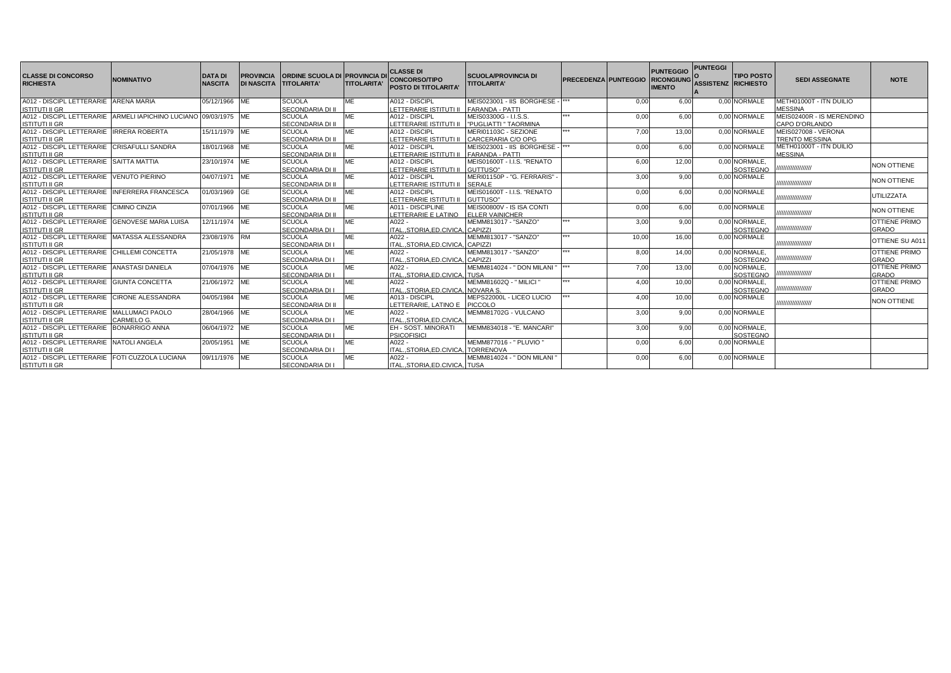| <b>CLASSE DI CONCORSO</b><br><b>RICHIESTA</b>                                             | <b>NOMINATIVO</b> | <b>DATA DI</b><br><b>NASCITA</b> | <b>PROVINCIA</b><br><b>DI NASCITA TITOLARITA'</b> | <b>ORDINE SCUOLA DI PROVINCIA D</b>      | <b>TITOLARITA'</b> | <b>CLASSE DI</b><br><b>CONCORSO/TIPO</b><br><b>POSTO DI TITOLARITA'</b> | <b>SCUOLA/PROVINCIA DI</b><br><b>TITOLARITA'</b>    | PRECEDENZA PUNTEGGIO RICONGIUNG |       | <b>PUNTEGGIO</b><br><b>IMENTO</b> | <b>PUNTEGGI</b><br><b>ASSISTENZ RICHIESTO</b> | <b>TIPO POSTO</b>         | <b>SEDI ASSEGNATE</b>                        | <b>NOTE</b>                          |
|-------------------------------------------------------------------------------------------|-------------------|----------------------------------|---------------------------------------------------|------------------------------------------|--------------------|-------------------------------------------------------------------------|-----------------------------------------------------|---------------------------------|-------|-----------------------------------|-----------------------------------------------|---------------------------|----------------------------------------------|--------------------------------------|
| A012 - DISCIPL LETTERARIE ARENA MARIA<br><b>ISTITUTI II GR</b>                            |                   | 05/12/1966 ME                    |                                                   | <b>SCUOLA</b><br><b>SECONDARIA DI II</b> | <b>ME</b>          | A012 - DISCIPL<br>LETTERARIE ISTITUTI II                                | MEIS023001 - IIS BORGHESE<br><b>FARANDA - PATTI</b> |                                 | 0.00  | 6.00                              |                                               | 0.00 NORMALE              | METH01000T - ITN DUILIO<br><b>MESSINA</b>    |                                      |
| A012 - DISCIPL LETTERARIE ARMELI IAPICHINO LUCIANO 09/03/1975 ME<br><b>ISTITUTI II GR</b> |                   |                                  |                                                   | <b>SCUOLA</b><br><b>SECONDARIA DI II</b> | <b>ME</b>          | A012 - DISCIPL<br>LETTERARIE ISTITUTI II                                | MEIS03300G - I.I.S.S.<br>"PUGLIATTI " TAORMINA      |                                 | 0,00  | 6.00                              |                                               | 0.00 NORMALE              | MEIS02400R - IS MERENDINO<br>CAPO D'ORLANDO  |                                      |
| A012 - DISCIPL LETTERARIE IRRERA ROBERTA<br><b>ISTITUTI II GR</b>                         |                   | 15/11/1979 ME                    |                                                   | <b>SCUOLA</b><br><b>SECONDARIA DI II</b> | <b>ME</b>          | A012 - DISCIPL<br><b>LETTERARIE ISTITUTI II</b>                         | MERI01103C - SEZIONE<br>CARCERARIA C/O OPG          | ***                             | 7,00  | 13,00                             |                                               | 0.00 NORMALE              | MEIS027008 - VERONA<br><b>TRENTO MESSINA</b> |                                      |
| A012 - DISCIPL LETTERARIE CRISAFULLI SANDRA<br><b>ISTITUTI II GR</b>                      |                   | 18/01/1968 ME                    |                                                   | <b>SCUOLA</b><br>SECONDARIA DI II        | <b>ME</b>          | A012 - DISCIPL<br>LETTERARIE ISTITUTI II                                | MEIS023001 - IIS BORGHESE<br><b>FARANDA - PATTI</b> |                                 | 0.00  | 6.00                              |                                               | 0.00 NORMALE              | METH01000T - ITN DUILIO<br><b>MESSINA</b>    |                                      |
| A012 - DISCIPL LETTERARIE SAITTA MATTIA<br><b>ISTITUTI II GR</b>                          |                   | 23/10/1974 ME                    |                                                   | <b>SCUOLA</b><br><b>SECONDARIA DI II</b> | <b>ME</b>          | A012 - DISCIPL<br><b>LETTERARIE ISTITUTI II</b>                         | MEIS01600T - I.I.S. "RENATO<br>GUTTUSO"             |                                 | 6.00  | 12.00                             |                                               | 0.00 NORMALE.<br>SOSTEGNO | ,,,,,,,,,,,,,,,,,,                           | <b>NON OTTIENE</b>                   |
| A012 - DISCIPL LETTERARIE VENUTO PIERINO<br><b>ISTITUTI II GR</b>                         |                   | 04/07/1971 ME                    |                                                   | <b>SCUOLA</b><br><b>SECONDARIA DI II</b> | <b>ME</b>          | A012 - DISCIPL<br>LETTERARIE ISTITUTI II                                | MERI01150P - "G. FERRARIS"<br>SERALE                |                                 | 3.00  | 9.00                              |                                               | 0.00 NORMALE              | ,,,,,,,,,,,,,,,,,,,                          | <b>NON OTTIENE</b>                   |
| A012 - DISCIPL LETTERARIE INFERRERA FRANCESCA<br><b>ISTITUTI II GR</b>                    |                   | 01/03/1969 GE                    |                                                   | <b>SCUOLA</b><br><b>SECONDARIA DI II</b> | <b>ME</b>          | A012 - DISCIPL<br>LETTERARIE ISTITUTI II                                | MEIS01600T - I.I.S. "RENATO<br>GUTTUSO"             |                                 | 0,00  | 6.00                              |                                               | 0.00 NORMALE              | ,,,,,,,,,,,,,,,,,,                           | UTILIZZATA                           |
| A012 - DISCIPL LETTERARIE CIMINO CINZIA<br><b>ISTITUTI II GR</b>                          |                   | 07/01/1966 ME                    |                                                   | <b>SCUOLA</b><br><b>SECONDARIA DI II</b> | <b>ME</b>          | A011 - DISCIPLINE<br>LETTERARIE E LATINO                                | MEIS00800V - IS ISA CONTI<br><b>ELLER VAINICHER</b> |                                 | 0.00  | 6.00                              |                                               | 0.00 NORMALE              | ,,,,,,,,,,,,,,,,,,,                          | <b>NON OTTIENE</b>                   |
| A012 - DISCIPL LETTERARIE GENOVESE MARIA LUISA<br><b>ISTITUTI II GR</b>                   |                   | 12/11/1974 ME                    |                                                   | <b>SCUOLA</b><br>SECONDARIA DI I         | <b>ME</b>          | $A022 -$<br>ITALSTORIA.ED.CIVICA.                                       | MEMM813017 - "SANZO"<br>CAPIZZI                     | ***                             | 3.00  | 9.00                              |                                               | 0.00 NORMALE.<br>SOSTEGNO | ,,,,,,,,,,,,,,,,,,                           | <b>OTTIENE PRIMO</b><br>GRADO        |
| A012 - DISCIPL LETTERARIE MATASSA ALESSANDRA<br><b>ISTITUTI II GR</b>                     |                   | 23/08/1976 RM                    |                                                   | <b>SCUOLA</b><br>SECONDARIA DI I         | <b>ME</b>          | $A022 -$<br>ITALSTORIA.ED.CIVICA.                                       | MEMM813017 - "SANZO"<br>CAPIZZI                     |                                 | 10,00 | 16,00                             |                                               | 0.00 NORMALE              | ,,,,,,,,,,,,,,,,,,,                          | OTTIENE SU A01                       |
| A012 - DISCIPL LETTERARIE CHILLEMI CONCETTA<br><b>ISTITUTI II GR</b>                      |                   | 21/05/1978 ME                    |                                                   | <b>SCUOLA</b><br>SECONDARIA DI I         | <b>ME</b>          | $A022 -$<br>ITALSTORIA.ED.CIVICA                                        | MEMM813017 - "SANZO"<br><b>CAPIZZI</b>              |                                 | 8,00  | 14.00                             |                                               | 0.00 NORMALE.<br>SOSTEGNO | ,,,,,,,,,,,,,,,,,,                           | <b>OTTIENE PRIMO</b><br>GRADO        |
| A012 - DISCIPL LETTERARIE ANASTASI DANIELA<br><b>ISTITUTI II GR</b>                       |                   | 07/04/1976 ME                    |                                                   | <b>SCUOLA</b><br>SECONDARIA DI I         | <b>ME</b>          | $A022 -$<br>ITALSTORIA.ED.CIVICA. TUSA                                  | MEMM814024 - " DON MILANI "                         |                                 | 7,00  | 13,00                             | 0.00                                          | NORMALE.<br>SOSTEGNO      | ,,,,,,,,,,,,,,,,,                            | <b>OTTIENE PRIMO</b><br><b>GRADO</b> |
| A012 - DISCIPL LETTERARIE GIUNTA CONCETTA<br><b>ISTITUTI II GR</b>                        |                   | 21/06/1972 ME                    |                                                   | <b>SCUOLA</b><br>SECONDARIA DI I         | <b>ME</b>          | A022 -<br>ITALSTORIA.ED.CIVICA.                                         | MEMM81602Q - " MILICI "<br><b>NOVARA S.</b>         |                                 | 4.00  | 10,00                             | 0.00                                          | NORMALE.<br>SOSTEGNO      | ,,,,,,,,,,,,,,,,,,                           | <b>OTTIENE PRIMO</b><br>GRADO        |
| A012 - DISCIPL LETTERARIE CIRONE ALESSANDRA<br><b>ISTITUTI II GR</b>                      |                   | 04/05/1984 ME                    |                                                   | <b>SCUOLA</b><br><b>SECONDARIA DI II</b> | <b>ME</b>          | A013 - DISCIPL<br>LETTERARIE, LATINO E PICCOLO                          | MEPS22000L - LICEO LUCIO                            | ***                             | 4,00  | 10,00                             |                                               | 0.00 NORMALE              | ,,,,,,,,,,,,,,,,,,,                          | NON OTTIENE                          |
| A012 - DISCIPL LETTERARIE MALLUMACI PAOLO<br><b>ISTITUTI II GR</b>                        | CARMELO G.        | 28/04/1966 ME                    |                                                   | <b>SCUOLA</b><br><b>SECONDARIA DI I</b>  | <b>ME</b>          | $A022 -$<br>ITALSTORIA.ED.CIVICA                                        | MEMM81702G - VULCANO                                |                                 | 3,00  | 9.00                              |                                               | 0.00 NORMALE              |                                              |                                      |
| A012 - DISCIPL LETTERARIE BONARRIGO ANNA<br><b>ISTITUTI II GR</b>                         |                   | 06/04/1972 ME                    |                                                   | <b>SCUOLA</b><br>SECONDARIA DI I         | <b>ME</b>          | EH - SOST, MINORATI<br><b>PSICOFISICI</b>                               | MEMM834018 - "E. MANCARI"                           |                                 | 3.00  | 9.00                              |                                               | 0.00 NORMALE.<br>SOSTEGNO |                                              |                                      |
| A012 - DISCIPL LETTERARIE NATOLI ANGELA<br><b>ISTITUTI II GR</b>                          |                   | 20/05/1951 ME                    |                                                   | <b>SCUOLA</b><br>SECONDARIA DI I         | MF                 | $A022 -$<br>ITALSTORIA.ED.CIVICA                                        | MEMM877016 - " PLUVIO "<br><b>TORRENOVA</b>         |                                 | 0,00  | 6,00                              |                                               | 0.00 NORMALE              |                                              |                                      |
| A012 - DISCIPL LETTERARIE FOTI CUZZOLA LUCIANA<br><b>ISTITUTI II GR</b>                   |                   | 09/11/1976 ME                    |                                                   | <b>SCUOLA</b><br><b>SECONDARIA DI I</b>  | <b>ME</b>          | $A022 -$<br>ITALSTORIA.ED.CIVICA. TUSA                                  | MEMM814024 - " DON MILANI '                         |                                 | 0,00  | 6,00                              |                                               | 0.00 NORMALE              |                                              |                                      |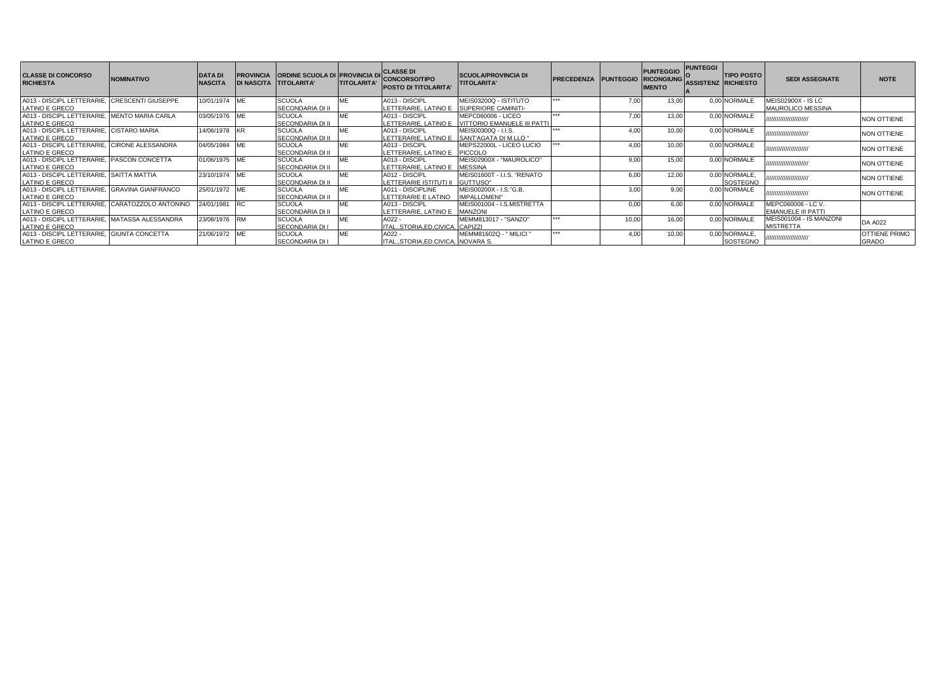| <b>CLASSE DI CONCORSO</b><br><b>RICHIESTA</b> | <b>NOMINATIVO</b>         | <b>DATA DI</b><br><b>NASCITA</b> | <b>DI NASCITA TITOLARITA'</b> | <b>PROVINCIA CORDINE SCUOLA DI PROVINCIA DI</b> | <b>TITOLARITA'</b> | <b>CLASSE DI</b><br><b>CONCORSO/TIPO</b><br><b>POSTO DI TITOLARITA'</b> | <b>SCUOLA/PROVINCIA DI</b><br><b>TITOLARITA'</b>  | <b>PRECEDENZA</b> | <b>PUNTEGGIO</b> | <b>PUNTEGGIO</b><br><b>RICONGIUNG</b><br><b>IMENTO</b> | <b>PUNTEGGI</b><br>ASSISTENZ RICHIESTO | <b>TIPO POSTO</b>         | <b>SEDI ASSEGNATE</b>                          | <b>NOTE</b>                          |
|-----------------------------------------------|---------------------------|----------------------------------|-------------------------------|-------------------------------------------------|--------------------|-------------------------------------------------------------------------|---------------------------------------------------|-------------------|------------------|--------------------------------------------------------|----------------------------------------|---------------------------|------------------------------------------------|--------------------------------------|
| A013 - DISCIPL LETTERARIE.                    | <b>CRESCENTI GIUSEPPE</b> | 10/01/1974                       | <b>IMF</b>                    | <b>SCUOLA</b>                                   | ME                 | A013 - DISCIPL                                                          | MEIS03200Q - ISTITUTO                             |                   | 7.00             | 13.00                                                  |                                        | 0.00 NORMALE              | MEIS02900X - IS LC                             |                                      |
| <b>LATINO E GRECO</b>                         |                           |                                  |                               | SECONDARIA DI II                                |                    | LETTERARIE. LATINO E                                                    | SUPERIORE CAMINITI-                               |                   |                  |                                                        |                                        |                           | <b>MAUROLICO MESSINA</b>                       |                                      |
| A013 - DISCIPL LETTERARIE.<br>LATINO E GRECO  | <b>MENTO MARIA CARLA</b>  | 03/05/1976 ME                    |                               | <b>SCUOLA</b><br>SECONDARIA DI II               |                    | A013 - DISCIPL<br>LETTERARIE, LATINO E                                  | MEPC060006 - LICEO<br>VITTORIO EMANUELE III PATTI |                   | 7.00             | 13.00                                                  |                                        | 0,00 NORMALE              | ,,,,,,,,,,,,,,,,,,,,,,                         | <b>NON OTTIENE</b>                   |
| A013 - DISCIPL LETTERARIE<br>LATINO E GRECO   | <b>CISTARO MARIA</b>      | 14/06/1978                       | <b>IKR</b>                    | <b>SCUOLA</b><br>SECONDARIA DI II               |                    | A013 - DISCIPL<br>LETTERARIE. LATINO E                                  | MEIS00300Q - I.I.S.<br>SANT'AGATA DI M.LLO "      |                   | 4.00             | 10.00                                                  |                                        | 0.00 NORMALE              | ,,,,,,,,,,,,,,,,,,,,,,                         | <b>NON OTTIENE</b>                   |
| A013 - DISCIPL LETTERARIE<br>LATINO E GRECO   | <b>CIRONE ALESSANDRA</b>  | 04/05/1984                       |                               | <b>SCUOLA</b><br>SECONDARIA DI II               |                    | A013 - DISCIPL<br>LETTERARIE, LATINO E                                  | MEPS22000L - LICEO LUCIO<br>PICCOLO               |                   | 4.00             | 10.00                                                  |                                        | 0.00 NORMALE              | ,,,,,,,,,,,,,,,,,,,,,,                         | <b>NON OTTIENE</b>                   |
| A013 - DISCIPL LETTERARIE.<br>LATINO E GRECO  | <b>PASCON CONCETTA</b>    | 01/06/1975 ME                    |                               | <b>SCUOLA</b><br>SECONDARIA DI II               | ME                 | A013 - DISCIPL<br>LETTERARIE, LATINO E                                  | MEIS02900X - "MAUROLICO"<br><b>MESSINA</b>        |                   | 9.00             | 15.00                                                  |                                        | 0.00 NORMALE              | ,,,,,,,,,,,,,,,,,,,,,,,                        | <b>NON OTTIENE</b>                   |
| A013 - DISCIPL LETTERARIE.<br>LATINO E GRECO  | <b>SAITTA MATTIA</b>      | 23/10/1974 ME                    |                               | <b>SCUOLA</b><br>SECONDARIA DI II               |                    | A012 - DISCIPL<br>LETTERARIE ISTITUTI II                                | MEIS01600T - I.I.S. "RENATO<br>GUTTUSO"           |                   | 6.00             | 12.00                                                  |                                        | 0.00 NORMALE.<br>SOSTEGNO | ,,,,,,,,,,,,,,,,,,,,,,                         | <b>NON OTTIENE</b>                   |
| A013 - DISCIPL LETTERARIE<br>LATINO E GRECO   | <b>GRAVINA GIANFRANCO</b> | 25/01/1972                       | <b>IMF</b>                    | <b>SCUOLA</b><br>SECONDARIA DI II               | ME                 | A011 - DISCIPLINE<br>LETTERARIE E LATINO                                | MEIS00200X - I.S. "G.B.<br><b>IMPALLOMENI</b> "   |                   | 3.00             | 9.00                                                   |                                        | 0.00 NORMALE              | ,,,,,,,,,,,,,,,,,,,,,,                         | <b>NON OTTIENE</b>                   |
| A013 - DISCIPL LETTERARIE<br>LATINO E GRECO   | CARATOZZOLO ANTONINO      | 24/01/1981                       |                               | <b>SCUOLA</b><br>SECONDARIA DI II               | ME                 | A013 - DISCIPL<br>LETTERARIE. LATINO E                                  | MEIS001004 - I.S.MISTRETTA<br><b>MANZONI</b>      |                   | 0.00             | 6.00                                                   |                                        | 0.00 NORMALE              | MEPC060006 - LC V<br><b>EMANUELE III PATTI</b> |                                      |
| A013 - DISCIPL LETTERARIE.<br>LATINO E GRECO  | MATASSA ALESSANDRA        | 23/08/1976                       | <b>IRM</b>                    | <b>SCUOLA</b><br><b>SECONDARIA DI I</b>         | ME                 | $A022 -$<br>ITALSTORIA.ED.CIVICA. CAPIZZI                               | MEMM813017 - "SANZO"                              |                   | 10.00            | 16.00                                                  |                                        | 0.00 NORMALE              | MEIS001004 - IS MANZONI<br><b>MISTRETTA</b>    | <b>DA A022</b>                       |
| A013 - DISCIPL LETTERARIE.<br>LATINO E GRECO  | GIUNTA CONCETTA           | 21/06/1972 ME                    |                               | <b>SCUOLA</b><br><b>SECONDARIA DI I</b>         | ME                 | A022<br>STORIA.ED.CIVICA. NOVARA S.                                     | MEMM81602Q - " MILICI "                           |                   | 4.00             | 10,00                                                  |                                        | 0,00 NORMALE,<br>SOSTEGNO | ,,,,,,,,,,,,,,,,,,,,,,                         | <b>OTTIENE PRIMO</b><br><b>GRADO</b> |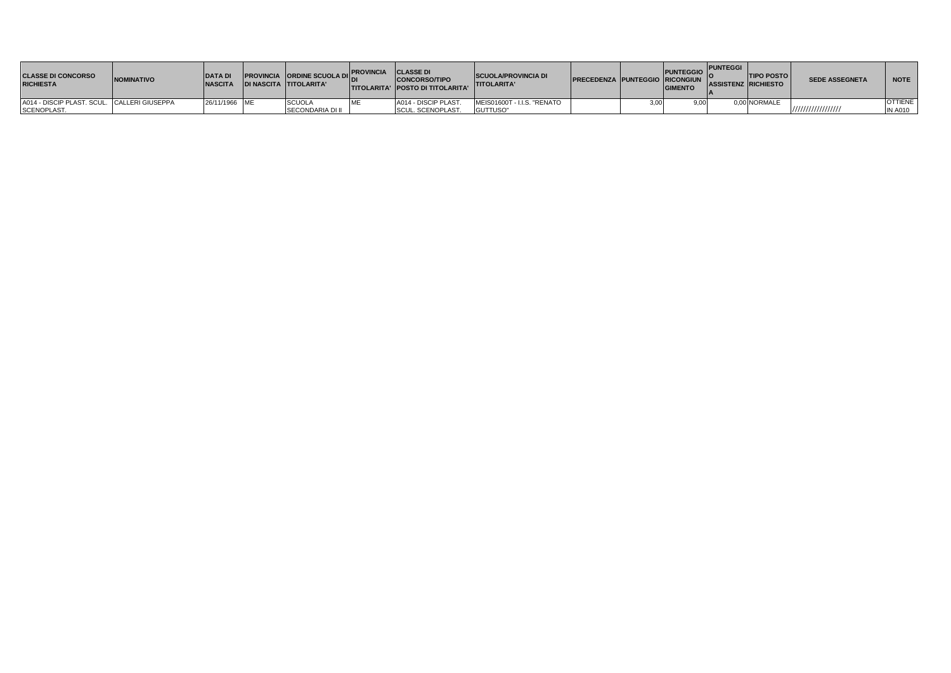| <b>CLASSE DI CONCORSO</b><br><b>RICHIESTA</b> | <b>INOMINATIVO</b> | <b>DATA DI</b><br><b>NASCITA</b> | <b>PROVINCIA ORDINE SCUOLA DIL'</b><br><b>IDI NASCITA TITOLARITA'</b> | <b>IPROVINCIA CLASSE DI</b> | <b>CONCORSO/TIPO</b><br><b>ITITOLARITA' IPOSTO DI TITOLARITA'</b> | <b>ISCUOLA/PROVINCIA DI</b><br><b>TITOLARITA'</b> | <b>PRECEDENZA PUNTEGGIO RICONGIUN ASSISTENZ RICHIESTO</b> | <b>PUNTEGGIO</b><br><b>GIMENTO</b> | <b>PUNTEGGI</b> | <b>TIPO POSTO</b> | <b>SEDE ASSEGNETA</b> | <b>NOTE</b>    |
|-----------------------------------------------|--------------------|----------------------------------|-----------------------------------------------------------------------|-----------------------------|-------------------------------------------------------------------|---------------------------------------------------|-----------------------------------------------------------|------------------------------------|-----------------|-------------------|-----------------------|----------------|
| A014 - DISCIP PLAST. SCUL. CALLERI GIUSEPPA   |                    | 26/11/1966 ME                    | <b>SCUOLA</b>                                                         |                             | A014 - DISCIP PLAST.                                              | MEIS01600T - I.I.S. "RENATO                       |                                                           |                                    |                 | 0.00 NORMALE      |                       | <b>OTTIENE</b> |
| SCENOPLAST.                                   |                    |                                  | SECONDARIA DI II                                                      |                             | SCUL. SCENOPLAST.                                                 | GUTTUSO"                                          |                                                           |                                    |                 |                   | ,,,,,,,,,,,,,,,,,,    | <b>IN A010</b> |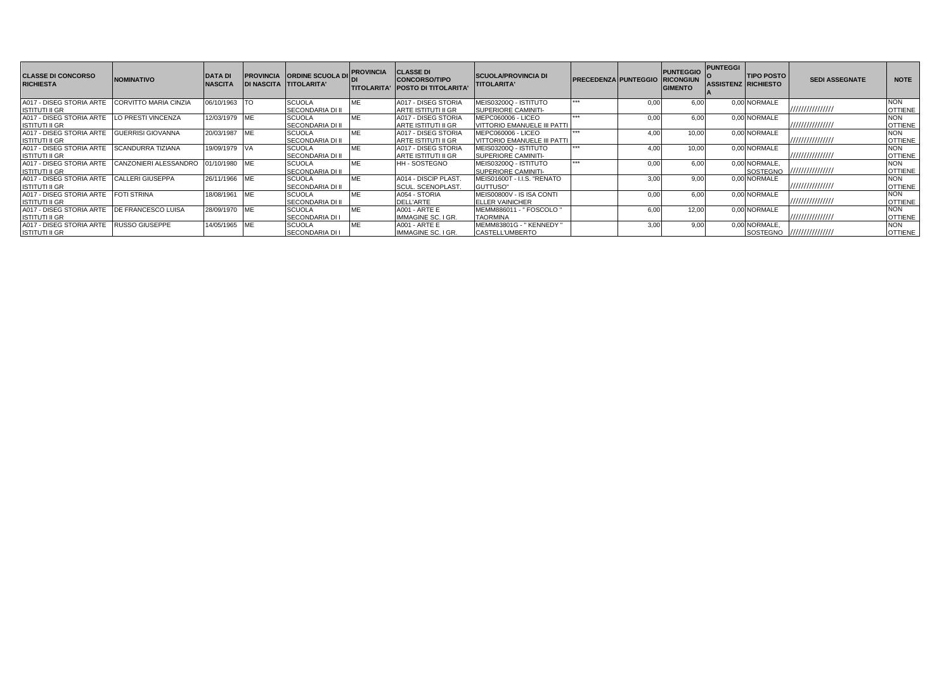| <b>CLASSE DI CONCORSO</b><br><b>RICHIESTA</b> | <b>NOMINATIVO</b>         | <b>DATA DI</b><br><b>NASCITA</b> |            | <b>PROVINCIA ORDINE SCUOLA D</b><br><b>DI NASCITA TITOLARITA'</b> | <b>PROVINCIA</b> | <b>CLASSE DI</b><br><b>CONCORSO/TIPO</b><br>TITOLARITA' IPOSTO DI TITOLARITA | <b>SCUOLA/PROVINCIA DI</b><br><b>TITOLARITA'</b> | <b>PRECEDENZA PUNTEGGIO</b> |      | <b>PUNTEGGIO</b><br><b>RICONGIUN</b><br><b>GIMENTO</b> | <b>PUNTEGGI</b><br><b>ASSISTENZ RICHIESTO</b> | <b>TIPO POSTO</b> | <b>SEDI ASSEGNATE</b>      | <b>NOTE</b>    |
|-----------------------------------------------|---------------------------|----------------------------------|------------|-------------------------------------------------------------------|------------------|------------------------------------------------------------------------------|--------------------------------------------------|-----------------------------|------|--------------------------------------------------------|-----------------------------------------------|-------------------|----------------------------|----------------|
| A017 - DISEG STORIA ARTE                      | CORVITTO MARIA CINZIA     | 06/10/1963 TO                    |            | <b>SCUOLA</b>                                                     | МE               | A017 - DISEG STORIA                                                          | MEIS03200Q - ISTITUTO                            | ***                         | 0.00 | 6.00                                                   |                                               | 0.00 NORMALE      |                            | <b>NON</b>     |
| <b>ISTITUTI II GR</b>                         |                           |                                  |            | <b>SECONDARIA DI II</b>                                           |                  | ARTE ISTITUTI II GR                                                          | <b>SUPERIORE CAMINITI-</b>                       |                             |      |                                                        |                                               |                   |                            | <b>OTTIENE</b> |
| A017 - DISEG STORIA ARTE                      | LO PRESTI VINCENZA        | 12/03/1979                       | <b>IMF</b> | <b>SCUOLA</b>                                                     | МE               | A017 - DISEG STORIA                                                          | MEPC060006 - LICEO                               | ***                         | 0.00 | 6.00                                                   |                                               | 0.00 NORMALE      |                            | <b>NON</b>     |
| <b>ISTITUTI II GR</b>                         |                           |                                  |            | <b>SECONDARIA DI II</b>                                           |                  | ARTE ISTITUTI II GR                                                          | VITTORIO EMANUELE III PATTI                      |                             |      |                                                        |                                               |                   | 11111111111111111          | <b>OTTIENE</b> |
| A017 - DISEG STORIA ARTE                      | <b>GUERRISI GIOVANNA</b>  | 20/03/1987                       | <b>IMF</b> | <b>SCUOLA</b>                                                     | МE               | A017 - DISEG STORIA                                                          | MEPC060006 - LICEO                               | <b>WWW.</b>                 | 4.00 | 10.00                                                  |                                               | 0.00 NORMALE      |                            | <b>NON</b>     |
| <b>ISTITUTI II GR</b>                         |                           |                                  |            | <b>SECONDARIA DI II</b>                                           |                  | <b>ARTE ISTITUTI II GR</b>                                                   | <b>VITTORIO EMANUELE III PATTI</b>               |                             |      |                                                        |                                               |                   |                            | <b>OTTIENE</b> |
| A017 - DISEG STORIA ARTE SCANDURRA TIZIANA    |                           | 19/09/1979 VA                    |            | <b>SCUOLA</b>                                                     | MЕ               | A017 - DISEG STORIA                                                          | MEIS03200Q - ISTITUTO                            | ***                         | 4.00 | 10.00                                                  |                                               | 0.00 NORMALE      |                            | <b>NON</b>     |
| <b>ISTITUTI II GR</b>                         |                           |                                  |            | <b>SECONDARIA DI II</b>                                           |                  | <b>ARTE ISTITUTI II GR</b>                                                   | SUPERIORE CAMINITI-                              |                             |      |                                                        |                                               |                   | ////////////////           | <b>OTTIENE</b> |
| A017 - DISEG STORIA ARTE                      | CANZONIERI ALESSANDRO     | 01/10/1980 ME                    |            | <b>SCUOLA</b>                                                     | МE               | <b>HH-SOSTEGNO</b>                                                           | MEIS03200Q - ISTITUTO                            | ***                         | 0.00 | 6.00                                                   |                                               | 0.00 NORMALE.     |                            | <b>NON</b>     |
| <b>ISTITUTI II GR</b>                         |                           |                                  |            | <b>SECONDARIA DI II</b>                                           |                  |                                                                              | SUPERIORE CAMINITI-                              |                             |      |                                                        |                                               |                   | SOSTEGNO 1/1/1/1/1/1/1/1/1 | <b>OTTIENE</b> |
| A017 - DISEG STORIA ARTE                      | <b>CALLERI GIUSEPPA</b>   | 26/11/1966 ME                    |            | <b>SCUOLA</b>                                                     | МE               | A014 - DISCIP PLAST.                                                         | MEIS01600T - I.I.S. "RENATO                      |                             | 3.00 | 9.00                                                   |                                               | 0.00 NORMALE      |                            | <b>NON</b>     |
| <b>ISTITUTI II GR</b>                         |                           |                                  |            | <b>SECONDARIA DI II</b>                                           |                  | <b>SCUL. SCENOPLAST.</b>                                                     | GUTTUSO"                                         |                             |      |                                                        |                                               |                   | ////////////////           | <b>OTTIENE</b> |
| A017 - DISEG STORIA ARTE                      | <b>FOTI STRINA</b>        | 18/08/1961                       | <b>IME</b> | <b>SCUOLA</b>                                                     | МE               | A054 - STORIA                                                                | MEIS00800V - IS ISA CONTI                        |                             | 0.00 | 6.00                                                   |                                               | 0.00 NORMALE      |                            | <b>NON</b>     |
| <b>ISTITUTI II GR</b>                         |                           |                                  |            | <b>SECONDARIA DI II</b>                                           |                  | DELL'ARTE                                                                    | <b>ELLER VAINICHER</b>                           |                             |      |                                                        |                                               |                   | ////////////////           | <b>OTTIENE</b> |
| A017 - DISEG STORIA ARTE                      | <b>DE FRANCESCO LUISA</b> | 28/09/1970 ME                    |            | <b>SCUOLA</b>                                                     | МE               | <b>A001 - ARTE E</b>                                                         | MEMM886011 - " FOSCOLO "                         |                             | 6.00 | 12.00                                                  |                                               | 0.00 NORMALE      |                            | <b>NON</b>     |
| <b>ISTITUTI II GR</b>                         |                           |                                  |            | <b>SECONDARIA DI I</b>                                            |                  | IMMAGINE SC. I GR.                                                           | <b>TAORMINA</b>                                  |                             |      |                                                        |                                               |                   | ////////////////           | <b>OTTIENE</b> |
| A017 - DISEG STORIA ARTE                      | <b>RUSSO GIUSEPPE</b>     | 14/05/1965 ME                    |            | <b>SCUOLA</b>                                                     | МE               | <b>A001 - ARTE E</b>                                                         | MEMM83801G - "KENNEDY"                           |                             | 3.00 | 9.00                                                   |                                               | 0.00 NORMALE.     |                            | <b>NON</b>     |
| <b>ISTITUTI II GR</b>                         |                           |                                  |            | <b>SECONDARIA DI I</b>                                            |                  | <b>IMMAGINE SC. I GR.</b>                                                    | <b>CASTELL'UMBERTO</b>                           |                             |      |                                                        |                                               |                   | SOSTEGNO ///////////////// | <b>OTTIENE</b> |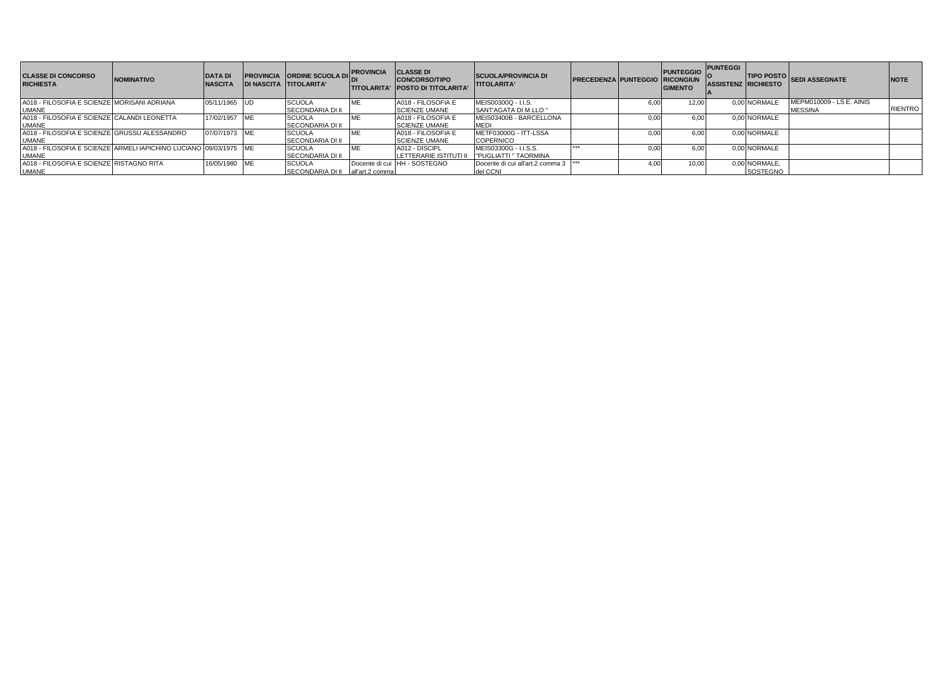| <b>CLASSE DI CONCORSO</b><br><b>RICHIESTA</b>                      | <b>NOMINATIVO</b> | <b>DATA DI</b><br><b>NASCITA</b> |            | <b>PROVINCIA ORDINE SCUOLA DI</b><br><b>DI NASCITA TITOLARITA'</b> | <b>IPROVINCIA</b> | <b>CLASSE DI</b><br><b>CONCORSO/TIPO</b><br><b>ITITOLARITA' IPOSTO DI TITOLARITA'</b> | <b>SCUOLA/PROVINCIA DI</b><br><b>TITOLARITA'</b> | <b>PRECEDENZA PUNTEGGIO RICONGIUN</b> |      | <b>PUNTEGGIO</b> PUNTEGGI  <br><b>GIMENTO</b> | <b>ASSISTENZ RICHIESTO</b> |               | TIPO POSTO SEDI ASSEGNATE | <b>NOTE</b>    |
|--------------------------------------------------------------------|-------------------|----------------------------------|------------|--------------------------------------------------------------------|-------------------|---------------------------------------------------------------------------------------|--------------------------------------------------|---------------------------------------|------|-----------------------------------------------|----------------------------|---------------|---------------------------|----------------|
| A018 - FILOSOFIA E SCIENZE MORISANI ADRIANA                        |                   | 05/11/1965 UD                    |            | <b>SCUOLA</b>                                                      |                   | A018 - FILOSOFIA E                                                                    | MEIS00300Q - I.I.S.                              |                                       | 6.00 | 12.00                                         |                            | 0.00 NORMALE  | MEPM010009 - LS E. AINIS  | <b>RIENTRO</b> |
| <b>UMANE</b>                                                       |                   |                                  |            | SECONDARIA DI II                                                   |                   | <b>SCIENZE UMANE</b>                                                                  | SANT'AGATA DI M.LLO "                            |                                       |      |                                               |                            |               | <b>MESSINA</b>            |                |
| A018 - FILOSOFIA E SCIENZE CALANDI LEONETTA                        |                   | 17/02/1957                       |            | <b>SCUOLA</b>                                                      |                   | A018 - FILOSOFIA E                                                                    | MEIS03400B - BARCELLONA                          |                                       | 0.0  | 6.00                                          |                            | 0.00 NORMALE  |                           |                |
| <b>UMANE</b>                                                       |                   |                                  |            | <b>SECONDARIA DI II</b>                                            |                   | <b>SCIENZE UMANE</b>                                                                  | <b>MED</b>                                       |                                       |      |                                               |                            |               |                           |                |
| A018 - FILOSOFIA E SCIENZE GRUSSU ALESSANDRO                       |                   | 07/07/1973 ME                    |            | <b>SCUOLA</b>                                                      |                   | A018 - FILOSOFIA E                                                                    | METF03000G - ITT-LSSA                            |                                       | 0.0  | 6.00                                          |                            | 0.00 NORMALE  |                           |                |
| <b>IUMANE</b>                                                      |                   |                                  |            | <b>SECONDARIA DI II</b>                                            |                   | <b>SCIENZE UMANE</b>                                                                  | <b>COPERNICO</b>                                 |                                       |      |                                               |                            |               |                           |                |
| A018 - FILOSOFIA E SCIENZE ARMELI IAPICHINO LUCIANO 109/03/1975 ME |                   |                                  |            | <b>SCUOLA</b>                                                      |                   | A012 - DISCIPL                                                                        | MEIS03300G - I.I.S.S.                            | ***                                   | 0.0  | 6.00                                          |                            | 0.00 NORMALE  |                           |                |
| <b>IUMANE</b>                                                      |                   |                                  |            | <b>SECONDARIA DI II</b>                                            |                   | LETTERARIE ISTITUTI I                                                                 | <b>PUGLIATTI " TAORMINA</b>                      |                                       |      |                                               |                            |               |                           |                |
| A018 - FILOSOFIA E SCIENZE RISTAGNO RITA                           |                   | 16/05/1980                       | <b>IME</b> | <b>SCUOLA</b>                                                      |                   | Docente di cui HH - SOSTEGNO                                                          | Docente di cui all'art.2 comma 3                 |                                       | 4.00 | 10.00                                         |                            | 0,00 NORMALE, |                           |                |
| <b>UMANE</b>                                                       |                   |                                  |            | SECONDARIA DI II all'art.2 comma                                   |                   |                                                                                       | del CCNI                                         |                                       |      |                                               |                            | SOSTEGNO      |                           |                |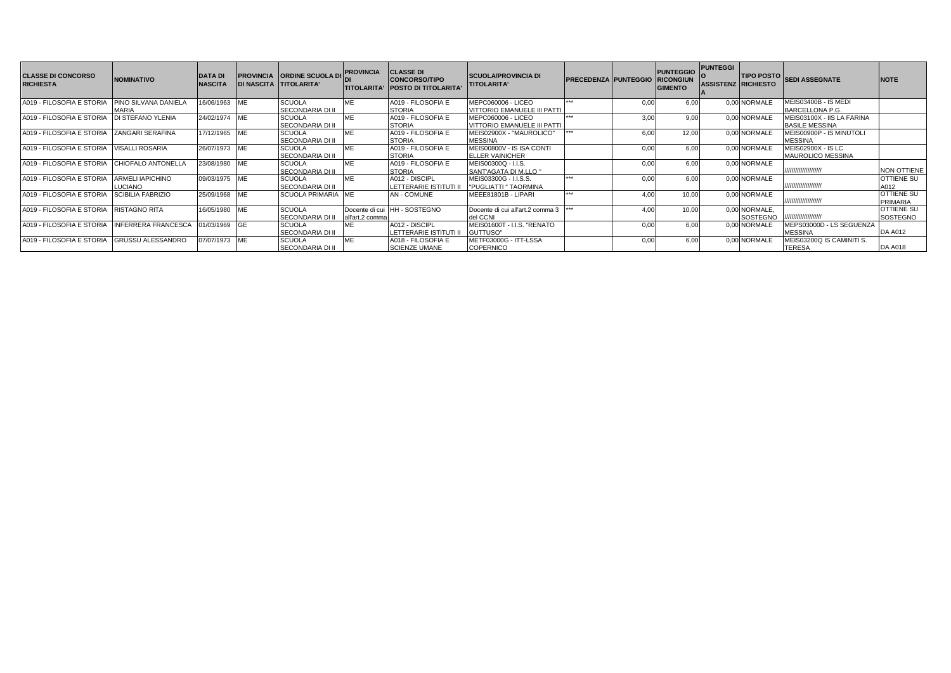| <b>CLASSE DI CONCORSO</b><br><b>RICHIESTA</b> | <b>NOMINATIVO</b>           | <b>DATA DI</b><br><b>NASCITA</b> | <b>DI NASCITA TITOLARITA'</b> | <b>PROVINCIA ORDINE SCUOLA DI</b> | <b>PROVINCIA</b><br><b>TITOLARITA'</b> | <b>CLASSE DI</b><br><b>CONCORSO/TIPO</b><br><b>POSTO DI TITOLARITA'</b> | <b>SCUOLA/PROVINCIA DI</b><br><b>TITOLARITA'</b> | <b>PRECEDENZA PUNTEGGIO</b> |      | <b>PUNTEGGIO</b><br><b>RICONGIUN</b><br><b>GIMENTO</b> | <b>PUNTEGGI</b><br><b>ASSISTENZ RICHIESTO</b> |                 | TIPO POSTO SEDI ASSEGNATE   | <b>NOTE</b>        |
|-----------------------------------------------|-----------------------------|----------------------------------|-------------------------------|-----------------------------------|----------------------------------------|-------------------------------------------------------------------------|--------------------------------------------------|-----------------------------|------|--------------------------------------------------------|-----------------------------------------------|-----------------|-----------------------------|--------------------|
| A019 - FILOSOFIA E STORIA                     | <b>PINO SILVANA DANIELA</b> | 6/06/1963                        | <b>IME</b>                    | <b>SCUOLA</b>                     | <b>ME</b>                              | A019 - FILOSOFIA E                                                      | MEPC060006 - LICEO                               | ***                         | 0.00 | 6.00                                                   |                                               | 0.00 NORMALE    | <b>MEIS03400B - IS MEDI</b> |                    |
|                                               | MARIA                       |                                  |                               | <b>SECONDARIA DI II</b>           |                                        | <b>STORIA</b>                                                           | VITTORIO EMANUELE III PATTI                      |                             |      |                                                        |                                               |                 | BARCELLONA P.G.             |                    |
| A019 - FILOSOFIA E STORIA                     | <b>DI STEFANO YLENIA</b>    | 24/02/1974 ME                    |                               | <b>SCUOLA</b>                     | <b>ME</b>                              | A019 - FILOSOFIA E                                                      | MEPC060006 - LICEO                               | ***                         | 3.00 | 9.00                                                   |                                               | 0.00 NORMALE    | MEIS03100X - IIS LA FARINA  |                    |
|                                               |                             |                                  |                               | <b>SECONDARIA DI II</b>           |                                        | <b>STORIA</b>                                                           | VITTORIO EMANUELE III PATTI                      |                             |      |                                                        |                                               |                 | <b>BASILE MESSINA</b>       |                    |
| A019 - FILOSOFIA E STORIA                     | <b>ZANGARI SERAFINA</b>     | 17/12/1965 ME                    |                               | <b>SCUOLA</b>                     | ME                                     | A019 - FILOSOFIA E                                                      | MEIS02900X - "MAUROLICO"                         |                             | 6.00 | 12.00                                                  |                                               | 0.00 NORMALE    | MEIS00900P - IS MINUTOLI    |                    |
|                                               |                             |                                  |                               | <b>SECONDARIA DI II</b>           |                                        | <b>STORIA</b>                                                           | <b>MESSINA</b>                                   |                             |      |                                                        |                                               |                 | <b>MESSINA</b>              |                    |
| A019 - FILOSOFIA E STORIA                     | <b>VISALLI ROSARIA</b>      | 26/07/1973 ME                    |                               | <b>SCUOLA</b>                     | ME                                     | A019 - FILOSOFIA E                                                      | MEIS00800V - IS ISA CONTI                        |                             | 0.00 | 6.00                                                   |                                               | 0.00 NORMALE    | <b>MEIS02900X - IS LC</b>   |                    |
|                                               |                             |                                  |                               | <b>SECONDARIA DI II</b>           |                                        | <b>STORIA</b>                                                           | <b>ELLER VAINICHER</b>                           |                             |      |                                                        |                                               |                 | <b>MAUROLICO MESSINA</b>    |                    |
| A019 - FILOSOFIA E STORIA                     | CHIOFALO ANTONELLA          | 23/08/1980                       | <b>ME</b>                     | <b>SCUOLA</b>                     | ME                                     | A019 - FILOSOFIA E                                                      | MEIS00300Q - I.I.S.                              |                             | 0.00 | 6.00                                                   |                                               | 0.00 NORMALE    |                             |                    |
|                                               |                             |                                  |                               | <b>SECONDARIA DI II</b>           |                                        | <b>STORIA</b>                                                           | SANT'AGATA DI M.LLO "                            |                             |      |                                                        |                                               |                 | /////////////////////       | <b>NON OTTIENE</b> |
| A019 - FILOSOFIA E STORIA                     | <b>ARMELI IAPICHINO</b>     | 09/03/1975 ME                    |                               | <b>SCUOLA</b>                     | ME                                     | A012 - DISCIPL                                                          | MEIS03300G - I.I.S.S.                            | ***                         | 0.00 | 6.00                                                   |                                               | 0.00 NORMALE    |                             | <b>OTTIENE SU</b>  |
|                                               | LUCIANO                     |                                  |                               | <b>SECONDARIA DI II</b>           |                                        | LETTERARIE ISTITUTI II                                                  | <b>I'PUGLIATTI " TAORMINA</b>                    |                             |      |                                                        |                                               |                 | ,,,,,,,,,,,,,,,,,,,         | A012               |
| A019 - FILOSOFIA E STORIA                     | <b>SCIBILIA FABRIZIO</b>    | 25/09/1968 ME                    |                               | <b>SCUOLA PRIMARIA IME</b>        |                                        | AN - COMUNE                                                             | MEEE81801B - LIPARI                              | ***                         | 4.00 | 10,00                                                  |                                               | 0.00 NORMALE    |                             | <b>OTTIENE SU</b>  |
|                                               |                             |                                  |                               |                                   |                                        |                                                                         |                                                  |                             |      |                                                        |                                               |                 | ,,,,,,,,,,,,,,,,,,,,        | <b>PRIMARIA</b>    |
| A019 - FILOSOFIA E STORIA                     | <b>RISTAGNO RITA</b>        | 16/05/1980                       | <b>MF</b>                     | <b>SCUOLA</b>                     |                                        | Docente di cui IHH - SOSTEGNO                                           | Docente di cui all'art.2 comma 3                 |                             | 4.00 | 10.00                                                  |                                               | 0.00 NORMALE.   |                             | <b>OTTIENE SU</b>  |
|                                               |                             |                                  |                               | <b>SECONDARIA DI II</b>           | all'art.2 comma                        |                                                                         | del CCNI                                         |                             |      |                                                        |                                               | <b>SOSTEGNO</b> | ,,,,,,,,,,,,,,,,,,          | SOSTEGNO           |
| A019 - FILOSOFIA E STORIA                     | <b>INFERRERA FRANCESCA</b>  | 01/03/1969                       |                               | <b>SCUOLA</b>                     | ME                                     | A012 - DISCIPL                                                          | MEIS01600T - I.I.S. "RENATO                      |                             | 0.00 | 6.00                                                   |                                               | 0.00 NORMALE    | MEPS03000D - LS SEGUENZA    |                    |
|                                               |                             |                                  |                               | <b>SECONDARIA DI II</b>           |                                        | LETTERARIE ISTITUTI II                                                  | GUTTUSO"                                         |                             |      |                                                        |                                               |                 | <b>MESSINA</b>              | <b>DA A012</b>     |
| A019 - FILOSOFIA E STORIA                     | <b>GRUSSU ALESSANDRO</b>    | 07/07/1973 ME                    |                               | <b>SCUOLA</b>                     | <b>ME</b>                              | A018 - FILOSOFIA E                                                      | METF03000G - ITT-LSSA                            |                             | 0.00 | 6,00                                                   |                                               | 0.00 NORMALE    | MEIS03200Q IS CAMINITI S.   |                    |
|                                               |                             |                                  |                               | <b>SECONDARIA DI II</b>           |                                        | <b>SCIENZE UMANE</b>                                                    | <b>COPERNICO</b>                                 |                             |      |                                                        |                                               |                 | <b>TERESA</b>               | <b>DA A018</b>     |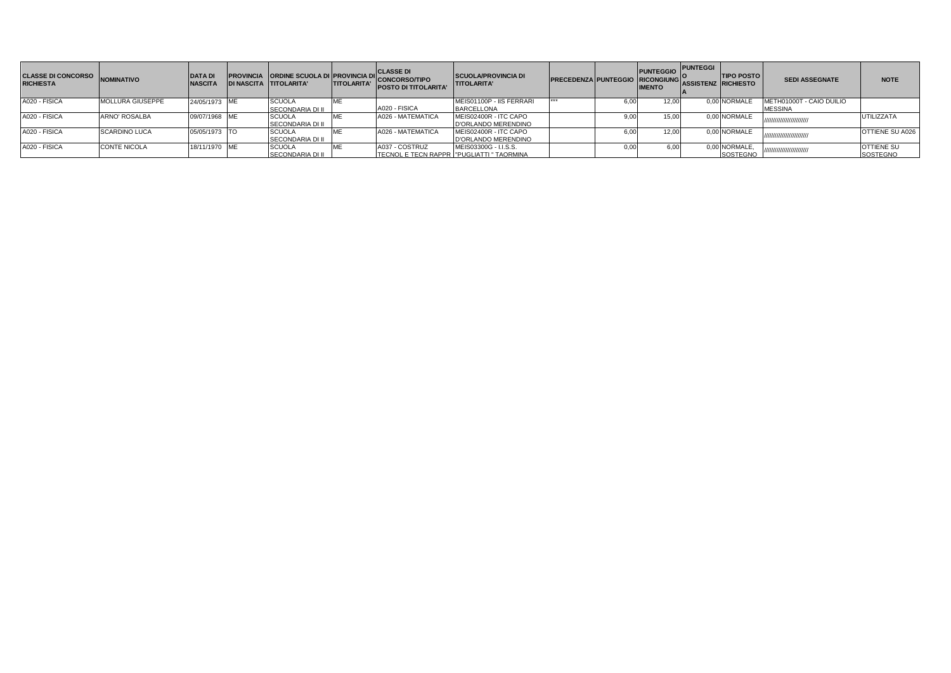| <b>CLASSE DI CONCORSO</b><br><b>RICHIESTA</b> | <b>NOMINATIVO</b>    | <b>DATA D</b><br><b>NASCITA</b> | <b>PROVINCIA ORDINE SCUOLA DI PROVINCIA DI</b><br>IDI NASCITA TITOLARITA' | <b>TITOLARITA'</b> | <b>CLASSE DI</b><br>'I CONCORSO/TIPO<br><b>POSTO DI TITOLARITA'</b> | <b>SCUOLA/PROVINCIA DI</b><br><b>TITOLARITA'</b> | PRECEDENZA PUNTEGGIO RICONGIUNG |      | <b>PUNTEGGIO</b><br><b>IMENTO</b> | <b>PUNTEGGI</b><br><b>ASSISTENZ RICHIESTO</b> | <b>TIPO POSTO</b>                | <b>SEDI ASSEGNATE</b>                      | <b>NOTE</b>                          |
|-----------------------------------------------|----------------------|---------------------------------|---------------------------------------------------------------------------|--------------------|---------------------------------------------------------------------|--------------------------------------------------|---------------------------------|------|-----------------------------------|-----------------------------------------------|----------------------------------|--------------------------------------------|--------------------------------------|
| A020 - FISICA                                 | MOLLURA GIUSEPPE     | 24/05/1973 ME                   | <b>SCUOLA</b><br><b>SECONDARIA DI II</b>                                  |                    | A020 - FISICA                                                       | MEIS01100P - IIS FERRARI<br><b>BARCELLONA</b>    |                                 |      | 12.00                             |                                               | 0.00 NORMALE                     | METH01000T - CAIO DUILIO<br><b>MESSINA</b> |                                      |
| A020 - FISICA                                 | ARNO' ROSALBA        | 09/07/1968 ME                   | <b>SCUOLA</b><br><b>SECONDARIA DI II</b>                                  |                    | A026 - MATEMATICA                                                   | MEIS02400R - ITC CAPO<br>D'ORLANDO MERENDINO     |                                 |      | 15.00                             |                                               | 0.00 NORMALE                     | //////////////////////////                 | <b>UTILIZZATA</b>                    |
| A020 - FISICA                                 | <b>SCARDINO LUCA</b> | 05/05/1973 TO                   | <b>SCUOLA</b><br><b>SECONDARIA DI II</b>                                  |                    | A026 - MATEMATICA                                                   | MEIS02400R - ITC CAPO<br>D'ORLANDO MERENDINO     |                                 | 6,00 | 12.00                             |                                               | 0.00 NORMALE                     | //////////////////////////                 | OTTIENE SU A026                      |
| A020 - FISICA                                 | <b>CONTE NICOLA</b>  | 18/11/1970 ME                   | <b>SCUOLA</b><br><b>SECONDARIA DI II</b>                                  |                    | A037 - COSTRUZ<br>TECNOL E TECN RAPPR   "PUGLIATTI" TAORMINA        | MEIS03300G - I.I.S.S.                            |                                 | 0.0  | 6.00                              |                                               | 0,00 NORMALE,<br><b>SOSTEGNO</b> | //////////////////////////                 | <b>OTTIENE SU</b><br><b>SOSTEGNO</b> |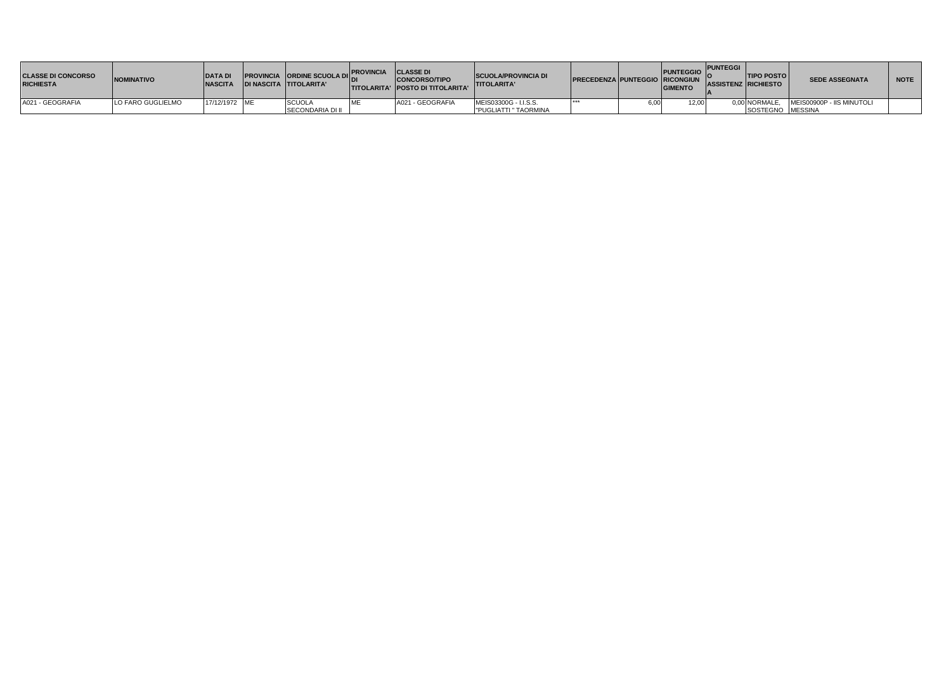| <b>CLASSE DI CONCORSO</b><br><b>RICHIESTA</b> | <b>NOMINATIVO</b> | <b>DATA DI</b><br><b>NASCITA</b> | <b>PROVINCIA ORDINE SCUOLA DIL.</b><br>IDI NASCITA TITOLARITA' | <b>PROVINCIA CLASSE DI</b> | <b>CONCORSO/TIPO</b><br><b>ITITOLARITA' IPOSTO DI TITOLARITA'</b> | <b>SCUOLA/PROVINCIA DI</b><br><b>TITOLARITA'</b> | <b>PRECEDENZA PUNTEGGIO RICONGIUN</b> | PUNTEGGIO PUNTEGGI<br><b>GIMENTO</b> | <b>ASSISTENZ RICHIESTO</b> | <b>TIPO POSTO</b> | <b>SEDE ASSEGNATA</b>     | <b>NOTE</b> |
|-----------------------------------------------|-------------------|----------------------------------|----------------------------------------------------------------|----------------------------|-------------------------------------------------------------------|--------------------------------------------------|---------------------------------------|--------------------------------------|----------------------------|-------------------|---------------------------|-------------|
| A021 - GEOGRAFIA                              | LO FARO GUGLIELMO | 17/12/1972 ME                    | SCUOL <sub>+</sub>                                             |                            | A021 - GEOGRAFIA                                                  | MEIS03300G - I.I.S.S.                            |                                       | 12.00                                |                            | 0.00 NORMALE.     | MEIS00900P - IIS MINUTOLI |             |
|                                               |                   |                                  | <b>ISECONDARIA DI II</b>                                       |                            |                                                                   | <b>PUGLIATTI " TAORMINA</b>                      |                                       |                                      |                            | SOSTEGNO MESSINA  |                           |             |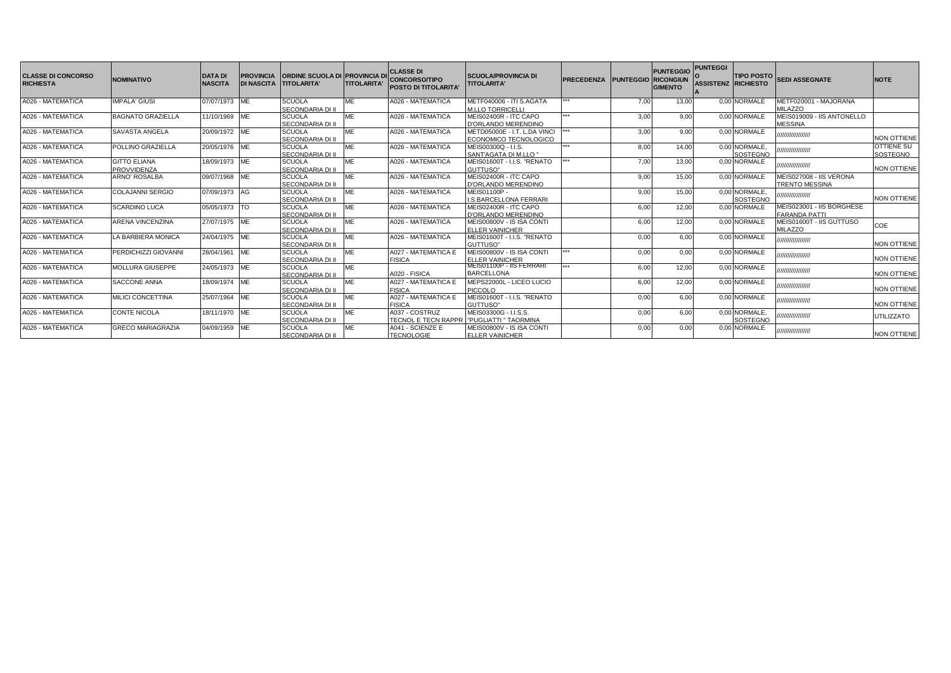| <b>CLASSE DI CONCORSO</b><br><b>RICHIESTA</b> | <b>NOMINATIVO</b>                         | <b>DATA DI</b><br><b>NASCITA</b> | <b>PROVINCIA</b><br><b>DI NASCITA</b> | <b>ORDINE SCUOLA DI PROVINCIA DI</b><br><b>TITOLARITA'</b> | <b>TITOLARITA'</b> | <b>CLASSE DI</b><br><b>CONCORSO/TIPO</b><br><b>POSTO DI TITOLARITA</b> | <b>SCUOLA/PROVINCIA DI</b><br><b>TITOLARITA'</b>      | <b>PRECEDENZA</b> | <b>PUNTEGGIO RICONGIUN</b> | PUNTEGGIO<br><b>GIMENTO</b> | <b>PUNTEGGI</b> | <b>TIPO POSTO</b><br>ASSISTENZ  RICHIESTO | <b>SEDI ASSEGNATE</b>                             | <b>NOTE</b>                          |
|-----------------------------------------------|-------------------------------------------|----------------------------------|---------------------------------------|------------------------------------------------------------|--------------------|------------------------------------------------------------------------|-------------------------------------------------------|-------------------|----------------------------|-----------------------------|-----------------|-------------------------------------------|---------------------------------------------------|--------------------------------------|
| A026 - MATEMATICA                             | <b>IMPALA' GIUSI</b>                      | 07/07/1973 ME                    |                                       | <b>SCUOLA</b><br>SECONDARIA DI II                          | МE                 | A026 - MATEMATICA                                                      | METF040006 - ITI S.AGATA<br><b>M.LLO TORRICELLI</b>   | ***               | 7.00                       | 13.00                       |                 | 0.00 NORMALE                              | METF020001 - MAJORANA<br><b>MILAZZO</b>           |                                      |
| A026 - MATEMATICA                             | <b>BAGNATO GRAZIELLA</b>                  | 11/10/1969                       | ME                                    | <b>SCUOLA</b><br>SECONDARIA DI II                          | ME                 | A026 - MATEMATICA                                                      | MEIS02400R - ITC CAPO<br>D'ORLANDO MERENDINO          | ***               | 3.00                       | 9.00                        |                 | 0.00 NORMALE                              | MEIS019009 - IIS ANTONELLO<br><b>MESSINA</b>      |                                      |
| A026 - MATEMATICA                             | SAVASTA ANGELA                            | 20/09/1972 ME                    |                                       | <b>SCUOLA</b><br>SECONDARIA DI II                          | <b>ME</b>          | A026 - MATEMATICA                                                      | METD05000E - I.T. L.DA VINCI<br>ECONOMICO TECNOLOGICO | ***               | 3.00                       | 9.00                        |                 | 0.00 NORMALE                              | //////////////////                                | <b>NON OTTIENE</b>                   |
| A026 - MATEMATICA                             | POLLINO GRAZIELLA                         | 20/05/1976 ME                    |                                       | <b>SCUOLA</b><br>SECONDARIA DI II                          | ME                 | A026 - MATEMATICA                                                      | MEIS00300Q - I.I.S.<br>SANT'AGATA DI M.LLO "          | ***               | 8.00                       | 14.00                       |                 | 0.00 NORMALE.<br><b>SOSTEGNO</b>          | 77777777777777777                                 | <b>OTTIENE SU</b><br><b>SOSTEGNO</b> |
| A026 - MATEMATICA                             | <b>GITTO ELIANA</b><br><b>PROVVIDENZA</b> | 18/09/1973 ME                    |                                       | <b>SCUOLA</b><br>SECONDARIA DI II                          | МE                 | A026 - MATEMATICA                                                      | MEIS01600T - I.I.S. "RENATO<br>GUTTUSO"               | ***               | 7.00                       | 13.00                       |                 | 0.00 NORMALE                              | ,,,,,,,,,,,,,,,,,,,                               | <b>NON OTTIENE</b>                   |
| A026 - MATEMATICA                             | <b>ARNO' ROSALBA</b>                      | 09/07/1968 ME                    |                                       | <b>SCUOLA</b><br>SECONDARIA DI II                          | ME                 | A026 - MATEMATICA                                                      | MEIS02400R - ITC CAPO<br>D'ORLANDO MERENDINO          |                   | 9.00                       | 15.00                       |                 | 0.00 NORMALE                              | MEIS027008 - IIS VERONA<br><b>TRENTO MESSINA</b>  |                                      |
| A026 - MATEMATICA                             | <b>COLAJANNI SERGIO</b>                   | 07/09/1973 AG                    |                                       | <b>SCUOLA</b><br>SECONDARIA DI II                          | ME                 | A026 - MATEMATICA                                                      | MEIS01100P-<br><b>LS.BARCELLONA FERRARI</b>           |                   | 9.00                       | 15.00                       |                 | 0.00 NORMALE.<br>SOSTEGNO                 | ,,,,,,,,,,,,,,,,,,                                | <b>NON OTTIENE</b>                   |
| A026 - MATEMATICA                             | <b>SCARDINO LUCA</b>                      | 05/05/1973 TO                    |                                       | <b>SCUOLA</b><br>SECONDARIA DI II                          | ME                 | A026 - MATEMATICA                                                      | MEIS02400R - ITC CAPO<br>D'ORLANDO MERENDINO          |                   | 6.00                       | 12.00                       |                 | 0.00 NORMALE                              | MEIS023001 - IIS BORGHESE<br><b>FARANDA PATTI</b> |                                      |
| A026 - MATEMATICA                             | <b>ARENA VINCENZINA</b>                   | 27/07/1975 ME                    |                                       | <b>SCUOLA</b><br>SECONDARIA DI II                          | МE                 | A026 - MATEMATICA                                                      | MEIS00800V - IS ISA CONTI<br><b>ELLER VAINICHER</b>   |                   | 6,00                       | 12.00                       |                 | 0.00 NORMALE                              | MEIS01600T - IIS GUTTUSO<br><b>MILAZZO</b>        | COE                                  |
| A026 - MATEMATICA                             | LA BARBIERA MONICA                        | 24/04/1975 ME                    |                                       | <b>SCUOLA</b><br>SECONDARIA DI II                          | MF                 | A026 - MATEMATICA                                                      | MEIS01600T - I.I.S. "RENATO<br>GUTTUSO"               |                   | 0.00                       | 6.00                        |                 | 0.00 NORMALE                              | //////////////////                                | <b>NON OTTIENE</b>                   |
| A026 - MATEMATICA                             | PERDICHIZZI GIOVANNI                      | 28/04/1961                       | <b>ME</b>                             | <b>SCUOLA</b><br>SECONDARIA DI II                          | МE                 | A027 - MATEMATICA E<br><b>FISICA</b>                                   | MEIS00800V - IS ISA CONTI<br><b>ELLER VAINICHER</b>   | ***               | 0.00                       | 0.00                        |                 | 0.00 NORMALE                              | //////////////////                                | <b>NON OTTIENE</b>                   |
| A026 - MATEMATICA                             | <b>MOLLURA GIUSEPPE</b>                   | 24/05/1973 ME                    |                                       | <b>SCUOLA</b><br>SECONDARIA DI II                          | ME                 | A020 - FISICA                                                          | MEIS01100P - IIS FERRARI<br><b>BARCELLONA</b>         | ***               | 6.00                       | 12.00                       |                 | 0.00 NORMALE                              | //////////////////                                | <b>NON OTTIENE</b>                   |
| A026 - MATEMATICA                             | SACCONE ANNA                              | 18/09/1974 ME                    |                                       | <b>SCUOLA</b><br>SECONDARIA DI II                          | ME                 | A027 - MATEMATICA E<br><b>FISICA</b>                                   | MEPS22000L - LICEO LUCIO<br><b>PICCOLO</b>            |                   | 6.00                       | 12.00                       |                 | 0.00 NORMALE                              | ///////////////////                               | <b>NON OTTIENE</b>                   |
| A026 - MATEMATICA                             | <b>MILICI CONCETTINA</b>                  | 25/07/1964 ME                    |                                       | <b>SCUOLA</b><br>SECONDARIA DI II                          | ME                 | A027 - MATEMATICA E<br><b>FISICA</b>                                   | MEIS01600T - I.I.S. "RENATO<br>GUTTUSO"               |                   | 0.00                       | 6.00                        |                 | 0.00 NORMALE                              | //////////////////                                | <b>NON OTTIENE</b>                   |
| A026 - MATEMATICA                             | <b>CONTE NICOLA</b>                       | 18/11/1970 ME                    |                                       | <b>SCUOLA</b><br>SECONDARIA DI II                          | ME                 | A037 - COSTRUZ<br>TECNOL E TECN RAPPR   "PUGLIATTI " TAORMINA          | MEIS03300G - I.I.S.S.                                 |                   | 0.00                       | 6.00                        |                 | 0,00 NORMALE,<br>SOSTEGNO                 | ,,,,,,,,,,,,,,,,,                                 | <b>UTILIZZATO</b>                    |
| A026 - MATEMATICA                             | <b>GRECO MARIAGRAZIA</b>                  | 04/09/1959 ME                    |                                       | <b>SCUOLA</b><br>SECONDARIA DI II                          | МE                 | A041 - SCIENZE E<br><b>TECNOLOGIE</b>                                  | MEIS00800V - IS ISA CONTI<br><b>ELLER VAINICHER</b>   |                   | 0,00                       | 0.00                        |                 | 0.00 NORMALE                              | ,,,,,,,,,,,,,,,,,,                                | <b>NON OTTIENE</b>                   |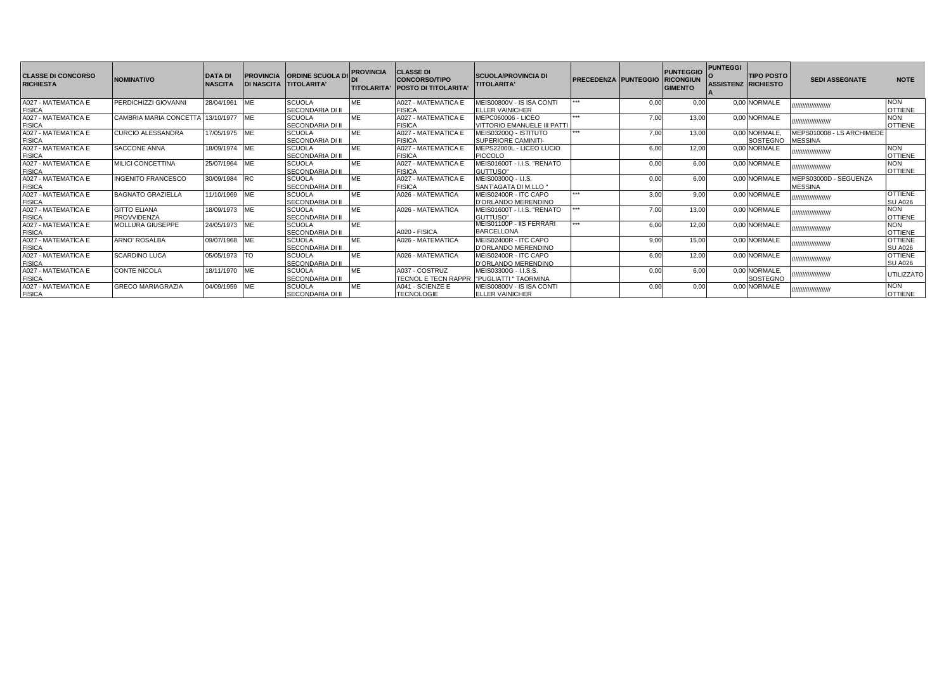| <b>CLASSE DI CONCORSO</b><br><b>RICHIESTA</b> | <b>NOMINATIVO</b>         | <b>DATA DI</b><br><b>NASCITA</b> | <b>PROVINCIA</b> | <b>ORDINE SCUOLA D</b><br>DI NASCITA TITOLARITA' | <b>PROVINCIA</b> | <b>CLASSE DI</b><br>CONCORSO/TIPO<br><b>ITITOLARITA' IPOSTO DI TITOLARITA</b> | <b>SCUOLA/PROVINCIA DI</b><br><b>TITOLARITA'</b> | <b>PRECEDENZA PUNTEGGIO RICONGIUN</b> |      | <b>PUNTEGGIO</b><br><b>GIMENTO</b> | <b>PUNTEGGI</b><br><b>ASSISTENZ RICHIESTO</b> | <b>TIPO POSTO</b> | <b>SEDI ASSEGNATE</b>     | <b>NOTE</b>       |
|-----------------------------------------------|---------------------------|----------------------------------|------------------|--------------------------------------------------|------------------|-------------------------------------------------------------------------------|--------------------------------------------------|---------------------------------------|------|------------------------------------|-----------------------------------------------|-------------------|---------------------------|-------------------|
| A027 - MATEMATICA E                           | PERDICHIZZI GIOVANNI      | 28/04/1961                       | ME               | <b>SCUOLA</b>                                    | <b>ME</b>        | A027 - MATEMATICA E                                                           | MEIS00800V - IS ISA CONTI                        | ***                                   | 0,00 | 0.00                               |                                               | 0,00 NORMALE      | ,,,,,,,,,,,,,,,,,,,,,     | <b>NON</b>        |
| <b>FISICA</b>                                 |                           |                                  |                  | <b>SECONDARIA DI II</b>                          |                  | <b>FISICA</b>                                                                 | <b>ELLER VAINICHER</b>                           | ***                                   |      |                                    |                                               |                   |                           | <b>OTTIENE</b>    |
| A027 - MATEMATICA E                           | CAMBRIA MARIA CONCETTA    | 13/10/1977                       | <b>IME</b>       | <b>SCUOLA</b>                                    | <b>ME</b>        | A027 - MATEMATICA E                                                           | <b>MEPC060006 - LICEO</b>                        |                                       | 7,00 | 13,00                              |                                               | 0,00 NORMALE      | ,,,,,,,,,,,,,,,,,,,,,,    | <b>NON</b>        |
| FISICA<br>A027 - MATEMATICA E                 |                           |                                  |                  | <b>SECONDARIA DI II</b>                          |                  | <b>FISICA</b>                                                                 | <b>VITTORIO EMANUELE III PATTI</b>               |                                       |      |                                    |                                               |                   |                           | <b>OTTIENE</b>    |
|                                               | CURCIO ALESSANDRA         | 17/05/1975                       | <b>IME</b>       | <b>SCUOLA</b>                                    | ME               | A027 - MATEMATICA E                                                           | MEIS03200Q - ISTITUTO                            | ***                                   | 7,00 | 13,00                              |                                               | 0,00 NORMALE,     | MEPS010008 - LS ARCHIMEDE |                   |
| FISICA<br>A027 - MATEMATICA E                 |                           |                                  |                  | SECONDARIA DI II                                 |                  | <b>FISICA</b>                                                                 | <b>SUPERIORE CAMINITI-</b>                       |                                       |      |                                    |                                               | SOSTEGNO          | <b>MESSINA</b>            |                   |
|                                               | SACCONE ANNA              | 18/09/1974                       | ME               | <b>SCUOLA</b>                                    | <b>ME</b>        | A027 - MATEMATICA E                                                           | MEPS22000L - LICEO LUCIO                         |                                       | 6,00 | 12,00                              |                                               | 0,00 NORMALE      | ,,,,,,,,,,,,,,,,,,,,,,    | <b>NON</b>        |
| FISICA<br>A027 - MATEMATICA E                 |                           |                                  |                  | <b>SECONDARIA DI II</b>                          |                  | <b>FISICA</b>                                                                 | <b>PICCOLO</b>                                   |                                       |      |                                    |                                               |                   |                           | <b>OTTIENE</b>    |
|                                               | <b>MILICI CONCETTINA</b>  | 25/07/1964                       | <b>ME</b>        | <b>SCUOLA</b>                                    | <b>ME</b>        | A027 - MATEMATICA E                                                           | MEIS01600T - I.I.S. "RENATO                      |                                       | 0,00 | 6,00                               |                                               | 0,00 NORMALE      | ,,,,,,,,,,,,,,,,,,,,,,    | <b>NON</b>        |
| <b>FISICA</b>                                 |                           |                                  |                  | <b>SECONDARIA DI II</b>                          |                  | <b>FISICA</b>                                                                 | GUTTUSO"                                         |                                       |      |                                    |                                               |                   |                           | <b>OTTIENE</b>    |
| A027 - MATEMATICA E                           | <b>INGENITO FRANCESCO</b> | 30/09/1984                       | <b>RC</b>        | <b>SCUOLA</b>                                    | ME               | A027 - MATEMATICA E                                                           | MEIS00300Q - I.I.S.                              |                                       | 0,00 | 6.00                               |                                               | 0.00 NORMALE      | MEPS03000D - SEGUENZA     |                   |
| <b>FISICA</b>                                 |                           |                                  |                  | SECONDARIA DI II                                 |                  | <b>FISICA</b>                                                                 | SANT'AGATA DI M.LLO "                            |                                       |      |                                    |                                               |                   | <b>MESSINA</b>            |                   |
| A027 - MATEMATICA E                           | <b>BAGNATO GRAZIELLA</b>  | 11/10/1969                       | ME               | <b>SCUOLA</b>                                    | <b>ME</b>        | A026 - MATEMATICA                                                             | MEIS02400R - ITC CAPO                            | ***                                   | 3,00 | 9.00                               |                                               | 0.00 NORMALE      | ,,,,,,,,,,,,,,,,,,,,,     | <b>OTTIENE</b>    |
| <b>FISICA</b>                                 |                           |                                  |                  | <b>SECONDARIA DI II</b>                          |                  |                                                                               | D'ORLANDO MERENDINO                              |                                       |      |                                    |                                               |                   |                           | <b>SU A026</b>    |
| A027 - MATEMATICA E                           | <b>GITTO ELIANA</b>       | 18/09/1973 ME                    |                  | <b>SCUOLA</b>                                    | ME               | A026 - MATEMATICA                                                             | MEIS01600T - I.I.S. "RENATO                      |                                       | 7,00 | 13,00                              |                                               | 0,00 NORMALE      | ,,,,,,,,,,,,,,,,,,,,,     | <b>NON</b>        |
| FISICA<br>A027 - MATEMATICA E                 | <b>PROVVIDENZA</b>        |                                  |                  | <b>SECONDARIA DI II</b>                          |                  |                                                                               | GUTTUSO"                                         |                                       |      |                                    |                                               |                   |                           | <b>OTTIENE</b>    |
|                                               | <b>MOLLURA GIUSEPPE</b>   | 24/05/1973                       | ME               | <b>SCUOLA</b>                                    | ME               |                                                                               | MEIS01100P - IIS FERRARI                         | <b>WWW.</b>                           | 6,00 | 12,00                              |                                               | 0.00 NORMALE      | ,,,,,,,,,,,,,,,,,,,,,     | <b>NON</b>        |
| <b>FISICA</b>                                 |                           |                                  |                  | <b>SECONDARIA DI II</b>                          |                  | A020 - FISICA                                                                 | <b>BARCELLONA</b>                                |                                       |      |                                    |                                               |                   |                           | <b>OTTIENE</b>    |
| A027 - MATEMATICA E                           | <b>ARNO' ROSALBA</b>      | 09/07/1968                       | MЕ               | <b>SCUOLA</b>                                    | ME               | A026 - MATEMATICA                                                             | MEIS02400R - ITC CAPO                            |                                       | 9,00 | 15,00                              |                                               | 0,00 NORMALE      | ,,,,,,,,,,,,,,,,,,,,,,    | <b>OTTIENE</b>    |
| <b>FISICA</b>                                 |                           |                                  |                  | <b>SECONDARIA DI II</b>                          |                  |                                                                               | D'ORLANDO MERENDINO                              |                                       |      |                                    |                                               |                   |                           | <b>SU A026</b>    |
| A027 - MATEMATICA E                           | <b>SCARDINO LUCA</b>      | 05/05/1973                       |                  | <b>SCUOLA</b>                                    | ME               | A026 - MATEMATICA                                                             | MEIS02400R - ITC CAPO                            |                                       | 6,00 | 12,00                              |                                               | 0,00 NORMALE      | ,,,,,,,,,,,,,,,,,,,,,     | <b>OTTIENE</b>    |
| <b>FISICA</b>                                 |                           |                                  |                  | SECONDARIA DI II                                 |                  |                                                                               | D'ORLANDO MERENDINO                              |                                       |      |                                    |                                               |                   |                           | <b>SU A026</b>    |
| A027 - MATEMATICA E                           | <b>CONTE NICOLA</b>       | 18/11/1970                       | <b>IME</b>       | <b>SCUOLA</b>                                    | <b>ME</b>        | A037 - COSTRUZ                                                                | MEIS03300G - I.I.S.S.                            |                                       | 0,00 | 6,00                               |                                               | 0.00 NORMALE.     | ,,,,,,,,,,,,,,,,,,,,,     | <b>UTILIZZATO</b> |
|                                               |                           |                                  |                  | <b>SECONDARIA DI II</b>                          |                  | <b>ITECNOL E TECN RAPPR</b>                                                   | "PUGLIATTI " TAORMINA                            |                                       |      |                                    |                                               | SOSTEGNO          |                           |                   |
| FISICA<br>A027 - MATEMATICA E                 | <b>GRECO MARIAGRAZIA</b>  | 04/09/1959                       | ME               | <b>SCUOLA</b>                                    | ME               | A041 - SCIENZE E                                                              | MEIS00800V - IS ISA CONTI                        |                                       | 0,00 | 0,00                               |                                               | 0.00 NORMALE      | ,,,,,,,,,,,,,,,,,,,,,,    | <b>NON</b>        |
| <b>FISICA</b>                                 |                           |                                  |                  | <b>SECONDARIA DI II</b>                          |                  | <b>TECNOLOGIE</b>                                                             | <b>ELLER VAINICHER</b>                           |                                       |      |                                    |                                               |                   |                           | <b>OTTIENE</b>    |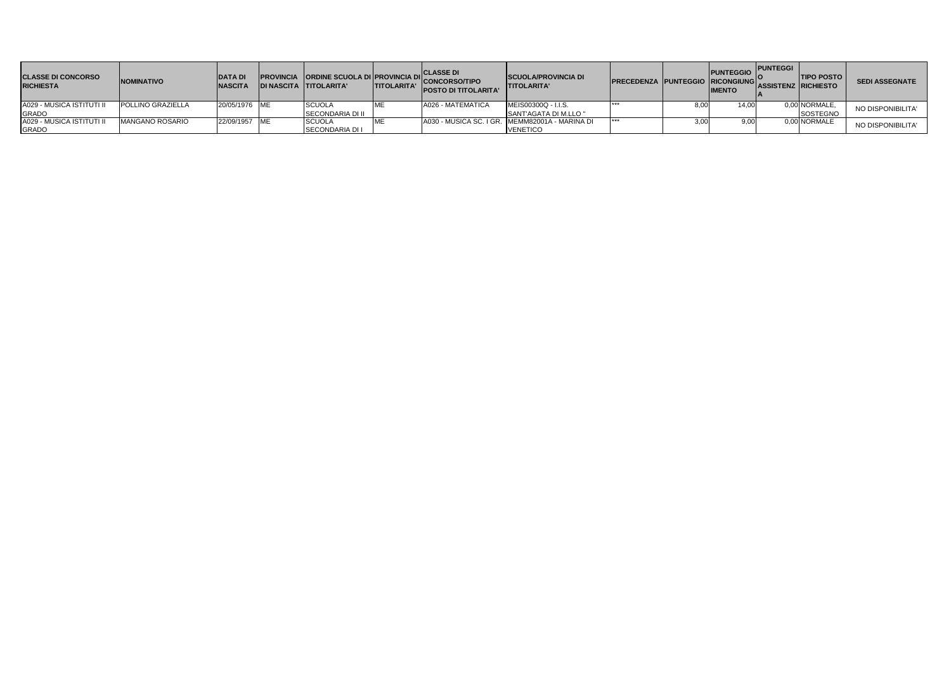| <b>CLASSE DI CONCORSO</b><br><b>RICHIESTA</b> | <b>NOMINATIVO</b>      | <b>DATAD</b><br><b>NASCITA</b> | <b>IDI NASCITA TITOLARITA'</b> | <b>PROVINCIA ORDINE SCUOLA DI PROVINCIA DI</b> | <b>ITITOLARITA'</b> | <b>CLASSE DI</b><br>'ICONCORSO/TIPO<br><b>POSTO DI TITOLARITA'</b> | <b>SCUOLA/PROVINCIA DI</b><br><b>TITOLARITA'</b> | <b>IPRECEDENZA PUNTEGGIO RICONGIUNGIONALI</b> |      | PUNTEGGIO<br><b>IMENTO</b> | <b>PUNTEGGI</b> | <b>TIPO POSTO</b><br><b>ASSISTENZ RICHIESTO</b> | <b>SEDI ASSEGNATE</b> |
|-----------------------------------------------|------------------------|--------------------------------|--------------------------------|------------------------------------------------|---------------------|--------------------------------------------------------------------|--------------------------------------------------|-----------------------------------------------|------|----------------------------|-----------------|-------------------------------------------------|-----------------------|
| A029 - MUSICA ISTITUTI II                     | POLLINO GRAZIELLA      | 20/05/1976 ME                  |                                | <b>SCUOLA</b>                                  |                     | A026 - MATEMATICA                                                  | MEIS00300Q - I.I.S.                              |                                               | 8.00 | 14,00                      |                 | 0,00 NORMALE,                                   | NO DISPONIBILITA'     |
| <b>GRADO</b>                                  |                        |                                |                                | <b>SECONDARIA DI II</b>                        |                     |                                                                    | SANT'AGATA DI M.LLO "                            |                                               |      |                            |                 | <b>SOSTEGNO</b>                                 |                       |
| A029 - MUSICA ISTITUTI II                     | <b>MANGANO ROSARIO</b> | 22/09/1957 ME                  |                                | <b>SCUOLA</b>                                  |                     |                                                                    | A030 - MUSICA SC. I GR. MEMM82001A - MARINA DI   | ***                                           | 3.00 | 9.00                       |                 | 0.00 NORMALE                                    | NO DISPONIBILITA'     |
| <b>GRADO</b>                                  |                        |                                |                                | <b>SECONDARIA DI I</b>                         |                     |                                                                    | <b>VENETICO</b>                                  |                                               |      |                            |                 |                                                 |                       |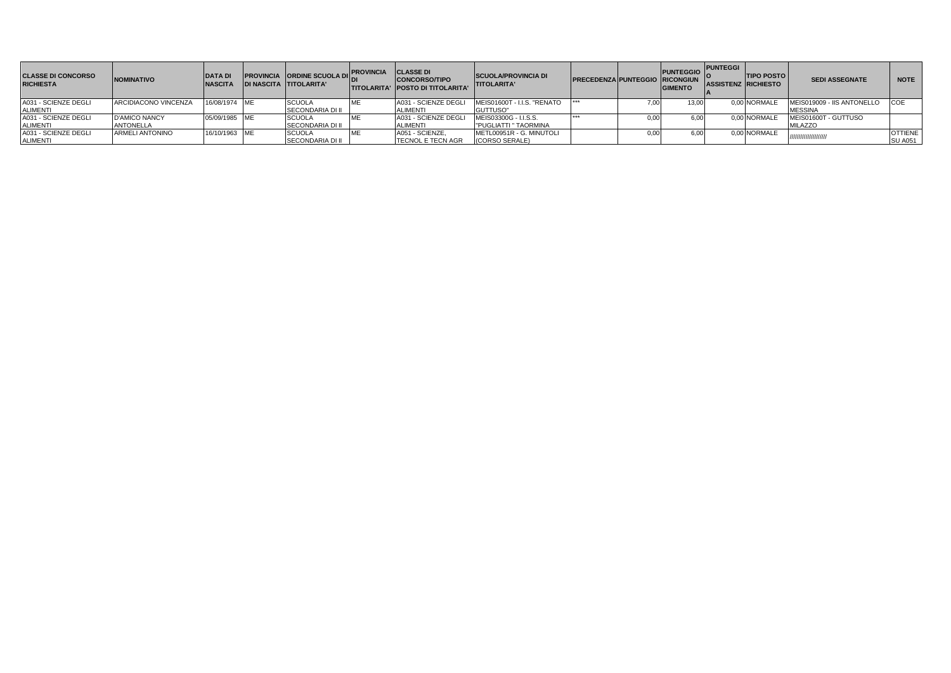| <b>CLASSE DI CONCORSO</b><br><b>RICHIESTA</b> | <b>NOMINATIVO</b>      | <b>DATA DI</b><br><b>NASCITA</b> | <b>PROVINCIA CORDINE SCUOLA DIL</b><br><b>DI NASCITA TITOLARITA'</b> | <b>PROVINCIA</b> | <b>CLASSE DI</b><br><b>CONCORSO/TIPO</b><br><b>ITITOLARITA' IPOSTO DI TITOLARITA'</b> | <b>SCUOLA/PROVINCIA DI</b><br><b>TITOLARITA'</b> | <b>IPRECEDENZAIPUNTEGGIO RICONGIUN</b> |      | <b>PUNTEGGIO</b><br><b>GIMENTO</b> | <b>PUNTEGGI</b><br><b>ASSISTENZ RICHIESTO</b> | <b>TIPO POSTO</b> | <b>SEDI ASSEGNATE</b>      | <b>NOTE</b>    |
|-----------------------------------------------|------------------------|----------------------------------|----------------------------------------------------------------------|------------------|---------------------------------------------------------------------------------------|--------------------------------------------------|----------------------------------------|------|------------------------------------|-----------------------------------------------|-------------------|----------------------------|----------------|
| A031 - SCIENZE DEGLI                          | ARCIDIACONO VINCENZA   | 16/08/1974 ME                    | <b>SCUOLA</b>                                                        |                  | A031 - SCIENZE DEGLI                                                                  | MEIS01600T - I.I.S. "RENATO                      |                                        | 7,00 |                                    |                                               | 0.00 NORMALE      | MEIS019009 - IIS ANTONELLO | <b>ICOE</b>    |
| <b>ALIMENTI</b>                               |                        |                                  | <b>SECONDARIA DI II</b>                                              |                  | <b>ALIMENTI</b>                                                                       | GUTTUSO"                                         |                                        |      |                                    |                                               |                   | <b>MESSINA</b>             |                |
| A031 - SCIENZE DEGLI                          | <b>D'AMICO NANCY</b>   | 05/09/1985 ME                    | <b>SCUOLA</b>                                                        |                  | A031 - SCIENZE DEGLI                                                                  | MEIS03300G - I.I.S.S.                            |                                        | 0.00 |                                    |                                               | 0.00 NORMALE      | MEIS01600T - GUTTUSO       |                |
| <b>ALIMENTI</b>                               | <b>ANTONELLA</b>       |                                  | SECONDARIA DI II                                                     |                  | <b>ALIMENTI</b>                                                                       | "PUGLIATTI " TAORMINA                            |                                        |      |                                    |                                               |                   | <b>MILAZZO</b>             |                |
| A031 - SCIENZE DEGLI                          | <b>ARMELI ANTONINO</b> | 16/10/1963 ME                    | <b>SCUOLA</b>                                                        |                  | A051 - SCIENZE,                                                                       | METL00951R - G. MINUTOLI                         |                                        | 0,00 |                                    |                                               | 0.00 NORMALE      | /////////////////////      | <b>OTTIENE</b> |
| <b>ALIMENTI</b>                               |                        |                                  | <b>SECONDARIA DI II</b>                                              |                  | TECNOL E TECN AGR                                                                     | (CORSO SERALE)                                   |                                        |      |                                    |                                               |                   |                            | <b>SU A051</b> |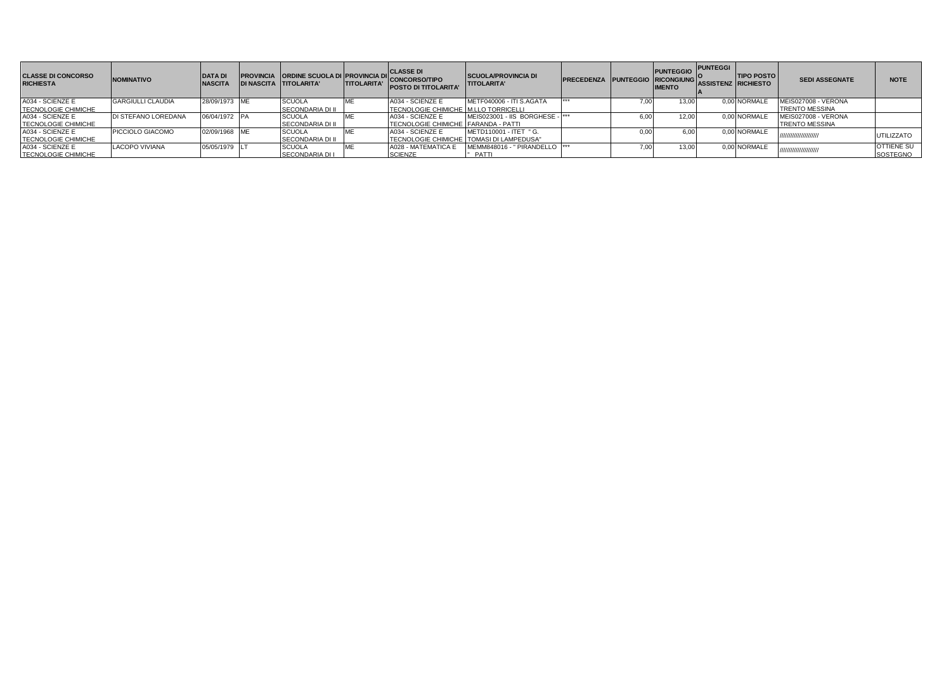| <b>CLASSE DI CONCORSO</b><br><b>RICHIESTA</b>  | <b>NOMINATIVO</b>        | <b>DATA DI</b><br><b>NASCITA</b> | <b>PROVINCIA ORDINE SCUOLA DI PROVINCIA DI</b><br>DI NASCITA TIITOLARITA' | <b>TITOLARITA'</b> | <b>CLASSE DI</b><br><b>CONCORSO/TIPO</b><br><b>POSTO DI TITOLARITA'</b> | <b>SCUOLA/PROVINCIA DI</b><br><b>TITOLARITA'</b>                          | <b>PRECEDENZA PUNTEGGIO RICONGIUNG</b> |      | PUNTEGGIO PUNTEGGI I<br><b>IMENTO</b> | <b>ASSISTENZ RICHIESTO</b> | <b>TIPO POSTO</b> | <b>SEDI ASSEGNATE</b>                        | <b>NOTE</b>                   |
|------------------------------------------------|--------------------------|----------------------------------|---------------------------------------------------------------------------|--------------------|-------------------------------------------------------------------------|---------------------------------------------------------------------------|----------------------------------------|------|---------------------------------------|----------------------------|-------------------|----------------------------------------------|-------------------------------|
| A034 - SCIENZE E<br><b>TECNOLOGIE CHIMICHE</b> | <b>GARGIULLI CLAUDIA</b> | 28/09/1973 ME                    | <b>SCUOLA</b><br><b>SECONDARIA DI II</b>                                  |                    | A034 - SCIENZE E<br><b>TECNOLOGIE CHIMICHE M.LLO TORRICELLI</b>         | METF040006 - ITI S.AGATA                                                  | ***                                    | 7.00 |                                       |                            | 0.00 NORMALE      | MEIS027008 - VERONA<br><b>TRENTO MESSINA</b> |                               |
| A034 - SCIENZE E<br><b>TECNOLOGIE CHIMICHE</b> | DI STEFANO LOREDANA      | 06/04/1972 PA                    | <b>SCUOLA</b><br><b>SECONDARIA DI II</b>                                  |                    | A034 - SCIENZE E<br>TECNOLOGIE CHIMICHE FARANDA - PATTI                 | MEIS023001 - IIS BORGHESE - ***                                           |                                        | 6.00 | 12.00                                 |                            | 0.00 NORMALE      | MEIS027008 - VERONA<br><b>TRENTO MESSINA</b> |                               |
| A034 - SCIENZE E<br><b>TECNOLOGIE CHIMICHE</b> | PICCIOLO GIACOMO         | 02/09/1968 ME                    | <b>SCUOLA</b><br><b>SECONDARIA DI II</b>                                  |                    | A034 - SCIENZE E                                                        | METD110001 - ITET " G.<br><b>TECNOLOGIE CHIMICHE TOMASI DI LAMPEDUSA"</b> |                                        |      |                                       |                            | 0.00 NORMALE      | ,,,,,,,,,,,,,,,,,,,,,,,                      | <b>UTILIZZATO</b>             |
| A034 - SCIENZE E<br><b>TECNOLOGIE CHIMICHE</b> | <b>LACOPO VIVIANA</b>    | 05/05/1979 LT                    | <b>SCUOLA</b><br><b>SECONDARIA DI I</b>                                   |                    | A028 - MATEMATICA E<br><b>SCIENZE</b>                                   | MEMM848016 - " PIRANDELLO  ***<br>PATTI                                   |                                        | 7.00 |                                       |                            | 0.00 NORMALE      | ,,,,,,,,,,,,,,,,,,,,,,,                      | <b>OTTIENE SU</b><br>SOSTEGNO |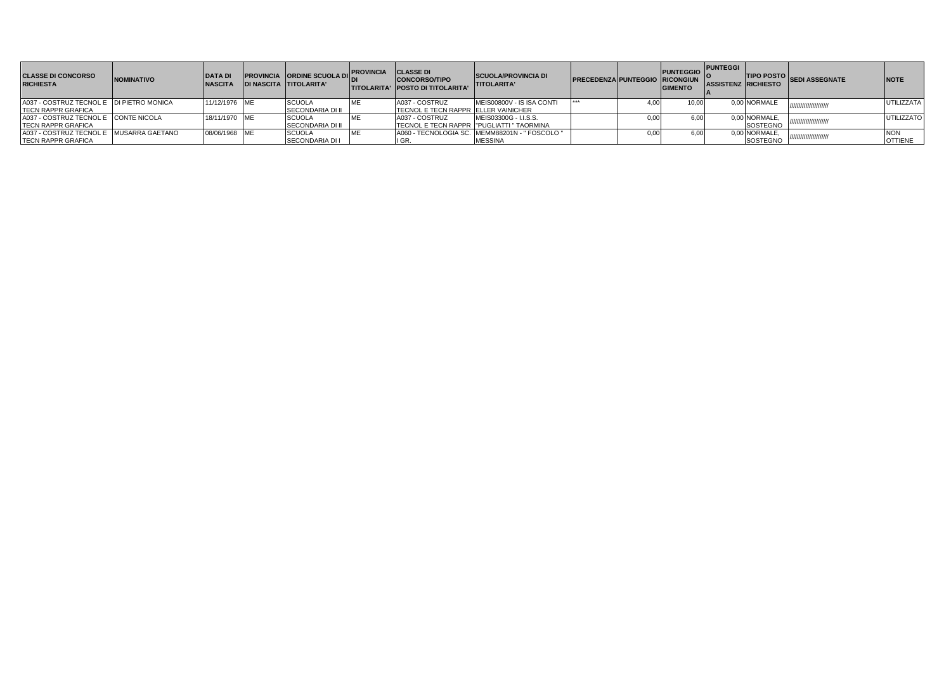| <b>CLASSE DI CONCORSO</b><br><b>RICHIESTA</b> | <b>NOMINATIVO</b> | <b>DATA DI</b><br><b>NASCITA</b> | <b>PROVINCIA ORDINE SCUOLA DII:</b><br><b>DI NASCITA TITOLARITA'</b> | <b>PROVINCIA</b> | <b>CLASSE DI</b><br><b>CONCORSO/TIPO</b><br><b>TITOLARITA' POSTO DI TITOLARITA'</b> | <b>SCUOLA/PROVINCIA DI</b><br><b>TITOLARITA'</b> | <b>PRECEDENZA PUNTEGGIO RICONGIUN</b> |      | PUNTEGGIO PUNTEGGI I<br><b>GIMENTO</b> | <b>ASSISTENZ RICHIESTO</b> | TIPO POSTO SEDI ASSEGNATE | <b>NOTE</b>       |
|-----------------------------------------------|-------------------|----------------------------------|----------------------------------------------------------------------|------------------|-------------------------------------------------------------------------------------|--------------------------------------------------|---------------------------------------|------|----------------------------------------|----------------------------|---------------------------|-------------------|
| A037 - COSTRUZ TECNOL E IDI PIETRO MONICA     |                   | 11/12/1976 ME                    | <b>SCUOLA</b>                                                        |                  | A037 - COSTRUZ                                                                      | MEIS00800V - IS ISA CONTI                        |                                       | 4.00 | 10.00                                  | 0,00 NORMALE               | /////////////////////     | <b>UTILIZZATA</b> |
| <b>TECN RAPPR GRAFICA</b>                     |                   |                                  | <b>SECONDARIA DI II</b>                                              |                  | <b>TECNOL E TECN RAPPR ELLER VAINICHER</b>                                          |                                                  |                                       |      |                                        |                            |                           |                   |
| A037 - COSTRUZ TECNOL E CONTE NICOLA          |                   | 18/11/1970 ME                    | <b>SCUOLA</b>                                                        |                  | A037 - COSTRUZ                                                                      | MEIS03300G - I.I.S.S.                            |                                       | 0.00 | 6.00                                   | 0.00 NORMALE.              | ,,,,,,,,,,,,,,,,,,        | <b>UTILIZZATO</b> |
| <b>TECN RAPPR GRAFICA</b>                     |                   |                                  | SECONDARIA DI II                                                     |                  |                                                                                     | TECNOL E TECN RAPPR I "PUGLIATTI " TAORMINA      |                                       |      |                                        | SOSTEGNO                   |                           |                   |
| A037 - COSTRUZ TECNOL E MUSARRA GAETANO       |                   | 08/06/1968 ME                    | <b>SCUOLA</b>                                                        |                  |                                                                                     | A060 - TECNOLOGIA SC. MEMM88201N - " FOSCOLO "   |                                       | 0.00 | 6.00                                   | 0,00 NORMALE,              | ,,,,,,,,,,,,,,,,,,,,,     | <b>NON</b>        |
| <b>TECN RAPPR GRAFICA</b>                     |                   |                                  | <b>SECONDARIA DI I</b>                                               |                  | ۱ نا                                                                                | <b>MESSINA</b>                                   |                                       |      |                                        | SOSTEGNO                   |                           | <b>OTTIENE</b>    |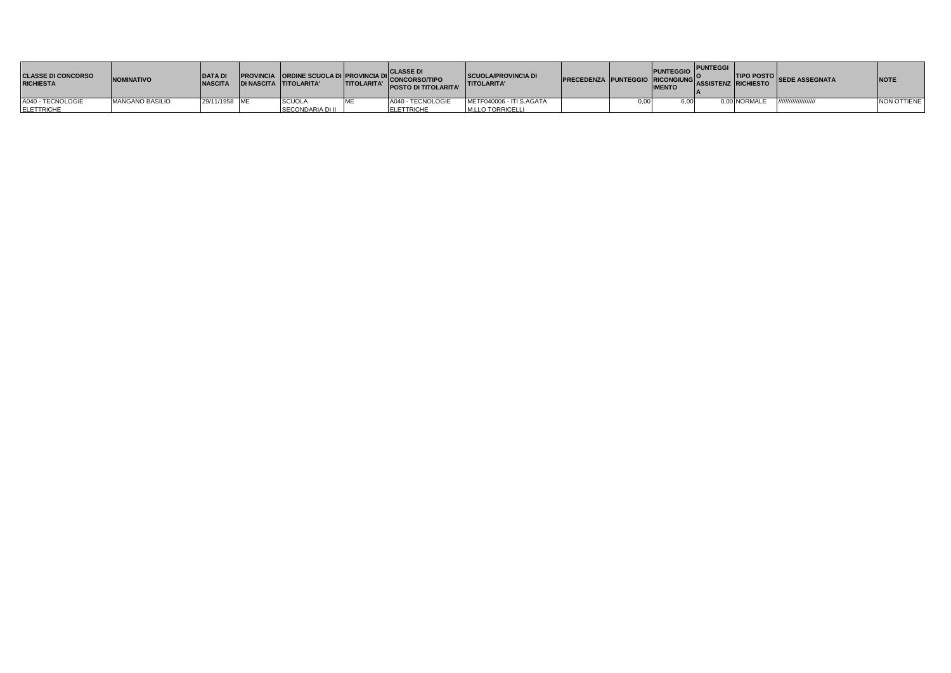| <b>CLASSE DI CONCORSO</b><br><b>RICHIESTA</b> | <b>NOMINATIVO</b>      | <b>DATA DI</b><br><b>NASCITA</b> | <b>DI NASCITA TITOLARITA'</b> | <b>TITOLARITA'</b> | <b>CLASSE DI</b><br>PROVINCIA ORDINE SCUOLA DI PROVINCIA DI CONCORSO/TIPO<br><b>POSTO DI TITOLARITA'</b> | <b>SCUOLA/PROVINCIA DI</b><br><b>TITOLARITA'</b> | PRECEDENZA PUNTEGGIO RICONGIUNG ASSISTENZ RICHIESTO <sup>SEUC</sup> AS- | <b>PUNTEGGIO</b><br><b>IMENTO</b> | <b>PUNTEGGI</b> |              | <b>THE THEO POSTO SEDE ASSEGNATA</b> | <b>NOTE</b> |
|-----------------------------------------------|------------------------|----------------------------------|-------------------------------|--------------------|----------------------------------------------------------------------------------------------------------|--------------------------------------------------|-------------------------------------------------------------------------|-----------------------------------|-----------------|--------------|--------------------------------------|-------------|
| A040 - TECNOLOGIE                             | <b>MANGANO BASILIO</b> | 29/11/1958 ME                    | <b>SCUOLA</b>                 |                    | A040 - TECNOLOGIE                                                                                        | METF040006 - ITI S.AGATA                         |                                                                         | 6.00                              |                 | 0.00 NORMALE | ,,,,,,,,,,,,,,,,,,,,                 | NON OTTIENE |
| <b>ELETTRICHE</b>                             |                        |                                  | SECONDARIA DI II              |                    | <b>ELETTRICHE</b>                                                                                        | M.LLO TORRICELLI                                 |                                                                         |                                   |                 |              |                                      |             |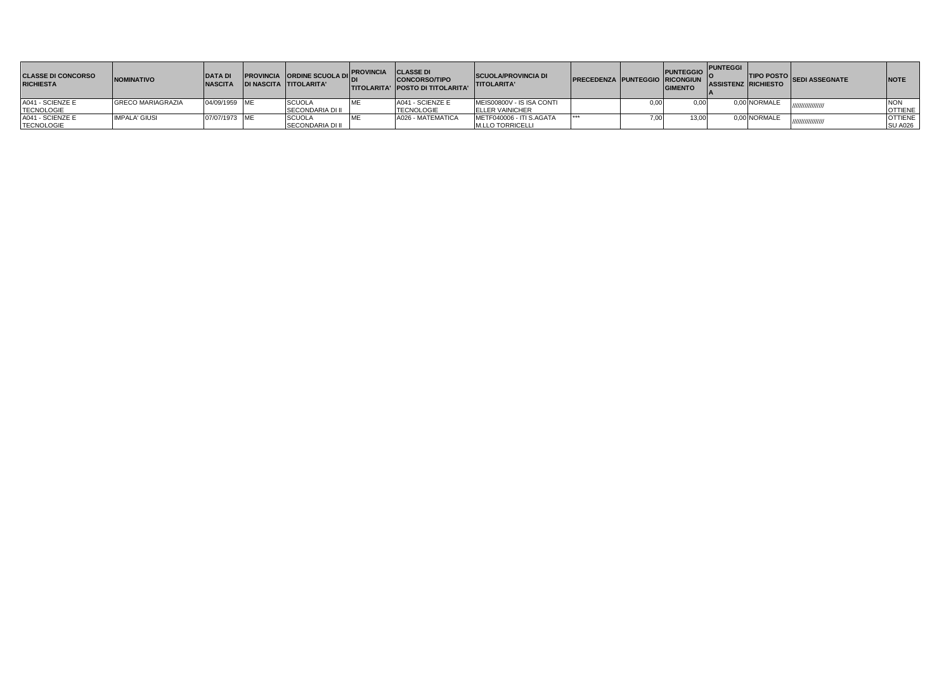| <b>CLASSE DI CONCORSO</b><br><b>RICHIESTA</b> | <b>NOMINATIVO</b>        | <b>DATA DI</b><br><b>INASCITA</b> | <b>PROVINCIA ORDINE SCUOLA DIL.</b><br>IDI NASCITA TITOLARITA' | <b>IPROVINCIA</b> | <b>CLASSE DI</b><br><b>CONCORSO/TIPO</b><br><b>ITITOLARITA' POSTO DI TITOLARITA'</b> | <b>SCUOLA/PROVINCIA DI</b><br><b>TITOLARITA'</b> | <b>PRECEDENZA PUNTEGGIO RICONGIUN</b> |      | PUNTEGGIO PUNTEGGI I<br><b>GIMENTO</b> | <b>ASSISTENZ RICHIESTO</b> | TIPO POSTO SEDI ASSEGNATE | <b>INOTE</b>   |
|-----------------------------------------------|--------------------------|-----------------------------------|----------------------------------------------------------------|-------------------|--------------------------------------------------------------------------------------|--------------------------------------------------|---------------------------------------|------|----------------------------------------|----------------------------|---------------------------|----------------|
| A041 - SCIENZE E                              | <b>GRECO MARIAGRAZIA</b> | 04/09/1959 ME                     | <b>SCUOLA</b>                                                  |                   | A041 - SCIENZE E                                                                     | MEIS00800V - IS ISA CONTI                        |                                       | 0.00 |                                        | 0.00 NORMALE               | ,,,,,,,,,,,,,,,,          | <b>NON</b>     |
| <b>TECNOLOGIE</b>                             |                          |                                   | <b>SECONDARIA DI II</b>                                        |                   | <b>TECNOLOGIE</b>                                                                    | <b>ELLER VAINICHER</b>                           |                                       |      |                                        |                            |                           | <b>OTTIENE</b> |
| A041 - SCIENZE E                              | <b>IMPALA' GIUSI</b>     | 07/07/1973 ME                     | SCUOLA                                                         |                   | A026 - MATEMATICA                                                                    | METF040006 - ITI S.AGATA                         |                                       | . სს | 13,00                                  | 0,00 NORMALE               | ////////////////          | <b>OTTIENE</b> |
| <b>TECNOLOGIE</b>                             |                          |                                   | <b>SECONDARIA DI II</b>                                        |                   |                                                                                      | <b>M.LLO TORRICELLI</b>                          |                                       |      |                                        |                            |                           | <b>SU A026</b> |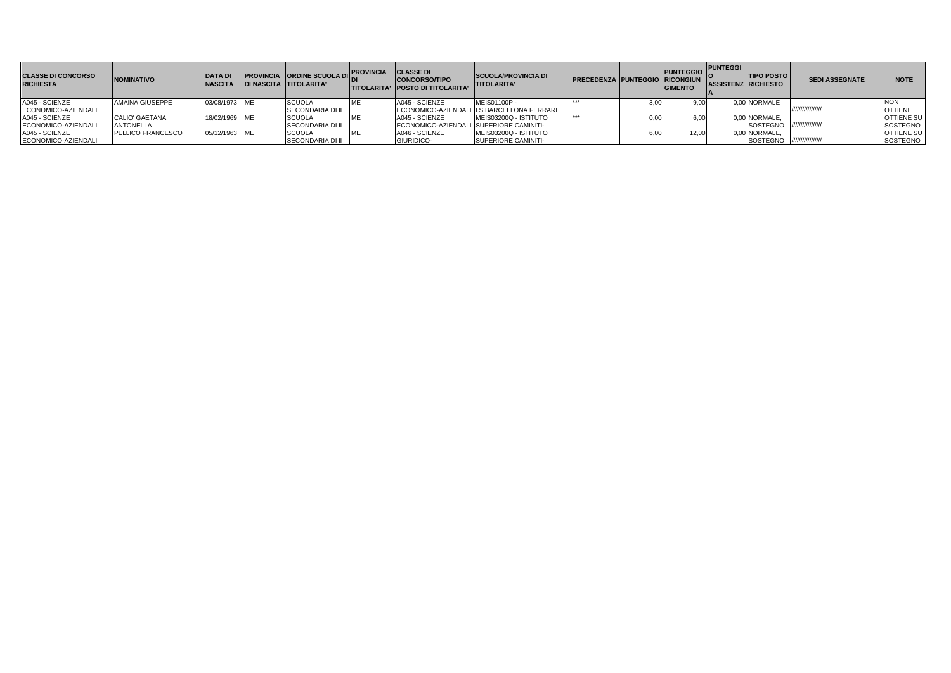| <b>CLASSE DI CONCORSO</b><br><b>RICHIESTA</b> | <b>NOMINATIVO</b>        | <b>DATA DI</b><br><b>NASCITA</b> | <b>PROVINCIA ORDINE SCUOLA DIL</b><br><b>DI NASCITA TITOLARITA'</b> | <b>PROVINCIA CLASSE DI</b> | <b>CONCORSO/TIPO</b><br><b>ITITOLARITA' IPOSTO DI TITOLARITA'</b> | <b>SCUOLA/PROVINCIA DI</b><br><b>ITITOLARITA'</b> | <b>PRECEDENZA PUNTEGGIO RICONGIUN</b> |      | PUNTEGGIO PUNTEGGI<br><b>GIMENTO</b> | <b>TIPO POSTO</b><br>ASSISTENZ RICHIESTO | <b>SEDI ASSEGNATE</b> | <b>NOTE</b>       |
|-----------------------------------------------|--------------------------|----------------------------------|---------------------------------------------------------------------|----------------------------|-------------------------------------------------------------------|---------------------------------------------------|---------------------------------------|------|--------------------------------------|------------------------------------------|-----------------------|-------------------|
| A045 - SCIENZE                                | AMAINA GIUSEPPE          | 03/08/1973 ME                    | <b>SCUOLA</b>                                                       |                            | A045 - SCIENZE                                                    | MEIS01100P -                                      |                                       | 3,00 | 9.OC                                 | 0,00 NORMALE                             |                       |                   |
| ECONOMICO-AZIENDALI                           |                          |                                  | <b>SECONDARIA DI II</b>                                             |                            |                                                                   | ECONOMICO-AZIENDALI II.S.BARCELLONA FERRARI       |                                       |      |                                      |                                          |                       | <b>OTTIENE</b>    |
| A045 - SCIENZE                                | <b>CALIO' GAETANA</b>    | 18/02/1969 ME                    | <b>SCUOLA</b>                                                       |                            | A045 - SCIENZE                                                    | MEIS03200Q - ISTITUTO                             |                                       | 0.00 | 5.OC                                 | 0,00 NORMALE,                            |                       | <b>OTTIENE SU</b> |
| ECONOMICO-AZIENDALI                           | <b>ANTONELLA</b>         |                                  | SECONDARIA DI II                                                    |                            | ECONOMICO-AZIENDALI ISUPERIORE CAMINITI-                          |                                                   |                                       |      |                                      | SOSTEGNO //////////////////              |                       | SOSTEGNO          |
| A045 - SCIENZE                                | <b>PELLICO FRANCESCO</b> | 05/12/1963 ME                    | <b>SCUOLA</b>                                                       |                            | A046 - SCIENZE                                                    | MEIS03200Q - ISTITUTO                             |                                       | 6,00 | 12.00                                | 0.00 NORMALE.                            |                       | <b>OTTIENE SU</b> |
| ECONOMICO-AZIENDALI                           |                          |                                  | <b>SECONDARIA DI II</b>                                             |                            | <b>GIURIDICO</b>                                                  | <b>SUPERIORE CAMINITI-</b>                        |                                       |      |                                      | SOSTEGNO /////////////////               |                       | SOSTEGNO          |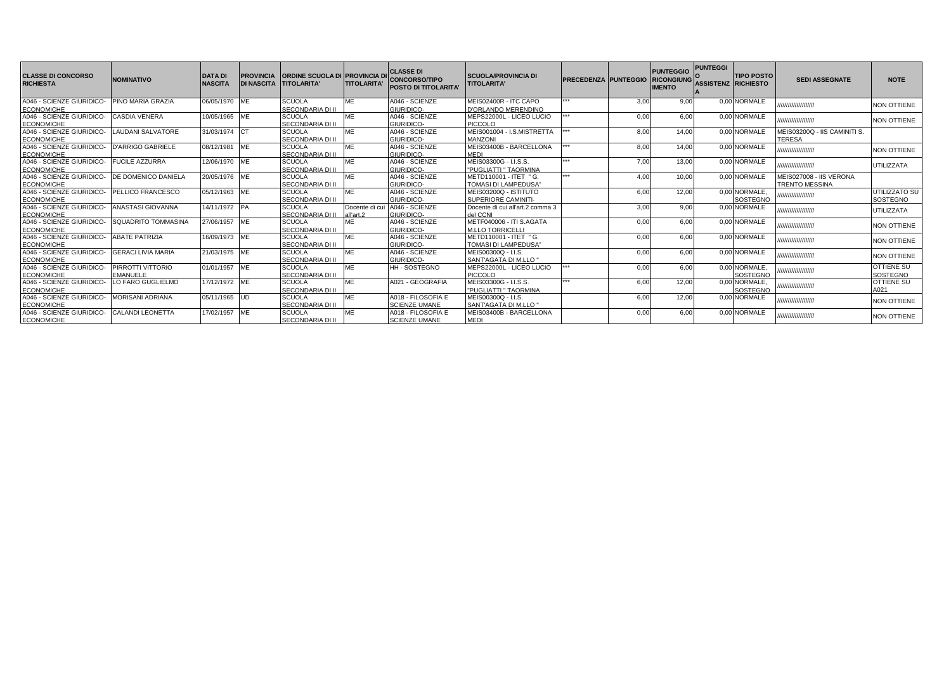| <b>CLASSE DI CONCORSO</b><br><b>RICHIESTA</b>  | <b>NOMINATIVO</b>                    | <b>DATA DI</b><br><b>NASCITA</b> |            | <b>PROVINCIA CORDINE SCUOLA DI PROVINCIA D</b><br>DI NASCITA TITOLARITA' | <b>TITOLARITA</b>           | <b>CLASSE DI</b><br><b>CONCORSO/TIPO</b><br>POSTO DI TITOLARITA' | <b>SCUOLA/PROVINCIA DI</b><br><b>TITOLARITA'</b>    | <b>PRECEDENZA PUNTEGGIO</b> |      | <b>PUNTEGGIO</b><br><b>RICONGIUNG</b><br><b>IMENTO</b> | <b>PUNTEGGI</b><br><b>ASSISTENZ RICHIESTO</b> | <b>TIPO POSTO</b>         | <b>SEDI ASSEGNATE</b>                            | <b>NOTE</b>                      |
|------------------------------------------------|--------------------------------------|----------------------------------|------------|--------------------------------------------------------------------------|-----------------------------|------------------------------------------------------------------|-----------------------------------------------------|-----------------------------|------|--------------------------------------------------------|-----------------------------------------------|---------------------------|--------------------------------------------------|----------------------------------|
| A046 - SCIENZE GIURIDICO-<br><b>ECONOMICHE</b> | <b>PINO MARIA GRAZIA</b>             | 06/05/1970 ME                    |            | <b>SCUOLA</b><br><b>SECONDARIA DI II</b>                                 | MF                          | A046 - SCIENZE<br>GIURIDICO-                                     | MEIS02400R - ITC CAPO<br>D'ORLANDO MERENDINO        | 444                         | 3,00 | 9,00                                                   |                                               | 0.00 NORMALE              | ,,,,,,,,,,,,,,,,,,,,,                            | <b>NON OTTIENE</b>               |
| A046 - SCIENZE GIURIDICO-<br><b>ECONOMICHE</b> | <b>CASDIA VENERA</b>                 | 10/05/1965 ME                    |            | <b>SCUOLA</b><br><b>SECONDARIA DI II</b>                                 | MF                          | A046 - SCIENZE<br>GIURIDICO-                                     | MEPS22000L - LICEO LUCIO<br><b>PICCOLO</b>          | ***                         | 0.00 | 6.00                                                   |                                               | 0.00 NORMALE              | ,,,,,,,,,,,,,,,,,,,,                             | NON OTTIENE                      |
| A046 - SCIENZE GIURIDICO-<br><b>ECONOMICHE</b> | <b>LAUDANI SALVATORE</b>             | 31/03/1974 CT                    |            | <b>SCUOLA</b><br><b>SECONDARIA DI II</b>                                 | ME                          | A046 - SCIENZE<br>GIURIDICO-                                     | MEIS001004 - I.S.MISTRETTA<br><b>MANZONI</b>        | $+ + +$                     | 8,00 | 14.00                                                  |                                               | 0.00 NORMALE              | MEIS03200Q - IIS CAMINITI S.<br><b>TERESA</b>    |                                  |
| A046 - SCIENZE GIURIDICO-<br><b>ECONOMICHE</b> | <b>D'ARRIGO GABRIELE</b>             | 08/12/1981                       | <b>IME</b> | <b>SCUOLA</b><br>SECONDARIA DI II                                        | MF                          | A046 - SCIENZE<br>GIURIDICO-                                     | MEIS03400B - BARCELLONA<br><b>MEDI</b>              |                             | 8,00 | 14.00                                                  |                                               | 0.00 NORMALE              | ,,,,,,,,,,,,,,,,,,,,                             | <b>NON OTTIENE</b>               |
| A046 - SCIENZE GIURIDICO-<br><b>ECONOMICHE</b> | <b>FUCILE AZZURRA</b>                | 12/06/1970 ME                    |            | <b>SCUOLA</b><br><b>SECONDARIA DI II</b>                                 | MF                          | A046 - SCIENZE<br>GIURIDICO-                                     | MEIS03300G - I.I.S.S.<br>"PUGLIATTI " TAORMINA      | $+ + +$                     | 7,00 | 13.00                                                  |                                               | 0.00 NORMALE              | ,,,,,,,,,,,,,,,,,,,,,                            | <b>UTILIZZATA</b>                |
| A046 - SCIENZE GIURIDICO-<br><b>ECONOMICHE</b> | DE DOMENICO DANIELA                  | 20/05/1976 ME                    |            | <b>SCUOLA</b><br><b>SECONDARIA DI II</b>                                 | MF                          | A046 - SCIENZE<br>GIURIDICO-                                     | METD110001 - ITET " G.<br>TOMASI DI LAMPEDUSA"      | ***                         | 4.00 | 10.00                                                  |                                               | 0.00 NORMALE              | MEIS027008 - IIS VERONA<br><b>TRENTO MESSINA</b> |                                  |
| A046 - SCIENZE GIURIDICO-<br><b>ECONOMICHE</b> | PELLICO FRANCESCO                    | 05/12/1963 ME                    |            | <b>SCUOLA</b><br><b>SECONDARIA DI II</b>                                 | MF                          | A046 - SCIENZE<br>GIURIDICO-                                     | MEIS03200Q - ISTITUTO<br>SUPERIORE CAMINITI-        |                             | 6,00 | 12.00                                                  |                                               | 0.00 NORMALE.<br>SOSTEGNO | ,,,,,,,,,,,,,,,,,,,,                             | <b>JTILIZZATO SU</b><br>SOSTEGNO |
| A046 - SCIENZE GIURIDICO-<br><b>ECONOMICHE</b> | ANASTASI GIOVANNA                    | 14/11/1972 PA                    |            | <b>SCUOLA</b><br><b>SECONDARIA DI II</b>                                 | Docente di cui<br>all'art.2 | A046 - SCIENZE<br>GIURIDICO-                                     | Docente di cui all'art.2 comma 3<br>del CCNI        |                             | 3,00 | 9.00                                                   |                                               | 0.00 NORMALE              | ,,,,,,,,,,,,,,,,,,,,                             | UTILIZZATA                       |
| A046 - SCIENZE GIURIDICO-<br><b>ECONOMICHE</b> | <b>SQUADRITO TOMMASINA</b>           | 27/06/1957 ME                    |            | <b>SCUOLA</b><br><b>SECONDARIA DI II</b>                                 | MF                          | A046 - SCIENZE<br>GIURIDICO-                                     | METF040006 - ITI S.AGATA<br><b>M.LLO TORRICELLI</b> |                             | 0,00 | 6.00                                                   |                                               | 0.00 NORMALE              | ,,,,,,,,,,,,,,,,,,,,                             | <b>NON OTTIENE</b>               |
| A046 - SCIENZE GIURIDICO-<br><b>ECONOMICHE</b> | <b>ABATE PATRIZIA</b>                | 16/09/1973 ME                    |            | <b>SCUOLA</b><br><b>SECONDARIA DI II</b>                                 |                             | A046 - SCIENZE<br><b>GIURIDICO-</b>                              | METD110001 - ITET " G.<br>TOMASI DI LAMPEDUSA"      |                             | 0,00 | 6.00                                                   |                                               | 0.00 NORMALE              | ,,,,,,,,,,,,,,,,,,,,                             | NON OTTIENE                      |
| A046 - SCIENZE GIURIDICO-<br><b>ECONOMICHE</b> | <b>GERACI LIVIA MARIA</b>            | 21/03/1975 ME                    |            | <b>SCUOLA</b><br><b>SECONDARIA DI II</b>                                 | MF                          | A046 - SCIENZE<br>GIURIDICO-                                     | MEIS00300Q - I.I.S.<br>SANT'AGATA DI M.LLO "        |                             | 0,00 | 6.00                                                   |                                               | 0.00 NORMALE              | ,,,,,,,,,,,,,,,,,,,,                             | <b>NON OTTIENE</b>               |
| A046 - SCIENZE GIURIDICO-<br><b>ECONOMICHE</b> | PIRROTTI VITTORIO<br><b>EMANUELE</b> | 01/01/1957 ME                    |            | <b>SCUOLA</b><br><b>SECONDARIA DI II</b>                                 | MF                          | <b>HH-SOSTEGNO</b>                                               | MEPS22000L - LICEO LUCIO<br><b>PICCOLO</b>          | ***                         | 0.00 | 6.00                                                   |                                               | 0.00 NORMALE.<br>SOSTEGNO | ,,,,,,,,,,,,,,,,,,,,                             | <b>OTTIENE SU</b><br>SOSTEGNO    |
| A046 - SCIENZE GIURIDICO-<br><b>ECONOMICHE</b> | LO FARO GUGLIELMO                    | 17/12/1972 ME                    |            | <b>SCUOLA</b><br><b>SECONDARIA DI II</b>                                 | MF                          | A021 - GEOGRAFIA                                                 | MEIS03300G - I.I.S.S.<br>"PUGLIATTI " TAORMINA      |                             | 6,00 | 12.00                                                  |                                               | 0.00 NORMALE.<br>SOSTEGNO | ,,,,,,,,,,,,,,,,,,,                              | <b>OTTIENE SU</b><br>A021        |
| A046 - SCIENZE GIURIDICO-<br><b>ECONOMICHE</b> | <b>MORISANI ADRIANA</b>              | 05/11/1965 UD                    |            | <b>SCUOLA</b><br><b>SECONDARIA DI II</b>                                 | MF                          | A018 - FILOSOFIA E<br><b>SCIENZE UMANE</b>                       | MEIS00300Q - I.I.S.<br>SANT'AGATA DI M.LLO "        |                             | 6,00 | 12.00                                                  |                                               | 0.00 NORMALE              | ,,,,,,,,,,,,,,,,,,,,                             | NON OTTIENE                      |
| A046 - SCIENZE GIURIDICO-<br><b>ECONOMICHE</b> | <b>CALANDI LEONETTA</b>              | 17/02/1957 ME                    |            | <b>SCUOLA</b><br><b>SECONDARIA DI II</b>                                 | MF                          | A018 - FILOSOFIA E<br><b>SCIENZE UMANE</b>                       | MEIS03400B - BARCELLONA<br><b>MEDI</b>              |                             | 0,00 | 6,00                                                   |                                               | 0.00 NORMALE              | ,,,,,,,,,,,,,,,,,,,,                             | NON OTTIENE                      |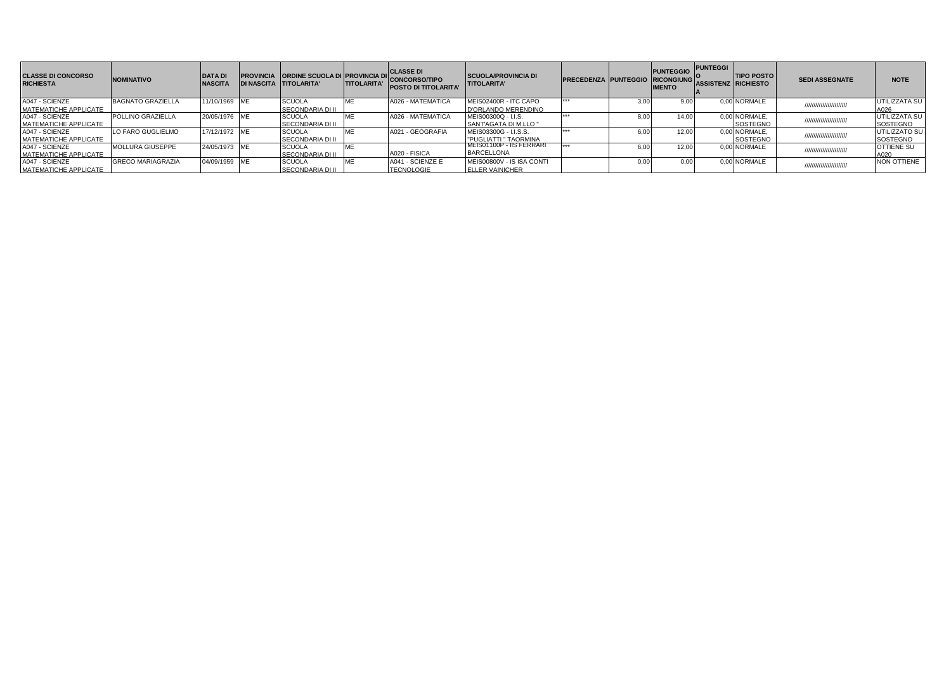| <b>CLASSE DI CONCORSO</b><br><b>RICHIESTA</b> | <b>NOMINATIVO</b>        | <b>DATA DI</b><br><b>NASCITA</b> | <b>PROVINCIA ORDINE SCUOLA DI PROVINCIA DII</b><br><b>DI NASCITA TITOLARITA'</b> | <b>TITOLARITA'</b> | <b>CLASSE DI</b><br>CONCORSO/TIPO<br><b>POSTO DI TITOLARITA'</b> | <b>SCUOLA/PROVINCIA DI</b><br><b>TITOLARITA'</b> | <b>PRECEDENZA PUNTEGGIO RICONGIUNG</b> |      | <b>PUNTEGGIO</b><br><b>IMENTO</b> | <b>PUNTEGGI</b><br><b>ASSISTENZ RICHIESTO</b> | <b>TIPO POSTO</b> | <b>SEDI ASSEGNATE</b>     | <b>NOTE</b>       |
|-----------------------------------------------|--------------------------|----------------------------------|----------------------------------------------------------------------------------|--------------------|------------------------------------------------------------------|--------------------------------------------------|----------------------------------------|------|-----------------------------------|-----------------------------------------------|-------------------|---------------------------|-------------------|
| A047 - SCIENZE                                | <b>BAGNATO GRAZIELLA</b> | 11/10/1969 ME                    | <b>SCUOLA</b>                                                                    |                    | A026 - MATEMATICA                                                | MEIS02400R - ITC CAPO                            | $+ + +$                                |      | 9.00                              |                                               | 0.00 NORMALE      |                           | UTILIZZATA SU     |
| <b>MATEMATICHE APPLICATE</b>                  |                          |                                  | <b>SECONDARIA DI II</b>                                                          |                    |                                                                  | D'ORLANDO MERENDINO                              |                                        |      |                                   |                                               |                   |                           | A026              |
| A047 - SCIENZE                                | <b>POLLINO GRAZIELLA</b> | 20/05/1976 ME                    | <b>SCUOLA</b>                                                                    |                    | A026 - MATEMATICA                                                | MEIS00300Q - I.I.S.                              | $+ + +$                                |      | 14.00                             |                                               | 0,00 NORMALE,     | ///////////////////////// | UTILIZZATA SU     |
| MATEMATICHE APPLICATE                         |                          |                                  | <b>SECONDARIA DI II</b>                                                          |                    |                                                                  | SANT'AGATA DI M.LLO "                            |                                        |      |                                   |                                               | SOSTEGNO          |                           | SOSTEGNO          |
| A047 - SCIENZE                                | LO FARO GUGLIELMO        | 17/12/1972 ME                    | <b>SCUOLA</b>                                                                    |                    | A021 - GEOGRAFIA                                                 | MEIS03300G - I.I.S.S.                            | $+ + +$                                |      | 12.00                             |                                               | 0,00 NORMALE,     | ////////////////////////  | UTILIZZATO SU     |
| MATEMATICHE APPLICATE                         |                          |                                  | SECONDARIA DI II                                                                 |                    |                                                                  | "PUGLIATTI " TAORMINA                            |                                        |      |                                   |                                               | SOSTEGNO          |                           | SOSTEGNO          |
| A047 - SCIENZE                                | <b>MOLLURA GIUSEPPE</b>  | 24/05/1973 ME                    | <b>SCUOLA</b>                                                                    |                    |                                                                  | IMEIS01100P - IIS FERRARI                        | $+ + +$                                |      | 12.00                             |                                               | 0.00 NORMALE      |                           | <b>OTTIENE SU</b> |
| MATEMATICHE APPLICATE                         |                          |                                  | <b>SECONDARIA DI II</b>                                                          |                    | A020 - FISICA                                                    | <b>BARCELLONA</b>                                |                                        |      |                                   |                                               |                   |                           | A020              |
| A047 - SCIENZE                                | <b>GRECO MARIAGRAZIA</b> | 04/09/1959 ME                    | <b>SCUOLA</b>                                                                    |                    | A041 - SCIENZE E                                                 | MEIS00800V - IS ISA CONTI                        |                                        | 0.00 | 0.00                              |                                               | 0.00 NORMALE      | ////////////////////////  | NON OTTIENE       |
| MATEMATICHE APPLICATE                         |                          |                                  | SECONDARIA DI II                                                                 |                    | <b>TECNOLOGIE</b>                                                | <b>ELLER VAINICHER</b>                           |                                        |      |                                   |                                               |                   |                           |                   |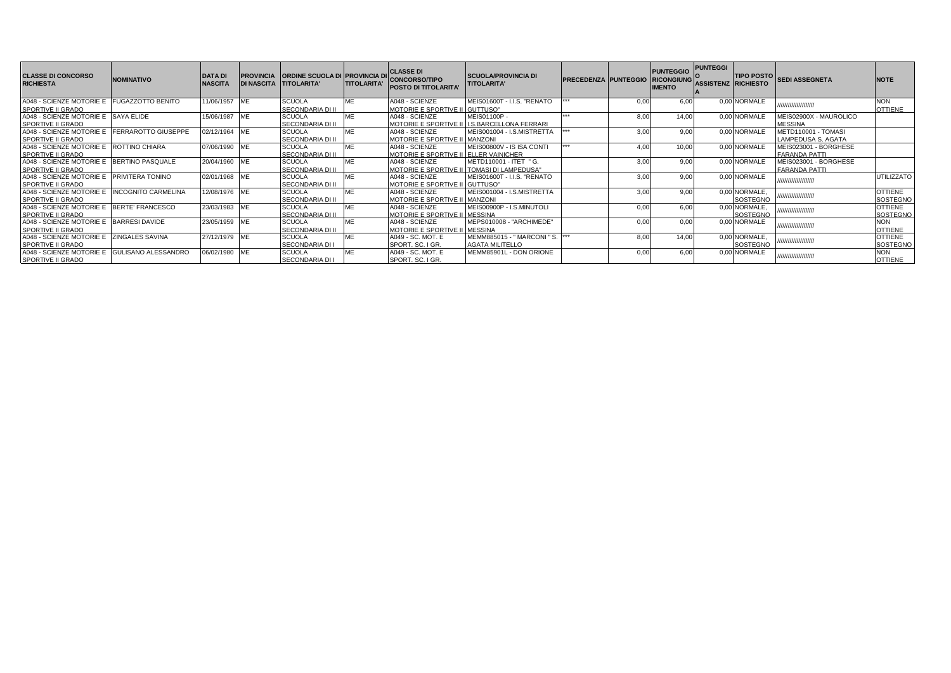| <b>CLASSE DI CONCORSO</b><br><b>RICHIESTA</b>                         | <b>NOMINATIVO</b>          | <b>DATA DI</b><br><b>NASCITA</b> |            | <b>PROVINCIA ORDINE SCUOLA DI PROVINCIA DI</b><br>DI NASCITA TITOLARITA' | <b>TITOLARITA'</b> | <b>CLASSE DI</b><br><b>CONCORSO/TIPO</b><br><b>POSTO DI TITOLARITA'</b> | <b>SCUOLA/PROVINCIA DI</b><br><b>TITOLARITA'</b>            | <b>PRECEDENZA PUNTEGGIO</b> |                  | <b>PUNTEGGIO</b><br><b>RICONGIUNG</b><br><b>IMENTO</b> | <b>PUNTEGGI</b><br><b>ASSISTENZ RICHIESTO</b> |                           | TIPO POSTO SEDI ASSEGNETA                     | <b>NOTE</b>                       |
|-----------------------------------------------------------------------|----------------------------|----------------------------------|------------|--------------------------------------------------------------------------|--------------------|-------------------------------------------------------------------------|-------------------------------------------------------------|-----------------------------|------------------|--------------------------------------------------------|-----------------------------------------------|---------------------------|-----------------------------------------------|-----------------------------------|
| A048 - SCIENZE MOTORIE E<br><b>SPORTIVE II GRADO</b>                  | <b>FUGAZZOTTO BENITO</b>   | 11/06/1957                       | <b>IME</b> | <b>SCUOLA</b><br><b>SECONDARIA DI II</b>                                 | ME                 | A048 - SCIENZE<br><b>MOTORIE E SPORTIVE II GUTTUSO"</b>                 | MEIS01600T - I.I.S. "RENATO                                 |                             |                  | 6.00                                                   |                                               | 0,00 NORMALE              | ,,,,,,,,,,,,,,,,,,,,                          | <b>NON</b><br><b>OTTIENE</b>      |
| A048 - SCIENZE MOTORIE E SAYA ELIDE<br>SPORTIVE II GRADO              |                            | 15/06/1987 ME                    |            | <b>SCUOLA</b><br>SECONDARIA DI II                                        | ME                 | A048 - SCIENZE<br><b>MOTORIE E SPORTIVE I</b>                           | MEIS01100P-<br>I.S.BARCELLONA FERRARI                       |                             | 8.00             | 14.00                                                  |                                               | 0.00 NORMALE              | MEIS02900X - MAUROLICO<br><b>MESSINA</b>      |                                   |
| A048 - SCIENZE MOTORIE E<br><b>SPORTIVE II GRADO</b>                  | <b>FERRAROTTO GIUSEPPE</b> | 02/12/1964                       | <b>ME</b>  | <b>SCUOLA</b><br>SECONDARIA DI II                                        | ME                 | A048 - SCIENZE<br>MOTORIE E SPORTIVE II MANZONI                         | MEIS001004 - I.S.MISTRETTA                                  |                             | 3.00             | 9.00                                                   |                                               | 0.00 NORMALE              | METD110001 - TOMASI<br>LAMPEDUSA S. AGATA     |                                   |
| A048 - SCIENZE MOTORIE E<br><b>SPORTIVE II GRADO</b>                  | <b>ROTTINO CHIARA</b>      | 07/06/1990                       | <b>IME</b> | <b>SCUOLA</b><br>SECONDARIA DI II                                        | ME                 | A048 - SCIENZE<br><b>MOTORIE E SPORTIVE II</b>                          | MEIS00800V - IS ISA CONTI<br><b>ELLER VAINICHER</b>         |                             | 4.0 <sup>c</sup> | 10.00                                                  |                                               | 0.00 NORMALE              | MEIS023001 - BORGHESE<br><b>FARANDA PATTI</b> |                                   |
| A048 - SCIENZE MOTORIE E<br>SPORTIVE II GRADO                         | BERTINO PASQUALE           | 20/04/1960                       | <b>ME</b>  | <b>SCUOLA</b><br>SECONDARIA DI II                                        | ME                 | A048 - SCIENZE<br>MOTORIE E SPORTIVE II                                 | METD110001 - ITET " G.<br><b>TOMASI DI LAMPEDUSA"</b>       |                             | 3.00             | 9.00                                                   |                                               | 0.00 NORMALE              | MEIS023001 - BORGHESE<br><b>FARANDA PATTI</b> |                                   |
| A048 - SCIENZE MOTORIE E PRIVITERA TONINO<br><b>SPORTIVE II GRADO</b> |                            | 02/01/1968                       | <b>IME</b> | <b>SCUOLA</b><br>SECONDARIA DI II                                        | MF                 | A048 - SCIENZE<br><b>MOTORIE E SPORTIVE II GUTTUSO"</b>                 | MEIS01600T - I.I.S. "RENATO                                 |                             | 3.00             | 9.00                                                   |                                               | 0.00 NORMALE              | ,,,,,,,,,,,,,,,,,,,,                          | <b>UTILIZZATO</b>                 |
| A048 - SCIENZE MOTORIE E<br><b>SPORTIVE II GRADO</b>                  | <b>INCOGNITO CARMELINA</b> | 12/08/1976 ME                    |            | <b>SCUOLA</b><br>SECONDARIA DI II                                        | ME                 | A048 - SCIENZE<br>MOTORIE E SPORTIVE II MANZONI                         | MEIS001004 - I.S.MISTRETTA                                  |                             | 3.00             | 9.00                                                   |                                               | 0,00 NORMALE,<br>SOSTEGNO | ,,,,,,,,,,,,,,,,,,                            | <b>OTTIENE</b><br>SOSTEGNO        |
| A048 - SCIENZE MOTORIE E<br><b>SPORTIVE II GRADO</b>                  | BERTE' FRANCESCO           | 23/03/1983 ME                    |            | <b>SCUOLA</b><br>SECONDARIA DI II                                        | ME                 | A048 - SCIENZE<br>MOTORIE E SPORTIVE II MESSINA                         | MEIS00900P - I.S.MINUTOLI                                   |                             | 0.00             | 6.00                                                   |                                               | 0,00 NORMALE,<br>SOSTEGNO | ,,,,,,,,,,,,,,,,,,                            | <b>OTTIENE</b><br><b>SOSTEGNO</b> |
| A048 - SCIENZE MOTORIE E<br><b>SPORTIVE II GRADO</b>                  | <b>BARRESI DAVIDE</b>      | 23/05/1959                       | <b>IME</b> | <b>SCUOLA</b><br>SECONDARIA DI II                                        | ME                 | A048 - SCIENZE<br>MOTORIE E SPORTIVE II MESSINA                         | MEPS010008 - "ARCHIMEDE"                                    |                             |                  | 0.00                                                   |                                               | 0.00 NORMALE              | ,,,,,,,,,,,,,,,,,,,,                          | <b>NON</b><br><b>OTTIENE</b>      |
| A048 - SCIENZE MOTORIE E ZINGALES SAVINA<br><b>SPORTIVE II GRADO</b>  |                            | 27/12/1979 ME                    |            | <b>SCUOLA</b><br><b>SECONDARIA DI I</b>                                  | ME                 | A049 - SC, MOT, E<br>SPORT, SC. I GR.                                   | MEMM885015 - " MARCONI " S.   ***<br><b>AGATA MILITELLO</b> |                             | 8.00             | 14.00                                                  |                                               | 0,00 NORMALE,<br>SOSTEGNO | ,,,,,,,,,,,,,,,,,,,                           | <b>OTTIENE</b><br><b>SOSTEGNO</b> |
| A048 - SCIENZE MOTORIE E<br><b>SPORTIVE II GRADO</b>                  | <b>GULISANO ALESSANDRO</b> | 06/02/1980 ME                    |            | <b>SCUOLA</b><br>SECONDARIA DI I                                         | ME                 | A049 - SC, MOT, E<br>SPORT. SC. I GR.                                   | MEMM85901L - DON ORIONE                                     |                             |                  | 6.00                                                   |                                               | 0,00 NORMALE              | ,,,,,,,,,,,,,,,,,,,,                          | <b>NON</b><br><b>OTTIENE</b>      |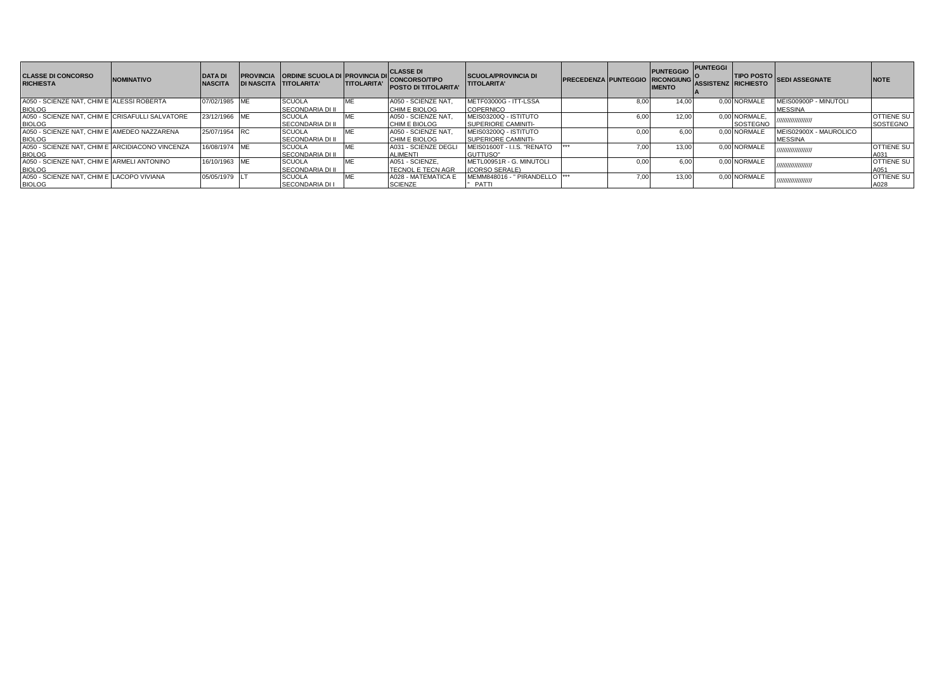| <b>CLASSE DI CONCORSO</b><br><b>RICHIESTA</b>   | <b>NOMINATIVO</b> | <b>DATA DI</b><br><b>NASCITA</b> | DI NASCITA TITOLARITA'  | <b>TITOLARITA'</b> | PROVINCIA ORDINE SCUOLA DI PROVINCIA DI CONCORSO/TIPO<br><b>POSTO DI TITOLARITA'</b> | <b>SCUOLA/PROVINCIA DI</b><br><b>TITOLARITA'</b> | <b>PRECEDENZA PUNTEGGIO</b> |       | <b>PUNTEGGIO</b><br><b>RICONGIUNG</b><br><b>IMENTO</b> | <b>PUNTEGGI</b><br><b>ASSISTENZ RICHIESTO</b> |               | TIPO POSTO SEDI ASSEGNATE | <b>NOTE</b>       |
|-------------------------------------------------|-------------------|----------------------------------|-------------------------|--------------------|--------------------------------------------------------------------------------------|--------------------------------------------------|-----------------------------|-------|--------------------------------------------------------|-----------------------------------------------|---------------|---------------------------|-------------------|
| A050 - SCIENZE NAT, CHIM E ALESSI ROBERTA       |                   | 07/02/1985 ME                    | <b>SCUOLA</b>           |                    | A050 - SCIENZE NAT                                                                   | METF03000G - ITT-LSSA                            |                             | 8.00  | 14.00                                                  |                                               | 0.00 NORMALE  | MEIS00900P - MINUTOLI     |                   |
| <b>BIOLOG</b>                                   |                   |                                  | <b>SECONDARIA DI II</b> |                    | <b>CHIM E BIOLOG</b>                                                                 | COPERNICO                                        |                             |       |                                                        |                                               |               | <b>MESSINA</b>            |                   |
| A050 - SCIENZE NAT. CHIM E CRISAFULLI SALVATORE |                   | 23/12/1966 ME                    | <b>SCUOLA</b>           | ME                 | A050 - SCIENZE NAT                                                                   | MEIS03200Q - ISTITUTO                            |                             | 6.00  | 12.00                                                  |                                               | 0,00 NORMALE, | ///////////////////       | <b>OTTIENE SU</b> |
| <b>BIOLOG</b>                                   |                   |                                  | <b>SECONDARIA DI II</b> |                    | <b>CHIM E BIOLOG</b>                                                                 | SUPERIORE CAMINITI-                              |                             |       |                                                        |                                               | SOSTEGNO      |                           | SOSTEGNO          |
| A050 - SCIENZE NAT. CHIM E AMEDEO NAZZARENA     |                   | 25/07/1954 RC                    | <b>SCUOLA</b>           |                    | A050 - SCIENZE NAT                                                                   | MEIS03200Q - ISTITUTO                            |                             | 0.00  | 6.00                                                   |                                               | 0.00 NORMALE  | MEIS02900X - MAUROLICO    |                   |
| <b>BIOLOG</b>                                   |                   |                                  | <b>SECONDARIA DI II</b> |                    | CHIM E BIOLOG                                                                        | SUPERIORE CAMINITI-                              |                             |       |                                                        |                                               |               | <b>MESSINA</b>            |                   |
| A050 - SCIENZE NAT. CHIM E ARCIDIACONO VINCENZA |                   | 16/08/1974 ME                    | <b>SCUOLA</b>           | ME                 | A031 - SCIENZE DEGL                                                                  | MEIS01600T - I.I.S. "RENATO                      |                             | 7.00  | 13.00                                                  |                                               | 0.00 NORMALE  | <i><u> ШШШШШШШ</u></i>    | <b>OTTIENE SU</b> |
| <b>BIOLOG</b>                                   |                   |                                  | <b>SECONDARIA DI II</b> |                    | ALIMENTI                                                                             | GUTTUSO"                                         |                             |       |                                                        |                                               |               |                           | A031              |
| A050 - SCIENZE NAT. CHIM E ARMELI ANTONINO      |                   | 16/10/1963 ME                    | <b>SCUOLA</b>           |                    | A051 - SCIENZE.                                                                      | METL00951R - G. MINUTOLI                         |                             | 0.00. | 6.00                                                   |                                               | 0.00 NORMALE  |                           | <b>OTTIENE SU</b> |
| <b>BIOLOG</b>                                   |                   |                                  | <b>SECONDARIA DI II</b> |                    | <b>ITECNOL E TECN AGR</b>                                                            | (CORSO SERALE)                                   |                             |       |                                                        |                                               |               |                           | A051              |
| A050 - SCIENZE NAT. CHIM E LACOPO VIVIANA       |                   | 05/05/1979 LT                    | <b>SCUOLA</b>           |                    | A028 - MATEMATICA B                                                                  | MEMM848016 - " PIRANDELLO  ***                   |                             | 7,00  | 13.00                                                  |                                               | 0.00 NORMALE  |                           | <b>OTTIENE SU</b> |
| <b>BIOLOG</b>                                   |                   |                                  | <b>SECONDARIA DI I</b>  |                    | <b>SCIENZE</b>                                                                       | PATTI                                            |                             |       |                                                        |                                               |               |                           | A028              |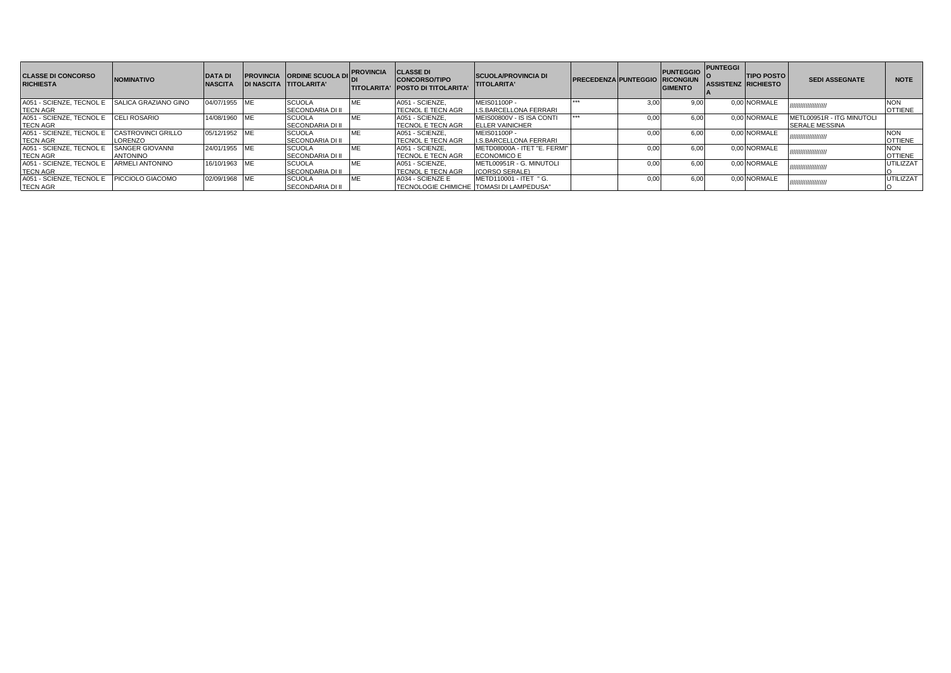| <b>CLASSE DI CONCORSO</b><br><b>RICHIESTA</b> | <b>NOMINATIVO</b>         | <b>DATA DI</b><br><b>NASCITA</b> |            | <b>PROVINCIA ORDINE SCUOLA DI</b><br>DI NASCITA TITOLARITA' | <b>IPROVINCIA</b> | <b>CLASSE DI</b><br><b>CONCORSO/TIPO</b><br><b>ITITOLARITA' IPOSTO DI TITOLARITA'</b> | <b>SCUOLA/PROVINCIA DI</b><br><b>TITOLARITA'</b> | PRECEDENZA PUNTEGGIO RICONGIUN |      | <b>PUNTEGGIO</b><br><b>GIMENTO</b> | <b>PUNTEGGI</b><br><b>ASSISTENZ RICHIESTO</b> | <b>TIPO POSTO</b> | <b>SEDI ASSEGNATE</b>     | <b>NOTE</b>      |
|-----------------------------------------------|---------------------------|----------------------------------|------------|-------------------------------------------------------------|-------------------|---------------------------------------------------------------------------------------|--------------------------------------------------|--------------------------------|------|------------------------------------|-----------------------------------------------|-------------------|---------------------------|------------------|
| A051 - SCIENZE, TECNOL E                      | SALICA GRAZIANO GINO      | 04/07/1955                       | <b>IME</b> | <b>SCUOLA</b>                                               |                   | A051 - SCIENZE.                                                                       | <b>MEIS01100P -</b>                              | ***                            | 3.00 | 9.00                               |                                               | 0.00 NORMALE      |                           | <b>NON</b>       |
| <b>TECN AGR</b>                               |                           |                                  |            | <b>SECONDARIA DI II</b>                                     |                   | <b>TECNOL E TECN AGR</b>                                                              | <b>LS.BARCELLONA FERRARI</b>                     |                                |      |                                    |                                               |                   |                           | <b>OTTIENE</b>   |
| A051 - SCIENZE, TECNOL E                      | <b>CELI ROSARIO</b>       | 14/08/1960                       | <b>IME</b> | <b>SCUOLA</b>                                               |                   | A051 - SCIENZE.                                                                       | MEIS00800V - IS ISA CONTI                        | ***                            | 0.00 | 6.00                               |                                               | 0.00 NORMALE      | METL00951R - ITG MINUTOLI |                  |
| <b>TECN AGR</b>                               |                           |                                  |            | <b>SECONDARIA DI II</b>                                     |                   | <b>ITECNOL E TECN AGR</b>                                                             | <b>ELLER VAINICHER</b>                           |                                |      |                                    |                                               |                   | <b>SERALE MESSINA</b>     |                  |
| A051 - SCIENZE, TECNOL E                      | <b>CASTROVINCI GRILLO</b> | 05/12/1952 ME                    |            | <b>SCUOLA</b>                                               |                   | A051 - SCIENZE.                                                                       | <b>MEIS01100P -</b>                              |                                | 0.00 | 6.00                               |                                               | 0.00 NORMALE      | /////////////////////     | <b>NON</b>       |
| <b>TECN AGR</b>                               | LORENZO                   |                                  |            | <b>SECONDARIA DI II</b>                                     |                   | <b>TECNOL E TECN AGR</b>                                                              | <b>I.S.BARCELLONA FERRARI</b>                    |                                |      |                                    |                                               |                   |                           | <b>OTTIENE</b>   |
| A051 - SCIENZE, TECNOL E                      | SANGER GIOVANNI           | 24/01/1955 ME                    |            | <b>SCUOLA</b>                                               |                   | A051 - SCIENZE.                                                                       | IMETD08000A - ITET "E. FERMI"                    |                                | 0.00 | 6.00                               |                                               | 0.00 NORMALE      |                           | <b>NON</b>       |
| <b>TECN AGR</b>                               | <b>ANTONINO</b>           |                                  |            | <b>SECONDARIA DI II</b>                                     |                   | <b>TECNOL E TECN AGR</b>                                                              | <b>ECONOMICO E</b>                               |                                |      |                                    |                                               |                   |                           | <b>OTTIENE</b>   |
| A051 - SCIENZE, TECNOL E                      | <b>ARMELI ANTONINO</b>    | 16/10/1963                       | <b>ME</b>  | <b>SCUOLA</b>                                               |                   | A051 - SCIENZE.                                                                       | METL00951R - G. MINUTOLI                         |                                | 0.00 | 6.00                               |                                               | 0.00 NORMALE      | /////////////////////     | <b>UTILIZZAT</b> |
| <b>TECN AGR</b>                               |                           |                                  |            | <b>ISECONDARIA DI II</b>                                    |                   | <b>TECNOL E TECN AGR</b>                                                              | (CORSO SERALE)                                   |                                |      |                                    |                                               |                   |                           |                  |
| A051 - SCIENZE, TECNOL E                      | PICCIOLO GIACOMO          | 02/09/1968 ME                    |            | <b>SCUOLA</b>                                               |                   | A034 - SCIENZE E                                                                      | METD110001 - ITET " G.                           |                                | 0.00 | 6.00                               |                                               | 0.00 NORMALE      | /////////////////////     | UTILIZZAT        |
| <b>ITECN AGR</b>                              |                           |                                  |            | <b>SECONDARIA DI II</b>                                     |                   | TECNOLOGIE CHIMICHE TOMASI DI LAMPEDUSA"                                              |                                                  |                                |      |                                    |                                               |                   |                           |                  |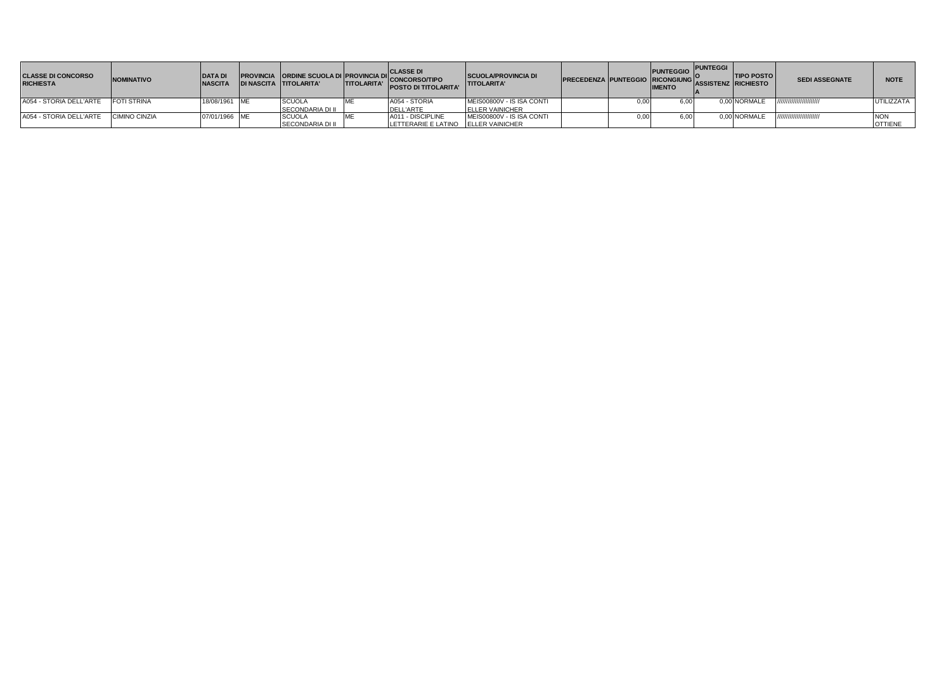| <b>CLASSE DI CONCORSO</b><br><b>RICHIESTA</b> | <b>NOMINATIVO</b>  | <b>DATA DI</b><br><b>NASCITA</b> | PROVINCIA ORDINE SCUOLA DI PROVINCIA DI CLASSE DI<br>DI NASCITA TITOLARITA' TITOLARITA' CONCORSO/TIPO | <b>POSTO DI TITOLARITA'</b>         | <b>SCUOLA/PROVINCIA DI</b><br><b>TITOLARITA'</b> | <b>PRECEDENZA PUNTEGGIO RICONGIUNG ASSISTENZ RICHIESTO</b> |      | <b>PUNTEGGIO</b><br><b>IMENTO</b> | <b>PUNTEGGI</b> | <b>TIPO POSTO</b> | <b>SEDI ASSEGNATE</b>    | <b>NOTE</b>    |
|-----------------------------------------------|--------------------|----------------------------------|-------------------------------------------------------------------------------------------------------|-------------------------------------|--------------------------------------------------|------------------------------------------------------------|------|-----------------------------------|-----------------|-------------------|--------------------------|----------------|
| A054 - STORIA DELL'ARTE                       | <b>FOTI STRINA</b> | 18/08/1961 ME                    | <b>SCUOLA</b>                                                                                         | A054 - STORIA                       | MEIS00800V - IS ISA CONTI                        |                                                            | 0.00 | 6.00                              |                 | 0.00 NORMALE      | //////////////////////// | UTILIZZATA     |
|                                               |                    |                                  | <b>SECONDARIA DI II</b>                                                                               | <b>DELL'ARTE</b>                    | <b>IELLER VAINICHER</b>                          |                                                            |      |                                   |                 |                   |                          |                |
| A054 - STORIA DELL'ARTE                       | CIMINO CINZIA      | 07/01/1966 ME                    | <b>SCUOLA</b>                                                                                         | A011 - DISCIPLINE                   | MEIS00800V - IS ISA CONTI                        |                                                            | 0.00 | 6.00                              |                 | 0.00 NORMALE      | //////////////////////// | <b>NON</b>     |
|                                               |                    |                                  | <b>SECONDARIA DI II</b>                                                                               | LETTERARIE E LATINO ELLER VAINICHER |                                                  |                                                            |      |                                   |                 |                   |                          | <b>OTTIENE</b> |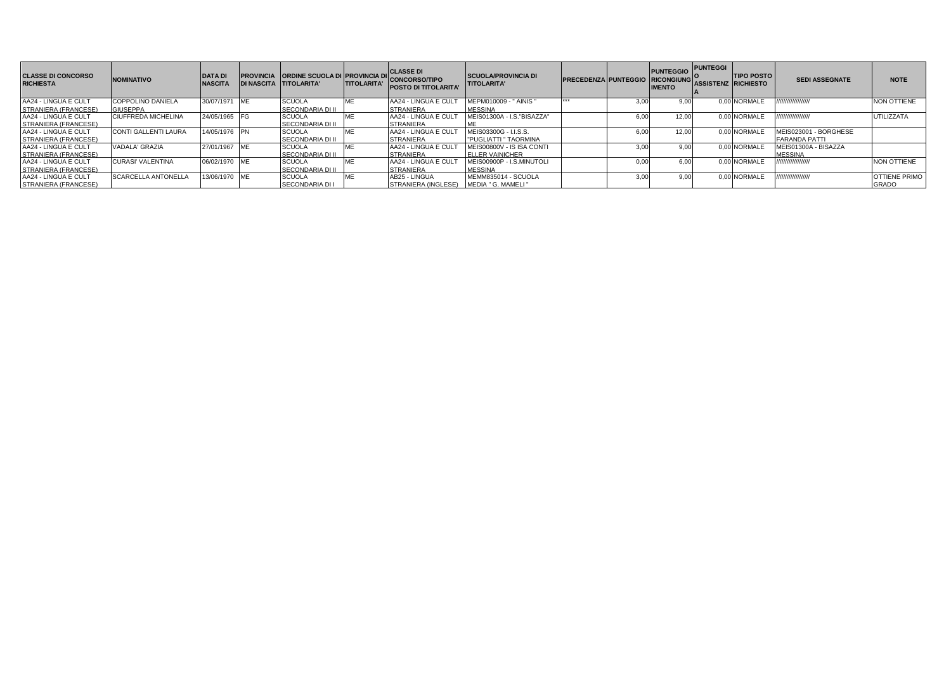| <b>CLASSE DI CONCORSO</b><br><b>RICHIESTA</b> | <b>NOMINATIVO</b>           | <b>DATA DI</b><br><b>NASCITA</b> | <b>PROVINCIA ORDINE SCUOLA DI PROVINCIA DI</b><br><b>DI NASCITA TITOLARITA'</b> | <b>TITOLARITA'</b> | <b>CLASSE DI</b><br><b>CONCORSO/TIPO</b><br><b>POSTO DI TITOLARITA</b> | <b>SCUOLA/PROVINCIA DI</b><br><b>TITOLARITA'</b> | <b>PRECEDENZA PUNTEGGIO RICONGIUNG</b> |      | <b>PUNTEGGIO</b><br><b>IMENTO</b> | <b>PUNTEGGI</b><br>ASSISTENZ RICHIESTO | <b>TIPO POSTO</b> | <b>SEDI ASSEGNATE</b> | <b>NOTE</b>          |
|-----------------------------------------------|-----------------------------|----------------------------------|---------------------------------------------------------------------------------|--------------------|------------------------------------------------------------------------|--------------------------------------------------|----------------------------------------|------|-----------------------------------|----------------------------------------|-------------------|-----------------------|----------------------|
| AA24 - LINGUA E CULT                          | <b>COPPOLINO DANIELA</b>    | 30/07/1971 ME                    | <b>SCUOLA</b>                                                                   | ME                 | AA24 - LINGUA E CULT                                                   | MEPM010009 - " AINIS "                           |                                        | 3.00 |                                   |                                        | 0.00 NORMALE      | ,,,,,,,,,,,,,,,,      | <b>NON OTTIENE</b>   |
| <b>STRANIERA (FRANCESE)</b>                   | <b>GIUSEPPA</b>             |                                  | <b>SECONDARIA DI II</b>                                                         |                    | <b>STRANIERA</b>                                                       | <b>MESSINA</b>                                   |                                        |      |                                   |                                        |                   |                       |                      |
| AA24 - LINGUA E CULT                          | <b>CIUFFREDA MICHELINA</b>  | 24/05/1965 FG                    | <b>SCUOLA</b>                                                                   | ME                 | AA24 - LINGUA E CULT                                                   | MEIS01300A - I.S. "BISAZZA"                      |                                        | 5.00 | 12.0 <sub>0</sub>                 |                                        | 0.00 NORMALE      | ,,,,,,,,,,,,,,,,,     | <b>UTILIZZATA</b>    |
| STRANIERA (FRANCESE)                          |                             |                                  | <b>SECONDARIA DI II</b>                                                         |                    | <b>STRANIERA</b>                                                       |                                                  |                                        |      |                                   |                                        |                   |                       |                      |
| AA24 - LINGUA E CULT                          | <b>CONTI GALLENTI LAURA</b> | 14/05/1976 PN                    | <b>SCUOLA</b>                                                                   | ME                 | AA24 - LINGUA E CULT                                                   | MEIS03300G - I.I.S.S.                            |                                        | 6.00 | 12.00                             |                                        | 0.00 NORMALI      | MEIS023001 - BORGHESE |                      |
| STRANIERA (FRANCESE)                          |                             |                                  | <b>SECONDARIA DI II</b>                                                         |                    | <b>STRANIERA</b>                                                       | <b>PUGLIATTI " TAORMINA</b>                      |                                        |      |                                   |                                        |                   | <b>FARANDA PATTI</b>  |                      |
| AA24 - LINGUA E CULT                          | VADALA' GRAZIA              | 27/01/1967 ME                    | <b>SCUOLA</b>                                                                   | <b>ME</b>          | AA24 - LINGUA E CULT                                                   | MEIS00800V - IS ISA CONTI                        |                                        | 3.00 |                                   |                                        | 0.00 NORMALE      | MEIS01300A - BISAZZA  |                      |
| <b>STRANIERA (FRANCESE)</b>                   |                             |                                  | <b>SECONDARIA DI II</b>                                                         |                    | <b>STRANIERA</b>                                                       | <b>ELLER VAINICHER</b>                           |                                        |      |                                   |                                        |                   | <b>MESSINA</b>        |                      |
| AA24 - LINGUA E CULT                          | <b>CURASI' VALENTINA</b>    | 06/02/1970 ME                    | <b>SCUOLA</b>                                                                   | ME                 | AA24 - LINGUA E CULT                                                   | MEIS00900P - I.S.MINUTOLI                        |                                        | 0.00 |                                   |                                        | 0.00 NORMALE      | ,,,,,,,,,,,,,,,,      | <b>NON OTTIENE</b>   |
| <b>ISTRANIERA (FRANCESE)</b>                  |                             |                                  | <b>SECONDARIA DI II</b>                                                         |                    | <b>STRANIERA</b>                                                       | <b>MESSINA</b>                                   |                                        |      |                                   |                                        |                   |                       |                      |
| AA24 - LINGUA E CULT                          | <b>SCARCELLA ANTONELLA</b>  | 13/06/1970 ME                    | <b>SCUOLA</b>                                                                   | ME                 | AB25 - LINGUA                                                          | MEMM835014 - SCUOLA                              |                                        | 3.00 | 9.00                              |                                        | 0.00 NORMALE      | ,,,,,,,,,,,,,,,,,     | <b>OTTIENE PRIMO</b> |
| STRANIERA (FRANCESE)                          |                             |                                  | <b>SECONDARIA DI I</b>                                                          |                    | <b>STRANIERA (INGLESE)</b>                                             | MEDIA " G. MAMELI "                              |                                        |      |                                   |                                        |                   |                       | <b>GRADO</b>         |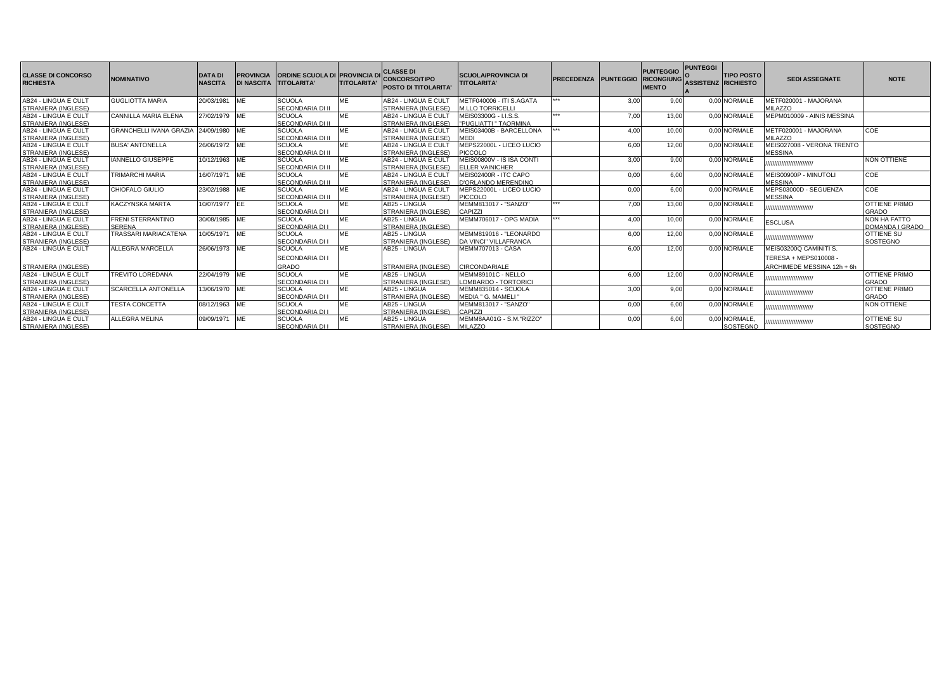| <b>CLASSE DI CONCORSO</b><br><b>RICHIESTA</b> | <b>NOMINATIVO</b>                     | <b>DATA DI</b><br><b>NASCITA</b> | <b>PROVINCIA</b><br><b>DI NASCITA</b> | <b>ORDINE SCUOLA DI PROVINCIA DI</b><br><b>TITOLARITA'</b> | <b>TITOLARITA</b> | <b>CLASSE DI</b><br><b>CONCORSO/TIPO</b><br><b>POSTO DI TITOLARITA</b> | <b>SCUOLA/PROVINCIA DI</b><br><b>TITOLARITA'</b> | <b>PRECEDENZA PUNTEGGIO</b> |      | <b>PUNTEGGIO</b><br><b>RICONGIUNG</b><br><b>IMENTO</b> | <b>PUNTEGGI</b><br><b>ASSISTENZ RICHIESTO</b> | <b>TIPO POSTO</b> | <b>SEDI ASSEGNATE</b>      | <b>NOTE</b>          |
|-----------------------------------------------|---------------------------------------|----------------------------------|---------------------------------------|------------------------------------------------------------|-------------------|------------------------------------------------------------------------|--------------------------------------------------|-----------------------------|------|--------------------------------------------------------|-----------------------------------------------|-------------------|----------------------------|----------------------|
| AB24 - LINGUA E CULT                          | <b>GUGLIOTTA MARIA</b>                | 20/03/1981                       | <b>IME</b>                            | <b>SCUOLA</b>                                              | ME                | AB24 - LINGUA E CUL                                                    | METF040006 - ITI S.AGATA                         | ***                         | 3,00 | 9.00                                                   |                                               | 0.00 NORMALE      | METF020001 - MAJORANA      |                      |
| STRANIERA (INGLESE)                           |                                       |                                  |                                       | SECONDARIA DI II                                           |                   | STRANIERA (INGLESE)                                                    | <b>M.LLO TORRICELLI</b>                          |                             |      |                                                        |                                               |                   | MILAZZO                    |                      |
| AB24 - LINGUA E CULT                          | <b>CANNILLA MARIA ELENA</b>           | 27/02/1979 ME                    |                                       | <b>SCUOLA</b>                                              | ME                | AB24 - LINGUA E CUL                                                    | MEIS03300G - I.I.S.S.                            | ***                         | 7,00 | 13,00                                                  |                                               | 0.00 NORMALE      | MEPM010009 - AINIS MESSINA |                      |
| STRANIERA (INGLESE)                           |                                       |                                  |                                       | <b>SECONDARIA DI II</b>                                    |                   | STRANIERA (INGLESE)                                                    | <b>PUGLIATTI " TAORMINA</b>                      |                             |      |                                                        |                                               |                   |                            |                      |
| AB24 - LINGUA E CULT                          | GRANCHELLI IVANA GRAZIA 24/09/1980 ME |                                  |                                       | <b>SCUOLA</b>                                              | ME                | AB24 - LINGUA E CUL                                                    | MEIS03400B - BARCELLONA                          | ***                         | 4,00 | 10,00                                                  |                                               | 0.00 NORMALE      | METF020001 - MAJORANA      | <b>COE</b>           |
| <b>STRANIERA (INGLESE)</b>                    |                                       |                                  |                                       | SECONDARIA DI II                                           |                   | STRANIERA (INGLESE)                                                    | <b>MEDI</b>                                      |                             |      |                                                        |                                               |                   | MILAZZO                    |                      |
| AB24 - LINGUA E CULT                          | <b>BUSA' ANTONELLA</b>                | 26/06/1972 ME                    |                                       | <b>SCUOLA</b>                                              | ME                | AB24 - LINGUA E CUL                                                    | MEPS22000L - LICEO LUCIO                         |                             | 6,00 | 12,00                                                  |                                               | 0.00 NORMALE      | MEIS027008 - VERONA TRENTO |                      |
| <b>STRANIERA (INGLESE)</b>                    |                                       |                                  |                                       | SECONDARIA DI II                                           |                   | STRANIERA (INGLESE)                                                    | <b>PICCOLO</b>                                   |                             |      |                                                        |                                               |                   | <b>MESSINA</b>             |                      |
| AB24 - LINGUA E CULT                          | <b>IANNELLO GIUSEPPE</b>              | 10/12/1963 ME                    |                                       | <b>SCUOLA</b>                                              | MF                | AB24 - LINGUA E CULT                                                   | MEIS00800V - IS ISA CONTI                        |                             | 3,00 | 9.00                                                   |                                               | 0.00 NORMALE      | ,,,,,,,,,,,,,,,,,,,,,,,,,  | <b>NON OTTIENE</b>   |
| STRANIERA (INGLESE)                           |                                       |                                  |                                       | SECONDARIA DI II                                           |                   | STRANIERA (INGLESE)                                                    | <b>ELLER VAINICHER</b>                           |                             |      |                                                        |                                               |                   |                            |                      |
| AB24 - LINGUA E CULT                          | <b>TRIMARCHI MARIA</b>                | 16/07/1971                       | <b>IME</b>                            | <b>SCUOLA</b>                                              | MF                | AB24 - LINGUA E CULT                                                   | MEIS02400R - ITC CAPO                            |                             | 0,00 | 6.00                                                   |                                               | 0.00 NORMALE      | MEIS00900P - MINUTOLI      | COE                  |
| STRANIERA (INGLESE)                           |                                       |                                  |                                       | SECONDARIA DI II                                           |                   | STRANIERA (INGLESE)                                                    | D'ORLANDO MERENDINO                              |                             |      |                                                        |                                               |                   | <b>MESSINA</b>             |                      |
| AB24 - LINGUA E CULT                          | CHIOFALO GIULIO                       | 23/02/1988 ME                    |                                       | <b>SCUOLA</b>                                              |                   | AB24 - LINGUA E CUL                                                    | MEPS22000L - LICEO LUCIO                         |                             | 0,00 | 6,00                                                   |                                               | 0.00 NORMALE      | MEPS03000D - SEGUENZA      | COE                  |
| STRANIERA (INGLESE)                           |                                       |                                  |                                       | SECONDARIA DI II                                           |                   | STRANIERA (INGLESE)                                                    | <b>PICCOLO</b>                                   | ***                         |      |                                                        |                                               |                   | <b>MESSINA</b>             |                      |
| AB24 - LINGUA E CULT                          | <b>KACZYNSKA MARTA</b>                | 10/07/1977                       | <b>IEE</b>                            | <b>SCUOLA</b>                                              | ME                | AB25 - LINGUA                                                          | MEMM813017 - "SANZO"                             |                             | 7,00 | 13,00                                                  |                                               | 0,00 NORMALE      | ,,,,,,,,,,,,,,,,,,,,,,,,,  | <b>OTTIENE PRIMC</b> |
| STRANIERA (INGLESE)                           |                                       |                                  |                                       | SECONDARIA DI I                                            |                   | STRANIERA (INGLESE)                                                    | CAPIZZI                                          | ***                         |      |                                                        |                                               |                   |                            | <b>GRADO</b>         |
| AB24 - LINGUA E CULT                          | <b>FRENI STERRANTINO</b>              | 30/08/1985 ME                    |                                       | <b>SCUOLA</b>                                              | MF                | AB25 - LINGUA                                                          | MEMM706017 - OPG MADIA                           |                             | 4,00 | 10,00                                                  |                                               | 0.00 NORMALE      | <b>ESCLUSA</b>             | <b>NON HA FATTO</b>  |
| STRANIERA (INGLESE)                           | SERENA                                |                                  |                                       | SECONDARIA DI I                                            |                   | STRANIERA (INGLESE)                                                    |                                                  |                             |      |                                                        |                                               |                   |                            | DOMANDA I GRADO      |
| AB24 - LINGUA E CULT                          | TRASSARI MARIACATENA                  | 10/05/1971                       | ME                                    | <b>SCUOLA</b>                                              | MF                | AB25 - LINGUA                                                          | MEMM819016 - "LEONARDO                           |                             | 6,00 | 12,00                                                  |                                               | 0,00 NORMALE      | ,,,,,,,,,,,,,,,,,,,,,,,,,  | <b>OTTIENE SU</b>    |
| STRANIERA (INGLESE)                           |                                       |                                  |                                       | <b>SECONDARIA DI I</b>                                     |                   | STRANIERA (INGLESE)                                                    | DA VINCI" VILLAFRANCA                            |                             |      |                                                        |                                               |                   |                            | SOSTEGNO             |
| AB24 - LINGUA E CULT                          | <b>ALLEGRA MARCELLA</b>               | 26/06/1973 ME                    |                                       | <b>SCUOLA</b>                                              | ME                | AB25 - LINGUA                                                          | <b>MEMM707013 - CASA</b>                         |                             | 6,00 | 12,00                                                  |                                               | 0.00 NORMALE      | MEIS03200Q CAMINITI S.     |                      |
|                                               |                                       |                                  |                                       | SECONDARIA DI I                                            |                   |                                                                        |                                                  |                             |      |                                                        |                                               |                   | TERESA + MEPS010008 -      |                      |
| <b>STRANIERA (INGLESE)</b>                    |                                       |                                  |                                       | <b>GRADO</b>                                               |                   | STRANIERA (INGLESE)                                                    | <b>CIRCONDARIALE</b>                             |                             |      |                                                        |                                               |                   | ARCHIMEDE MESSINA 12h + 6h |                      |
| AB24 - LINGUA E CULT                          | <b>TREVITO LOREDANA</b>               | 22/04/1979 ME                    |                                       | <b>SCUOLA</b>                                              | ME                | AB25 - LINGUA                                                          | MEMM89101C - NELLO                               |                             | 6,00 | 12,00                                                  |                                               | 0.00 NORMALE      | ,,,,,,,,,,,,,,,,,,,,,,,,,  | <b>OTTIENE PRIMO</b> |
| STRANIERA (INGLESE)                           |                                       |                                  |                                       | SECONDARIA DI I                                            |                   | STRANIERA (INGLESE)                                                    | LOMBARDO - TORTORICI                             |                             |      |                                                        |                                               |                   |                            | <b>GRADO</b>         |
| AB24 - LINGUA E CULT                          | <b>SCARCELLA ANTONELLA</b>            | 13/06/1970 ME                    |                                       | <b>SCUOLA</b>                                              | ME                | AB25 - LINGUA                                                          | MEMM835014 - SCUOLA                              |                             | 3,00 | 9,00                                                   |                                               | 0.00 NORMALE      | ,,,,,,,,,,,,,,,,,,,,,,,,   | <b>OTTIENE PRIMO</b> |
| <b>STRANIERA (INGLESE)</b>                    |                                       |                                  |                                       | <b>SECONDARIA DI I</b>                                     |                   | STRANIERA (INGLESE)                                                    | MEDIA " G. MAMELI "                              |                             |      |                                                        |                                               |                   |                            | <b>GRADO</b>         |
| AB24 - LINGUA E CULT                          | <b>TESTA CONCETTA</b>                 | 08/12/1963 ME                    |                                       | <b>SCUOLA</b>                                              | ME                | AB25 - LINGUA                                                          | MEMM813017 - "SANZO"                             |                             | 0,00 | 6.00                                                   |                                               | 0,00 NORMALE      | ,,,,,,,,,,,,,,,,,,,,,,,,   | <b>NON OTTIENE</b>   |
| STRANIERA (INGLESE)                           |                                       |                                  |                                       | <b>SECONDARIA DI I</b>                                     |                   | STRANIERA (INGLESE)                                                    | <b>CAPIZZ</b>                                    |                             |      |                                                        |                                               |                   |                            |                      |
| AB24 - LINGUA E CULT                          | <b>ALLEGRA MELINA</b>                 | 09/09/1971 ME                    |                                       | <b>SCUOLA</b>                                              | ME                | AB25 - LINGUA                                                          | MEMM8AA01G - S.M."RIZZO"                         |                             | 0,00 | 6,00                                                   |                                               | 0.00 NORMALE.     | ,,,,,,,,,,,,,,,,,,,,,,,,   | <b>OTTIENE SU</b>    |
| STRANIERA (INGLESE)                           |                                       |                                  |                                       | SECONDARIA DI I                                            |                   | STRANIERA (INGLESE) MILAZZO                                            |                                                  |                             |      |                                                        |                                               | SOSTEGNO          |                            | SOSTEGNO             |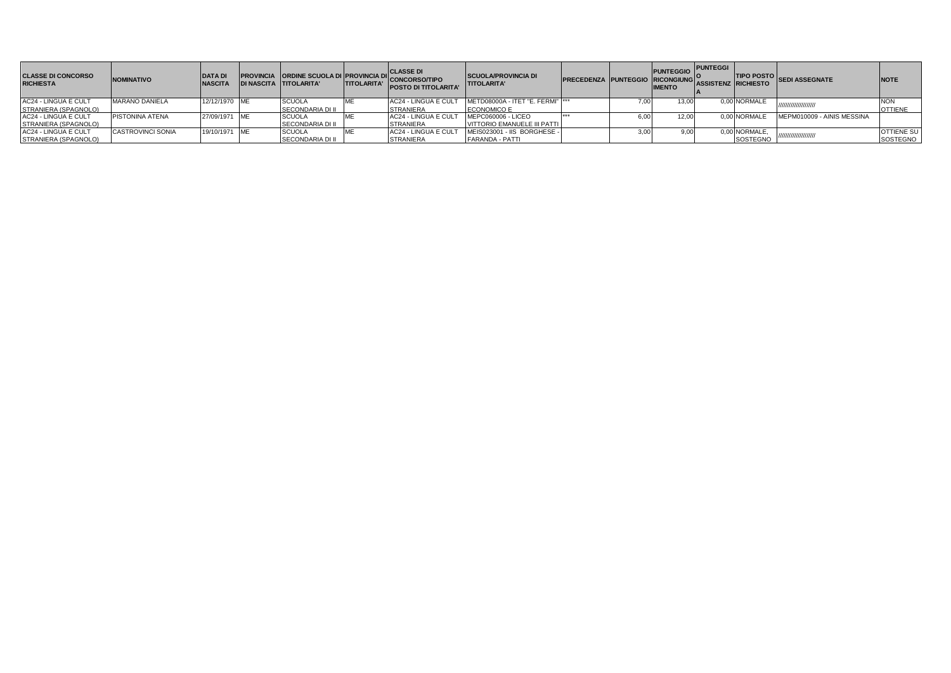| <b>CLASSE DI CONCORSO</b><br><b>RICHIESTA</b> | <b>NOMINATIVO</b>        | <b>DATA DI</b><br><b>NASCITA</b> | <b>IDI NASCITA TITOLARITA'</b> | <b>ITITOLARITA'</b> | PROVINCIA ORDINE SCUOLA DI PROVINCIA DI CONCORSO/TIPO<br><b>POSTO DI TITOLARITA'</b> | <b>SCUOLA/PROVINCIA DI</b><br><b>TITOLARITA'</b> | PRECEDENZA PUNTEGGIO RICONGIUNG |      | <b>PUNTEGGIO</b> PUNTEGGI I<br><b>IMENTO</b> | <b>LASSISTENZ RICHIESTO</b> |               | TIPO POSTO SEDI ASSEGNATE  | <b>INOTE</b>      |
|-----------------------------------------------|--------------------------|----------------------------------|--------------------------------|---------------------|--------------------------------------------------------------------------------------|--------------------------------------------------|---------------------------------|------|----------------------------------------------|-----------------------------|---------------|----------------------------|-------------------|
| AC24 - LINGUA E CULT                          | <b>MARANO DANIELA</b>    | 12/12/1970 ME                    | <b>SCUOLA</b>                  |                     | AC24 - LINGUA E CULT                                                                 | METD08000A - ITET "E. FERMI"  ***                |                                 |      | 13.00                                        |                             | 0.00 NORMALE  | ,,,,,,,,,,,,,,,,,,,,,      | <b>NON</b>        |
| STRANIERA (SPAGNOLO)                          |                          |                                  | <b>SECONDARIA DI II</b>        |                     | <b>STRANIERA</b>                                                                     | <b>ECONOMICO E</b>                               |                                 |      |                                              |                             |               |                            | <b>OTTIENF</b>    |
| AC24 - LINGUA E CULT                          | <b>PISTONINA ATENA</b>   | 27/09/1971 ME                    | <b>SCUOLA</b>                  |                     | AC24 - LINGUA E CULT                                                                 | MEPC060006 - LICEO                               |                                 | 6.00 | 12.00                                        |                             | 0.00 NORMALE  | MEPM010009 - AINIS MESSINA |                   |
| STRANIERA (SPAGNOLO)                          |                          |                                  | <b>SECONDARIA DI II</b>        |                     | <b>STRANIERA</b>                                                                     | VITTORIO EMANUELE III PATTI                      |                                 |      |                                              |                             |               |                            |                   |
| AC24 - LINGUA E CULT                          | <b>CASTROVINCI SONIA</b> | 19/10/1971 ME                    | <b>SCUOLA</b>                  |                     | AC24 - LINGUA E CUL                                                                  | MEIS023001 - IIS BORGHESE -                      |                                 |      | 9.00                                         |                             | 0.00 NORMALE. | ,,,,,,,,,,,,,,,,,,,,       | <b>OTTIENE SU</b> |
| STRANIERA (SPAGNOLO)                          |                          |                                  | SECONDARIA DI II               |                     | <b>STRANIERA</b>                                                                     | <b>FARANDA - PATTI</b>                           |                                 |      |                                              |                             | SOSTEGNO      |                            | SOSTEGNO          |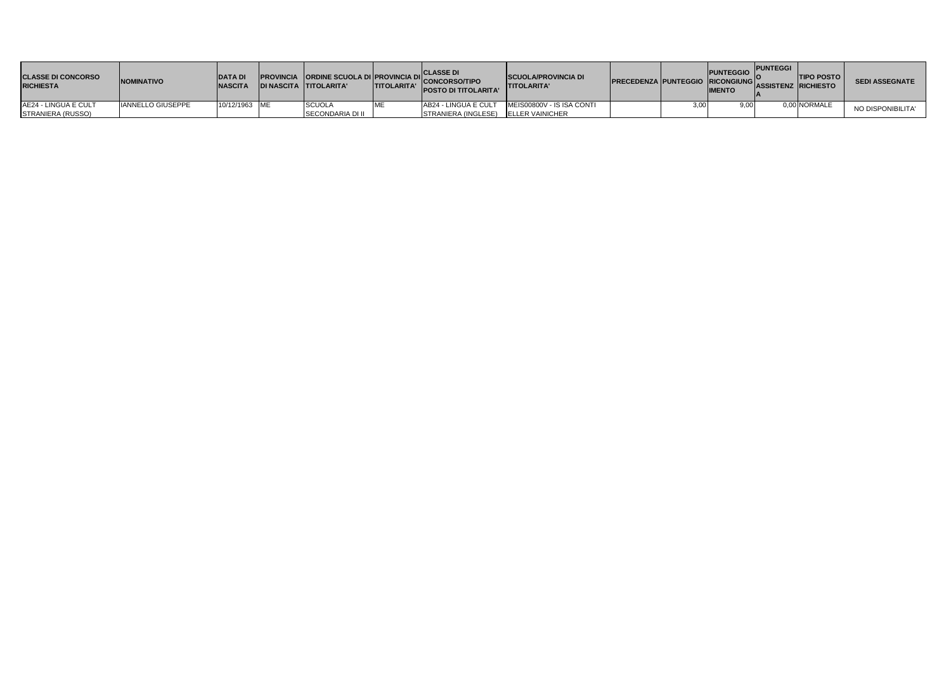| <b>CLASSE DI CONCORSO</b><br><b>RICHIESTA</b> | <b>NOMINATIVO</b>        | <b>IDATA DI</b><br><b>NASCITA</b> | <b>DI NASCITA TITOLARITA'</b> | <b>TITOLARITA'</b> | <b>ICLASSE DI</b><br>PROVINCIA ORDINE SCUOLA DI PROVINCIA DI CONCORSO/TIPO<br><b>POSTO DI TITOLARITA'</b> | <b>SCUOLA/PROVINCIA DI</b><br><b>ITITOLARITA'</b> | <b>PRECEDENZA PUNTEGGIO RICONGIUNG ASSISTENZ RICHIESTO</b> | <b>PUNTEGGIO</b><br><b>IMENTO</b> | <b>PUNTEGGI</b> | <b>TIPO POSTO</b> | <b>SEDI ASSEGNATE</b> |
|-----------------------------------------------|--------------------------|-----------------------------------|-------------------------------|--------------------|-----------------------------------------------------------------------------------------------------------|---------------------------------------------------|------------------------------------------------------------|-----------------------------------|-----------------|-------------------|-----------------------|
| AE24 - LINGUA E CULT                          | <b>IANNELLO GIUSEPPE</b> | 10/12/1963 IME                    | <b>SCUOLA</b>                 | <b>ME</b>          | AB24 - LINGUA E CULT                                                                                      | MEIS00800V - IS ISA CONTI                         |                                                            | 9.00                              |                 | 0.00 NORMALE      | NO DISPONIBILITA'     |
| STRANIERA (RUSSO)                             |                          |                                   | <b>SECONDARIA DI II</b>       |                    | STRANIERA (INGLESE) ELLER VAINICHER                                                                       |                                                   |                                                            |                                   |                 |                   |                       |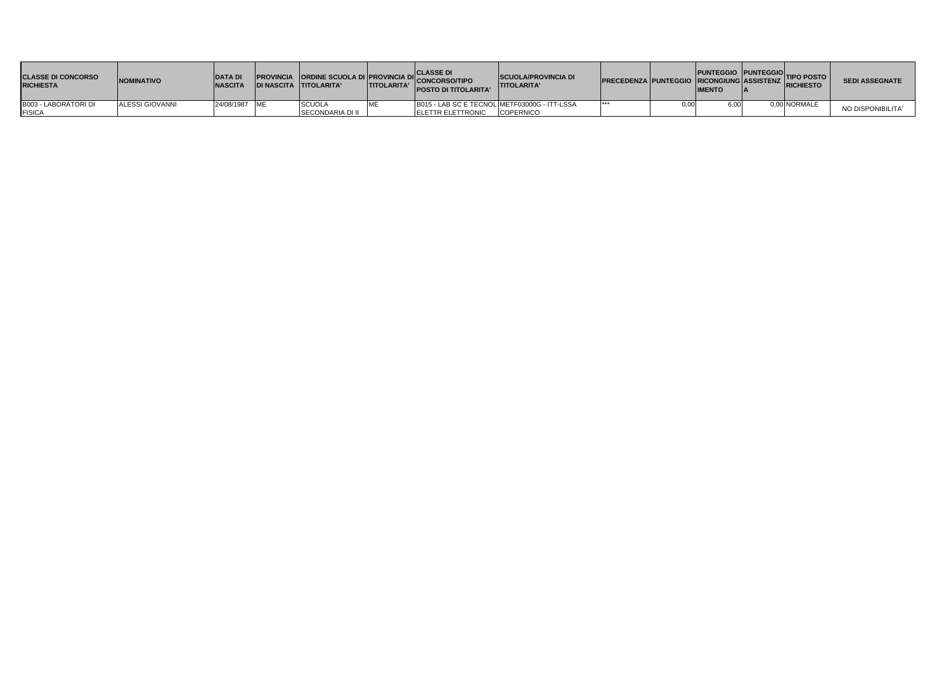| <b>CLASSE DI CONCORSO</b><br><b>RICHIESTA</b> | <b>INOMINATIVO</b> | <b>DATA DI</b><br><b>NASCITA</b> | <b>PROVINCIA</b> ORDINE SCUOLA DI PROVINCIA DI CLASSE DI<br>DI MARCITA LITOLARITALE TITOLARITALE CONCORSO/TIPO<br>IDI NASCITA TITOLARITA' | <b>TITOLARITA'</b> | <b>IPOSTO DI TITOLARITA'</b>                                              | <b>SCUOLA/PROVINCIA DI</b><br><b>ITITOLARITA'</b> | PRECEDENZA PUNTEGGIO PUNTEGGIO TIPO POSTO | <b>IMENTO</b> |              | <b>SEDI ASSEGNATE</b> |
|-----------------------------------------------|--------------------|----------------------------------|-------------------------------------------------------------------------------------------------------------------------------------------|--------------------|---------------------------------------------------------------------------|---------------------------------------------------|-------------------------------------------|---------------|--------------|-----------------------|
| B003 - LABORATORI DI<br><b>FISICA</b>         | ALESSI GIOVANNI    | 24/08/1987 ME                    | <b>SCUOLA</b><br><b>SECONDARIA DI II</b>                                                                                                  |                    | B015 - LAB SC E TECNOL METF03000G - ITT-LSSA<br><b>IELETTR ELETTRONIC</b> | <b>COPERNICO</b>                                  |                                           |               | 0.00 NORMALE | NO DISPONIBILITA'     |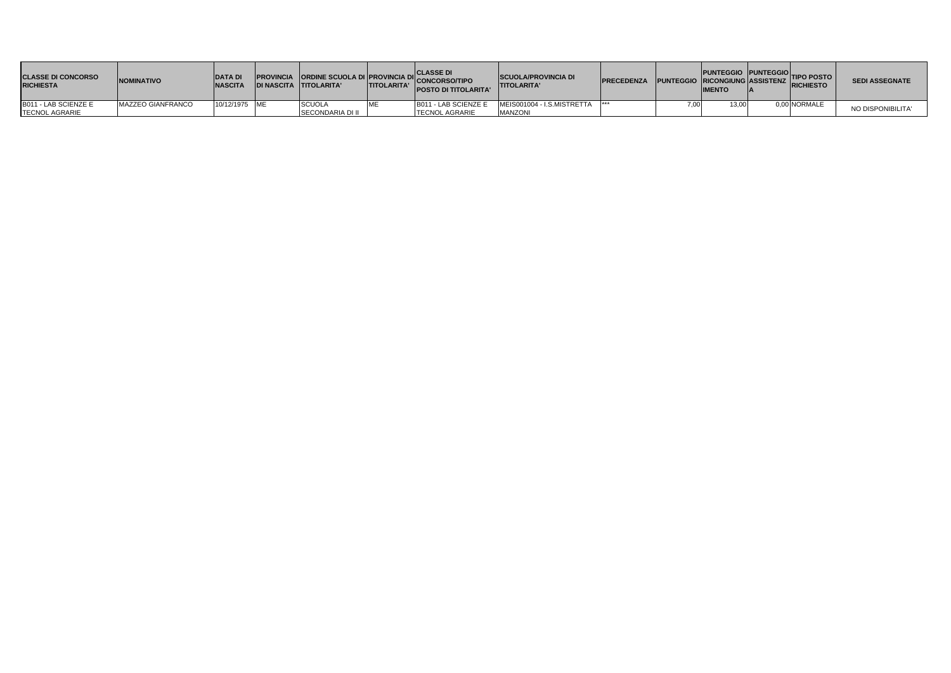| <b>CLASSE DI CONCORSO</b><br><b>RICHIESTA</b> | <b>INOMINATIVO</b> | <b>DATAD</b><br><b>INASCITA</b> | <b>DI NASCITA TITOLARITA'</b> | <b>TITOLARITA</b> | <b>CLASSE DI</b><br>PROVINCIA ORDINE SCUOLA DI PROVINCIA DI CONCORSO/TIPO<br><b>POSTO DI TITOLARITA'</b> | <b>SCUOLA/PROVINCIA DI</b><br><b>TITOLARITA'</b> | <b>PRECEDENZA PUNTEGGIO RICONGIUNG ASSISTENZ</b> |      | PUNTEGGIO PUNTEGGIO TIPO POSTO<br><b>IMENTO</b> | <b>RICHIESTO</b> | <b>SEDI ASSEGNATE</b> |
|-----------------------------------------------|--------------------|---------------------------------|-------------------------------|-------------------|----------------------------------------------------------------------------------------------------------|--------------------------------------------------|--------------------------------------------------|------|-------------------------------------------------|------------------|-----------------------|
| B011 - LAB SCIENZE E                          | MAZZEO GIANFRANCO  | 10/12/1975 ME                   | <b>SCUOLA</b>                 |                   | B011 - LAB SCIENZE E                                                                                     | MEIS001004 - I.S.MISTRETTA                       | ***                                              | 7.00 | 13.00                                           | 00 NORMALE       | NO DISPONIBILITA'     |
| <b>TECNOL AGRARIE</b>                         |                    |                                 | <b>SECONDARIA DI II</b>       |                   | <b>TECNOL AGRARIE</b>                                                                                    | <b>MANZONI</b>                                   |                                                  |      |                                                 |                  |                       |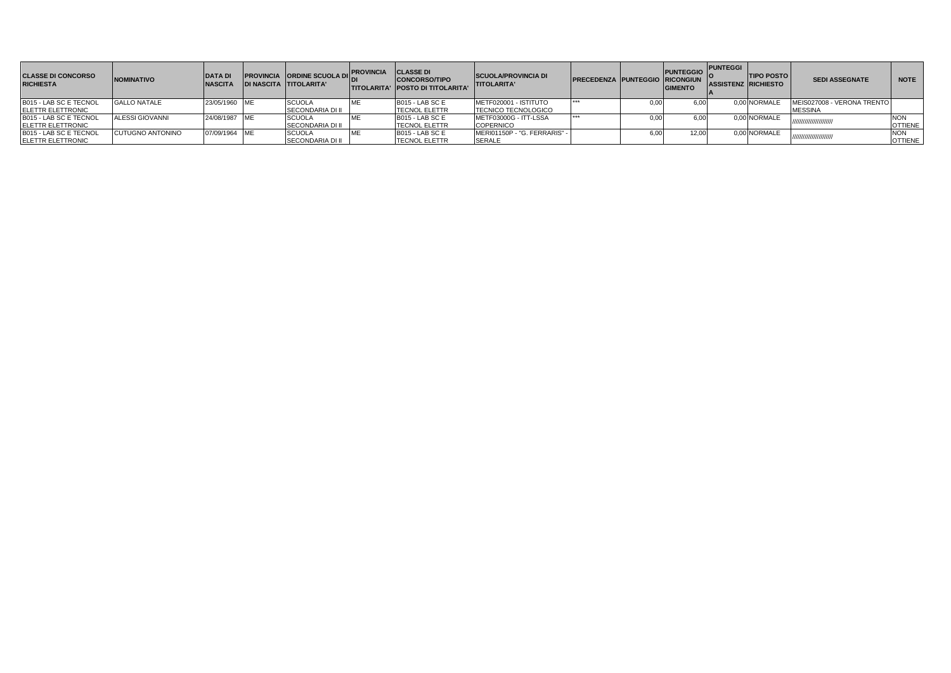| <b>CLASSE DI CONCORSO</b><br><b>RICHIESTA</b> | <b>NOMINATIVO</b>       | <b>DATA DI</b><br><b>NASCITA</b> | <b>PROVINCIA ORDINE SCUOLA DII:</b><br><b>DI NASCITA TITOLARITA'</b> | <b>PROVINCIA</b> | <b>CLASSE DI</b><br><b>CONCORSO/TIPO</b><br><b>TITOLARITA' POSTO DI TITOLARITA'</b> | <b>SCUOLA/PROVINCIA DI</b><br><b>TITOLARITA'</b> | <b>PRECEDENZA PUNTEGGIO RICONGIUN</b> |      | <b>PUNTEGGIO</b> PUNTEGGI<br><b>GIMENTO</b> | <b>TIPO POSTO</b><br><b>ASSISTENZ RICHIESTO</b> | <b>SEDI ASSEGNATE</b>      | <b>NOTE</b>    |
|-----------------------------------------------|-------------------------|----------------------------------|----------------------------------------------------------------------|------------------|-------------------------------------------------------------------------------------|--------------------------------------------------|---------------------------------------|------|---------------------------------------------|-------------------------------------------------|----------------------------|----------------|
| B015 - LAB SC E TECNOL                        | <b>GALLO NATALE</b>     | 23/05/1960 ME                    | <b>SCUOLA</b>                                                        |                  | B015 - LAB SC E                                                                     | METF020001 - ISTITUTO                            |                                       | 0.00 | 6.00                                        | 0.00 NORMALE                                    | MEIS027008 - VERONA TRENTO |                |
| <b>IELETTR ELETTRONIC</b>                     |                         |                                  | <b>SECONDARIA DI II</b>                                              |                  | <b>TECNOL ELETTR</b>                                                                | <b>TECNICO TECNOLOGICO</b>                       |                                       |      |                                             |                                                 | <b>MESSINA</b>             |                |
| B015 - LAB SC E TECNOL                        | ALESSI GIOVANNI         | 24/08/1987 ME                    | <b>SCUOLA</b>                                                        |                  | B015 - LAB SC E                                                                     | METF03000G - ITT-LSSA                            |                                       | 0.0  | 6.00                                        | 0.00 NORMALE                                    | ///////////////////////    | <b>NON</b>     |
| <b>IELETTR ELETTRONIC</b>                     |                         |                                  | SECONDARIA DI II                                                     |                  | <b>TECNOL ELETTR</b>                                                                | <b>COPERNICO</b>                                 |                                       |      |                                             |                                                 |                            | <b>OTTIENE</b> |
| B015 - LAB SC E TECNOL                        | <b>CUTUGNO ANTONINO</b> | 07/09/1964 ME                    | <b>SCUOLA</b>                                                        |                  | B015 - LAB SC E                                                                     | MERI01150P - "G. FERRARIS" -                     |                                       | 6,0  | 12.00                                       | 0,00 NORMALE                                    | ,,,,,,,,,,,,,,,,,,,,,,,,   |                |
| <b>ELETTR ELETTRONIC</b>                      |                         |                                  | <b>SECONDARIA DI II</b>                                              |                  | <b>ITECNOL ELETTR</b>                                                               | <b>SERALE</b>                                    |                                       |      |                                             |                                                 |                            | <b>OTTIENE</b> |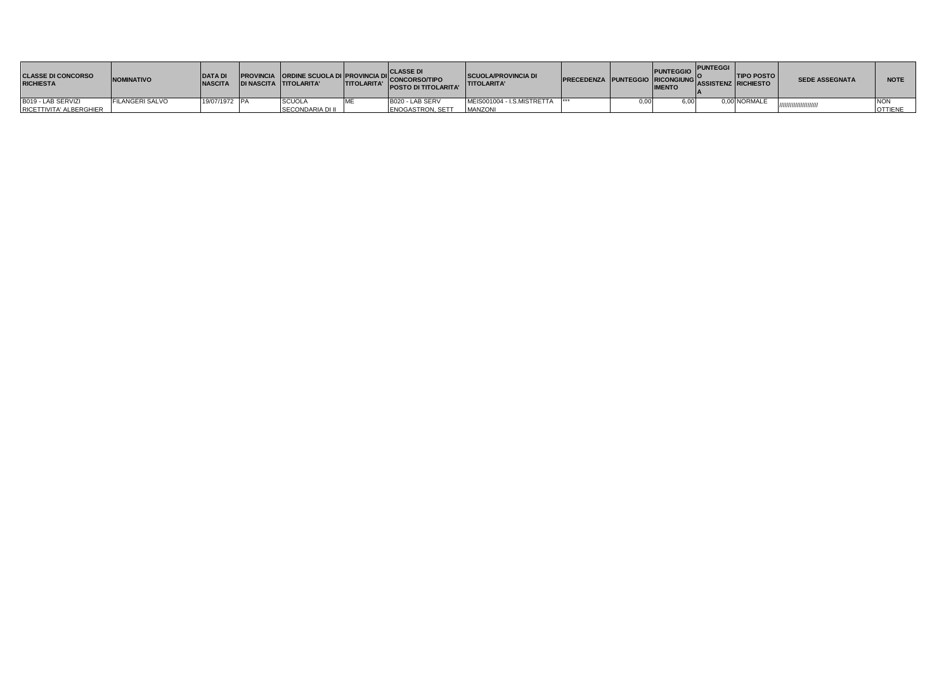| <b>CLASSE DI CONCORSO</b><br><b>RICHIESTA</b> | <b>NOMINATIVO</b>      | <b>DATAD</b><br><b>NASCITA</b> |                         | <b>PROVINCIA ORDINE SCUOLA DI PROVINCIA DI CLASSE DI<br/>NASCITA TITOLARITA TITOLARITA CONCORSOTTE LA CONTRATA CONTROLLARITA</b><br><b>POSTO DI TITOLARITA'</b> | <b>SCUOLA/PROVINCIA DI</b><br><b>TITOLARITA'</b> | PRECEDENZA PUNTEGGIO RICONGIUNG ASSISTENZ RICHIESTO |      | <b>PUNTEGGIO</b><br><b>IMENTO</b> | <b>PUNTEGGI</b> | <b>TIPO POSTO</b> | <b>SEDE ASSEGNATA</b> | <b>NOTE</b>    |
|-----------------------------------------------|------------------------|--------------------------------|-------------------------|-----------------------------------------------------------------------------------------------------------------------------------------------------------------|--------------------------------------------------|-----------------------------------------------------|------|-----------------------------------|-----------------|-------------------|-----------------------|----------------|
| B019 - LAB SERVIZI                            | <b>FILANGERI SALVO</b> | 19/07/1972 PA                  | <b>SCUOLA</b>           | B020 - LAB SERV                                                                                                                                                 | MEIS001004 - I.S.MISTRETTA                       | ***                                                 | 0.00 |                                   |                 | 0,00 NORMALE      | ,,,,,,,,,,,,,,,,,,,   | <b>NON</b>     |
| RICETTIVITA' ALBERGHIER                       |                        |                                | <b>SECONDARIA DI II</b> | <b>ENOGASTRON, SETT</b>                                                                                                                                         | <b>MANZON</b>                                    |                                                     |      |                                   |                 |                   |                       | <b>OTTIENE</b> |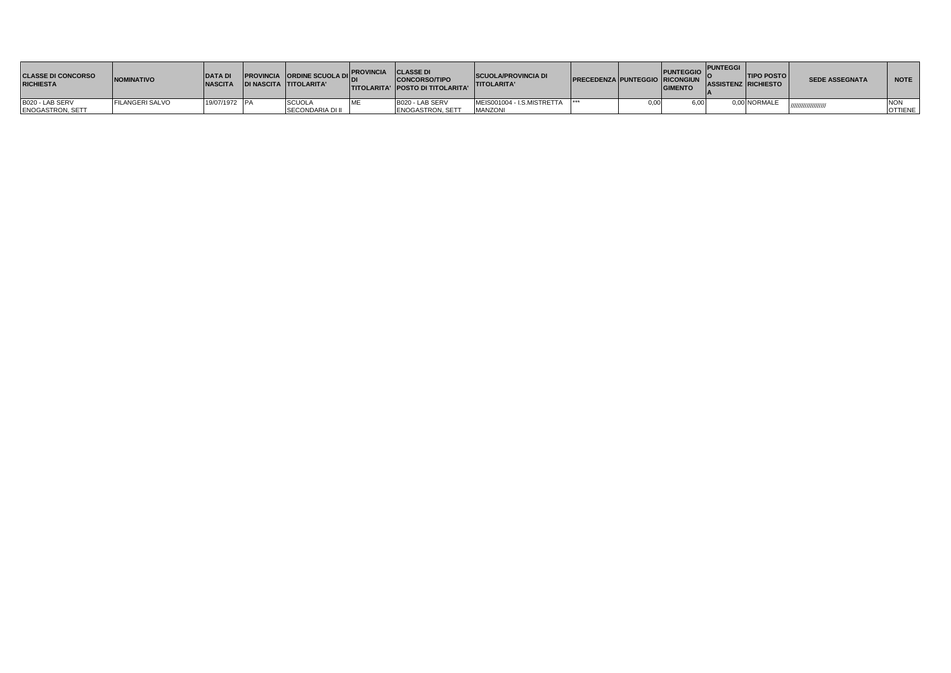| <b>CLASSE DI CONCORSO</b><br><b>RICHIESTA</b> | <b>NOMINATIVO</b>      | <b>DATA DI</b><br><b>NASCITA</b> | <b>PROVINCIA ORDINE SCUOLA DIL.</b><br><b>IDI NASCITA TITOLARITA'</b> | <b>PROVINCIA</b>     | <b>CLASSE DI</b><br><b>CONCORSO/TIPO</b><br><b>ITITOLARITA' IPOSTO DI TITOLARITA'</b> | <b>SCUOLA/PROVINCIA DI</b><br><b>ITITOLARITA'</b> | <b>PRECEDENZA PUNTEGGIO RICONGIUN</b> | PUNTEGGIO PUNTEGGI<br><b>GIMENTO</b> | <b>TIPO POSTO</b><br><b>ASSISTENZ RICHIESTO</b> | <b>SEDE ASSEGNATA</b> | <b>NOTE</b>    |
|-----------------------------------------------|------------------------|----------------------------------|-----------------------------------------------------------------------|----------------------|---------------------------------------------------------------------------------------|---------------------------------------------------|---------------------------------------|--------------------------------------|-------------------------------------------------|-----------------------|----------------|
| B020 - LAB SERV                               | <b>FILANGERI SALVO</b> | 19/07/1972 PA                    | <b>SCUOLA</b>                                                         | $\ddot{\phantom{0}}$ | B020 - LAB SERV                                                                       | MEIS001004 - I.S.MISTRETTA                        |                                       | 6.00                                 | 0.00 NORMALE                                    |                       | <b>NON</b>     |
| <b>ENOGASTRON, SETT</b>                       |                        |                                  | <b>SECONDARIA DI II</b>                                               |                      | <b>ENOGASTRON, SETT</b>                                                               | <b>MANZONI</b>                                    |                                       |                                      |                                                 | <i>чинишши.</i>       | <b>OTTIENE</b> |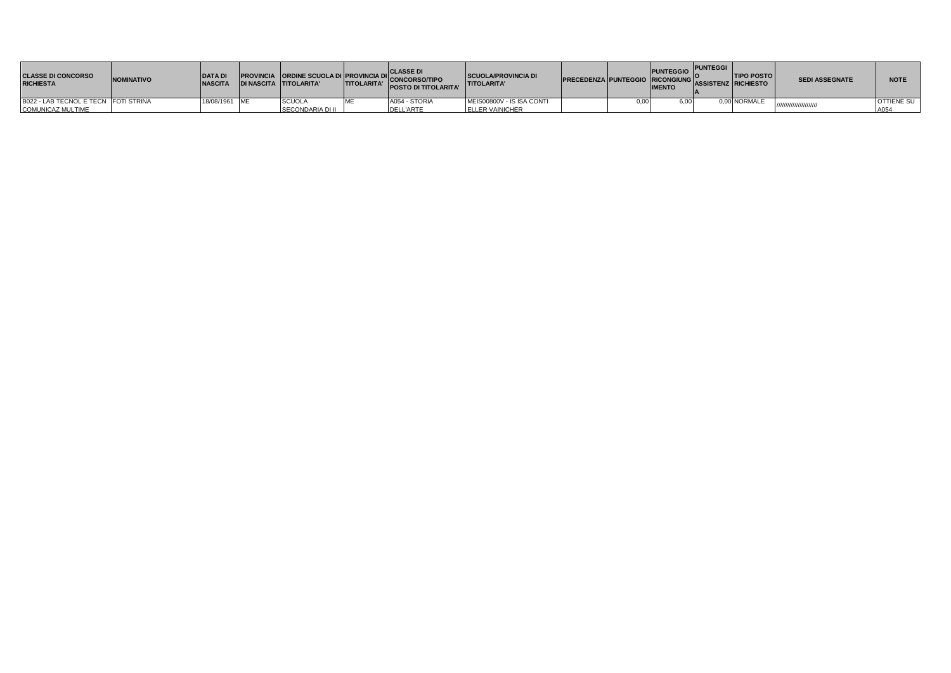| <b>CLASSE DI CONCORSO</b><br><b>RICHIESTA</b> | <b>NOMINATIVO</b> | <b>DATAD</b><br><b>INASCITA</b> | <b>DI NASCITA TITOLARITA'</b> | <b>TITOLARITA'</b> | <b>PROVINCIA ORDINE SCUOLA DI PROVINCIA DI CLASSE DI</b><br>TITOLAPITA TITOLAPITA TITOLAPITA<br><b>POSTO DI TITOLARITA'</b> | <b>SCUOLA/PROVINCIA DI</b><br><b>TITOLARITA'</b> | <b>PRECEDENZA PUNTEGGIO RICONGIUNGI</b> |      | PUNTEGGIO PUNTEGGI<br><b>IMENTO</b> | <b>TIPO POSTO</b><br><b>ASSISTENZ RICHIESTO</b> | <b>SEDI ASSEGNATE</b> | <b>NOTE</b>       |
|-----------------------------------------------|-------------------|---------------------------------|-------------------------------|--------------------|-----------------------------------------------------------------------------------------------------------------------------|--------------------------------------------------|-----------------------------------------|------|-------------------------------------|-------------------------------------------------|-----------------------|-------------------|
| B022 - LAB TECNOL E TECN FOTI STRINA          |                   | 18/08/1961 ME                   | <b>SCUOLA</b>                 |                    | A054 - STORIA                                                                                                               | MEIS00800V - IS ISA CONTI                        |                                         | 0.00 |                                     | 0.00 NORMALE                                    |                       | <b>OTTIENE SU</b> |
| <b>COMUNICAZ MULTIME</b>                      |                   |                                 | SECONDARIA DI II              |                    | <b>DELL'ARTE</b>                                                                                                            | <b>ELLER VAINICHER</b>                           |                                         |      |                                     |                                                 |                       | A054              |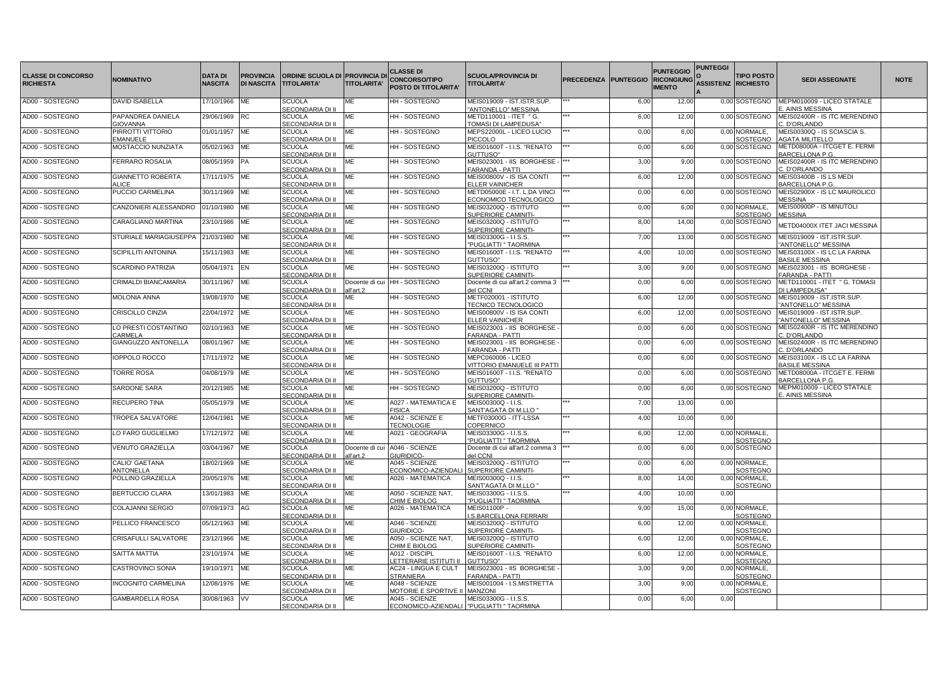| <b>CLASSE DI CONCORSO</b><br><b>RICHIESTA</b> | <b>NOMINATIVO</b>                    | <b>DATA DI</b><br><b>NASCITA</b> | <b>PROVINCIA</b><br><b>DI NASCITA</b> | <b>ORDINE SCUOLA DI PROVINCIA D</b><br><b>TITOLARITA'</b> | <b>TITOLARITA'</b>          | <b>CLASSE DI</b><br><b>CONCORSO/TIPO</b><br>POSTO DI TITOLARITA' | <b>SCUOLA/PROVINCIA DI</b><br><b>TITOLARITA'</b>      | <b>PRECEDENZA</b> | <b>PUNTEGGIO</b> | <b>PUNTEGGIO</b><br><b>RICONGIUNG</b><br><b>IMENTO</b> | <b>PUNTEGGI</b><br><b>ASSISTENZ RICHIESTO</b> | <b>TIPO POSTO</b>                | <b>SEDI ASSEGNATE</b>                                 | <b>NOTE</b> |
|-----------------------------------------------|--------------------------------------|----------------------------------|---------------------------------------|-----------------------------------------------------------|-----------------------------|------------------------------------------------------------------|-------------------------------------------------------|-------------------|------------------|--------------------------------------------------------|-----------------------------------------------|----------------------------------|-------------------------------------------------------|-------------|
| AD00 - SOSTEGNO                               | <b>DAVID ISABELLA</b>                | 17/10/1966                       | <b>ME</b>                             | <b>SCUOLA</b><br><b>SECONDARIA DI II</b>                  | <b>ME</b>                   | HH - SOSTEGNO                                                    | MEIS019009 - IST.ISTR.SUP.<br>"ANTONELLO" MESSINA     |                   | 6,00             | 12,00                                                  |                                               | 0,00 SOSTEGNO                    | MEPM010009 - LICEO STATALE<br>AINIS MESSINA           |             |
| AD00 - SOSTEGNO                               | PAPANDREA DANIELA<br><b>GIOVANNA</b> | 29/06/1969                       | <b>RC</b>                             | <b>SCUOLA</b><br>SECONDARIA DI II                         | МE                          | HH - SOSTEGNO                                                    | METD110001 - ITET " G.<br>TOMASI DI LAMPEDUSA'        |                   | 6,00             | 12,00                                                  |                                               | 0,00 SOSTEGNO                    | MEIS02400R - IS ITC MERENDINO<br>. D'ORLANDO          |             |
| AD00 - SOSTEGNO                               | PIRROTTI VITTORIO<br><b>EMANUELE</b> | 01/01/1957                       | ME                                    | <b>SCUOLA</b><br>SECONDARIA DI II                         | МE                          | HH - SOSTEGNO                                                    | MEPS22000L - LICEO LUCIO<br><b>PICCOLO</b>            |                   | 0,00             | 6,00                                                   |                                               | 0,00 NORMALE,<br>SOSTEGNO        | MEIS00300Q - IS SCIASCIA S.<br><b>AGATA MILITELLO</b> |             |
| AD00 - SOSTEGNO                               | MOSTACCIO NUNZIATA                   | 05/02/1963 ME                    |                                       | <b>SCUOLA</b><br>SECONDARIA DI II                         | МE                          | HH - SOSTEGNO                                                    | MEIS01600T - I.I.S. "RENATO<br>GUTTUSO"               |                   | 0,00             | 6,00                                                   |                                               | 0,00 SOSTEGNO                    | METD08000A - ITCGET E. FERMI<br>BARCELLONA P.G.       |             |
| AD00 - SOSTEGNO                               | <b>FERRARO ROSALIA</b>               | 08/05/1959 PA                    |                                       | <b>SCUOLA</b><br>SECONDARIA DI II                         | MЕ                          | <b>HH-SOSTEGNO</b>                                               | MEIS023001 - IIS BORGHESE -<br><b>FARANDA - PATTI</b> |                   | 3,00             | 9,00                                                   |                                               | 0,00 SOSTEGNO                    | MEIS02400R - IS ITC MERENDINO<br>C. D'ORLANDO         |             |
| AD00 - SOSTEGNO                               | <b>GIANNETTO ROBERTA</b><br>ALICE    | 17/11/1975 ME                    |                                       | <b>SCUOLA</b><br>SECONDARIA DI II                         | MЕ                          | <b>HH-SOSTEGNO</b>                                               | MEIS00800V - IS ISA CONTI<br><b>ELLER VAINICHER</b>   |                   | 6,00             | 12,00                                                  |                                               | 0,00 SOSTEGNO                    | MEIS03400B - IS LS MEDI<br>BARCELLONA P.G.            |             |
| AD00 - SOSTEGNO                               | PUCCIO CARMELINA                     | 30/11/1969                       | ME                                    | <b>SCUOLA</b><br>SECONDARIA DI II                         | МE                          | HH - SOSTEGNO                                                    | METD05000E - I.T. L.DA VINCI<br>ECONOMICO TECNOLOGICO |                   | 0,00             | 6,00                                                   |                                               | 0,00 SOSTEGNO                    | MEIS02900X - IS LC MAUROLICO<br><b>MESSINA</b>        |             |
| AD00 - SOSTEGNO                               | CANZONIERI ALESSANDRO                | 01/10/1980                       | ME                                    | <b>SCUOLA</b><br>SECONDARIA DI II                         | МE                          | HH - SOSTEGNO                                                    | MEIS03200Q - ISTITUTO<br>SUPERIORE CAMINITI-          |                   | 0,00             | 6,00                                                   |                                               | 0,00 NORMALE,<br>SOSTEGNO        | MEIS00900P - IS MINUTOLI<br><b>MESSINA</b>            |             |
| AD00 - SOSTEGNO                               | CARAGLIANO MARTINA                   | 23/10/1986 ME                    |                                       | <b>SCUOLA</b><br>SECONDARIA DI II                         | МE                          | HH - SOSTEGNO                                                    | MEIS03200Q - ISTITUTO<br>SUPERIORE CAMINITI-          |                   | 8,00             | 14,00                                                  |                                               | 0,00 SOSTEGNO                    | METD04000X ITET JACI MESSINA                          |             |
| AD00 - SOSTEGNO                               | STURIALE MARIAGIUSEPPA               | 21/03/1980 ME                    |                                       | <b>SCUOLA</b><br>SECONDARIA DI II                         | МE                          | HH - SOSTEGNO                                                    | MEIS03300G - I.I.S.S.<br>"PUGLIATTI " TAORMINA        |                   | 7,00             | 13,00                                                  |                                               | 0,00 SOSTEGNO                    | MEIS019009 - IST.ISTR.SUP.<br>ANTONELLO" MESSINA      |             |
| AD00 - SOSTEGNO                               | <b>SCIPILLITI ANTONINA</b>           | 15/11/1983 ME                    |                                       | <b>SCUOLA</b><br>SECONDARIA DI II                         | МE                          | HH - SOSTEGNO                                                    | MEIS01600T - I.I.S. "RENATO<br>GUTTUSO"               |                   | 4,00             | 10,00                                                  |                                               | 0,00 SOSTEGNO                    | MEIS03100X - IS LC LA FARINA<br><b>BASILE MESSINA</b> |             |
| AD00 - SOSTEGNO                               | <b>SCARDINO PATRIZIA</b>             | 05/04/1971                       | <b>IEN</b>                            | <b>SCUOLA</b><br>SECONDARIA DI II                         | MF                          | HH - SOSTEGNO                                                    | MEIS03200Q - ISTITUTO<br>SUPERIORE CAMINITI-          |                   | 3,00             | 9,00                                                   |                                               | 0,00 SOSTEGNO                    | MEIS023001 - IIS BORGHESE -<br>FARANDA - PATTI        |             |
| AD00 - SOSTEGNO                               | CRIMALDI BIANCAMARIA                 | 30/11/1967                       | <b>ME</b>                             | <b>SCUOLA</b><br>SECONDARIA DI II                         | all'art.2                   | Docente di cui HH - SOSTEGNO                                     | Docente di cui all'art.2 comma 3 *<br>del CCNI        |                   | 0,00             | 6,00                                                   |                                               | 0,00 SOSTEGNO                    | METD110001 - ITET " G. TOMASI<br>DI LAMPEDUSA"        |             |
| AD00 - SOSTEGNO                               | <b>MOLONIA ANNA</b>                  | 19/08/1970 ME                    |                                       | <b>SCUOLA</b><br>SECONDARIA DI II                         | МE                          | HH - SOSTEGNO                                                    | METF020001 - ISTITUTO<br><b>TECNICO TECNOLOGICO</b>   |                   | 6,00             | 12,00                                                  |                                               | 0,00 SOSTEGNO                    | MEIS019009 - IST.ISTR.SUP.<br>"ANTONELLO" MESSINA     |             |
| AD00 - SOSTEGNO                               | CRISCILLO CINZIA                     | 22/04/1972 ME                    |                                       | <b>SCUOLA</b><br>SECONDARIA DI II                         | МE                          | HH - SOSTEGNO                                                    | MEIS00800V - IS ISA CONTI<br><b>ELLER VAINICHER</b>   |                   | 6,00             | 12,00                                                  |                                               | 0,00 SOSTEGNO                    | MEIS019009 - IST.ISTR.SUP.<br>"ANTONELLO" MESSINA     |             |
| AD00 - SOSTEGNO                               | LO PRESTI COSTANTINO<br>CARMELA      | 02/10/1963 ME                    |                                       | <b>SCUOLA</b><br><b>SECONDARIA DI II</b>                  | ME                          | HH - SOSTEGNO                                                    | MEIS023001 - IIS BORGHESE<br>FARANDA - PATTI          |                   | 0,00             | 6,00                                                   |                                               | 0,00 SOSTEGNO                    | MEIS02400R - IS ITC MERENDINO<br>C. D'ORLANDO         |             |
| AD00 - SOSTEGNO                               | GIANGUZZO ANTONELLA                  | 08/01/1967                       | ME                                    | <b>SCUOLA</b><br>SECONDARIA DI II                         | MF                          | HH - SOSTEGNO                                                    | MEIS023001 - IIS BORGHESE<br>FARANDA - PATTI          |                   | 0,00             | 6,00                                                   |                                               | 0,00 SOSTEGNO                    | MEIS02400R - IS ITC MERENDINO<br>C. D'ORLANDO         |             |
| AD00 - SOSTEGNO                               | <b>IOPPOLO ROCCO</b>                 | 17/11/1972 ME                    |                                       | <b>SCUOLA</b><br>SECONDARIA DI II                         | МE                          | HH - SOSTEGNO                                                    | MEPC060006 - LICEO<br>VITTORIO EMANUELE III PATT      |                   | 0,00             | 6,00                                                   |                                               | 0,00 SOSTEGNO                    | MEIS03100X - IS LC LA FARINA<br><b>BASILE MESSINA</b> |             |
| AD00 - SOSTEGNO                               | <b>TORRE ROSA</b>                    | 04/08/1979 ME                    |                                       | SCUOLA<br>SECONDARIA DI II                                | MF                          | <b>HH-SOSTEGNO</b>                                               | MEIS01600T - I.I.S. "RENATO<br>GUTTUSO"               |                   | 0,00             | 6,00                                                   |                                               | 0,00 SOSTEGNO                    | METD08000A - ITCGET E. FERMI<br>BARCELLONA P.G        |             |
| AD00 - SOSTEGNO                               | <b>SARDONE SARA</b>                  | 20/12/1985 ME                    |                                       | <b>SCUOLA</b><br>SECONDARIA DI II                         | МE                          | <b>HH-SOSTEGNO</b>                                               | MEIS03200Q - ISTITUTO<br>SUPERIORE CAMINITI-          |                   | 0,00             | 6,00                                                   |                                               | 0.00 SOSTEGNO                    | MEPM010009 - LICEO STATALE<br>E. AINIS MESSINA        |             |
| AD00 - SOSTEGNO                               | <b>RECUPERO TINA</b>                 | 05/05/1979 ME                    |                                       | <b>SCUOLA</b><br>SECONDARIA DI II                         | МE                          | A027 - MATEMATICA E<br><b>FISICA</b>                             | MEIS00300Q - I.I.S.<br>SANT'AGATA DI M.LLO "          |                   | 7,00             | 13,00                                                  | 0.00                                          |                                  |                                                       |             |
| AD00 - SOSTEGNO                               | <b>TROPEA SALVATORE</b>              | 12/04/1981                       | ME                                    | <b>SCUOLA</b><br>SECONDARIA DI II                         | МE                          | A042 - SCIENZE E<br><b>TECNOLOGIE</b>                            | METF03000G - ITT-LSSA<br><b>COPERNICO</b>             |                   | 4,00             | 10,00                                                  | 0,00                                          |                                  |                                                       |             |
| AD00 - SOSTEGNO                               | LO FARO GUGLIELMO                    | 17/12/1972 ME                    |                                       | <b>SCUOLA</b><br>SECONDARIA DI II                         | МE                          | A021 - GEOGRAFIA                                                 | MEIS03300G - I.I.S.S.<br>"PUGLIATTI " TAORMINA        |                   | 6,00             | 12,00                                                  |                                               | 0,00 NORMALE,<br>SOSTEGNO        |                                                       |             |
| AD00 - SOSTEGNO                               | <b>VENUTO GRAZIELLA</b>              | 03/04/1967                       | <b>ME</b>                             | <b>SCUOLA</b><br>SECONDARIA DI II                         | Docente di cui<br>all'art.2 | A046 - SCIENZE<br>GIURIDICO-                                     | Docente di cui all'art.2 comma 3"<br>del CCNI         |                   | 0,00             | 6,00                                                   |                                               | 0,00 SOSTEGNO                    |                                                       |             |
| AD00 - SOSTEGNO                               | CALIO' GAETANA<br>ANTONELLA          | 18/02/1969                       | ME                                    | <b>SCUOLA</b><br>SECONDARIA DI II                         | МE                          | A045 - SCIENZE<br>ECONOMICO-AZIENDAI                             | MEIS03200Q - ISTITUTO<br>SUPERIORE CAMINITI-          |                   | 0,00             | 6,00                                                   |                                               | 0,00 NORMALE,<br>SOSTEGNO        |                                                       |             |
| AD00 - SOSTEGNO                               | POLLINO GRAZIELLA                    | 20/05/1976 ME                    |                                       | <b>SCUOLA</b><br>SECONDARIA DI II                         | MЕ                          | A026 - MATEMATICA                                                | MEIS00300Q - I.I.S.<br>SANT'AGATA DI M.LLO "          |                   | 8,00             | 14,00                                                  |                                               | 0,00 NORMALE,<br>SOSTEGNO        |                                                       |             |
| AD00 - SOSTEGNO                               | <b>BERTUCCIO CLARA</b>               | 13/01/1983                       | ME                                    | <b>SCUOLA</b><br>SECONDARIA DI II                         | МE                          | A050 - SCIENZE NAT,<br>CHIM E BIOLOG                             | MEIS03300G - I.I.S.S.<br>"PUGLIATTI " TAORMINA        |                   | 4,00             | 10,00                                                  | 0,00                                          |                                  |                                                       |             |
| AD00 - SOSTEGNO                               | COLAJANNI SERGIO                     | 07/09/1973 AG                    |                                       | <b>SCUOLA</b><br>SECONDARIA DI II                         | МE                          | A026 - MATEMATICA                                                | MEIS01100P -<br>I.S.BARCELLONA FERRARI                |                   | 9,00             | 15,00                                                  |                                               | 0,00 NORMALE,<br>SOSTEGNO        |                                                       |             |
| AD00 - SOSTEGNO                               | PELLICO FRANCESCO                    | 05/12/1963 ME                    |                                       | <b>SCUOLA</b><br><b>SECONDARIA DI II</b>                  | МE                          | A046 - SCIENZE<br>GIURIDICO-                                     | MEIS03200Q - ISTITUTO<br>SUPERIORE CAMINITI-          |                   | 6,00             | 12,00                                                  |                                               | 0,00 NORMALE,<br><b>SOSTEGNO</b> |                                                       |             |
| AD00 - SOSTEGNO                               | CRISAFULLI SALVATORE                 | 23/12/1966 ME                    |                                       | <b>SCUOLA</b><br>SECONDARIA DI II                         | МE                          | A050 - SCIENZE NAT,<br>CHIM E BIOLOG                             | MEIS03200Q - ISTITUTO<br>SUPERIORE CAMINITI-          |                   | 6,00             | 12,00                                                  |                                               | 0,00 NORMALE,<br>SOSTEGNO        |                                                       |             |
| AD00 - SOSTEGNO                               | <b>SAITTA MATTIA</b>                 | 23/10/1974 ME                    |                                       | <b>SCUOLA</b><br><b>SECONDARIA DI II</b>                  | МE                          | A012 - DISCIPL<br><u>ETTERARIE ISTITUTI I</u>                    | MEIS01600T - I.I.S. "RENATO<br>GUTTUSO"               |                   | 6,00             | 12,00                                                  |                                               | 0,00 NORMALE,<br>SOSTEGNO        |                                                       |             |
| AD00 - SOSTEGNO                               | CASTROVINCI SONIA                    | 19/10/1971                       | ME                                    | <b>SCUOLA</b><br>SECONDARIA DI II                         | МE                          | AC24 - LINGUA E CULT<br><b>STRANIERA</b>                         | MEIS023001 - IIS BORGHESE<br>FARANDA - PATTI          |                   | 3,00             | 9,00                                                   |                                               | 0,00 NORMALE,<br>SOSTEGNO        |                                                       |             |
| AD00 - SOSTEGNO                               | <b>INCOGNITO CARMELINA</b>           | 12/08/1976 ME                    |                                       | <b>SCUOLA</b><br>SECONDARIA DI II                         | МE                          | A048 - SCIENZE<br>MOTORIE E SPORTIVE II MANZONI                  | MEIS001004 - I.S.MISTRETTA                            |                   | 3,00             | 9,00                                                   |                                               | 0,00 NORMALE,<br>SOSTEGNO        |                                                       |             |
| AD00 - SOSTEGNO                               | <b>GAMBARDELLA ROSA</b>              | 30/08/1963 VV                    |                                       | <b>SCUOLA</b><br>SECONDARIA DI II                         | МE                          | A045 - SCIENZE<br>ECONOMICO-AZIENDALI   "PUGLIATTI " TAORMINA    | MEIS03300G - I.I.S.S.                                 |                   | 0,00             | 6,00                                                   | 0,00                                          |                                  |                                                       |             |